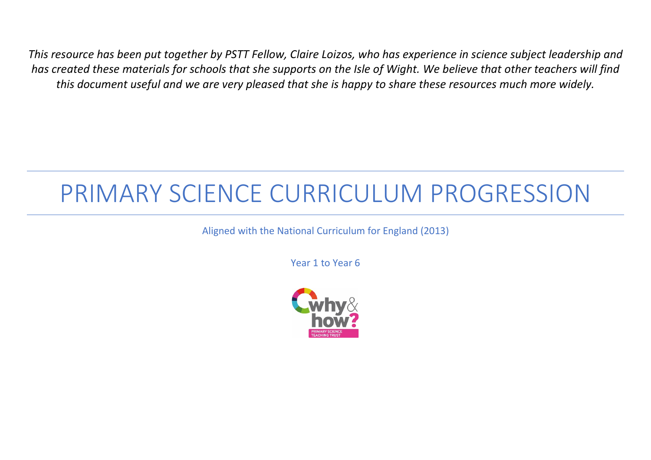*This resource has been put together by PSTT Fellow, Claire Loizos, who has experience in science subject leadership and has created these materials for schools that she supports on the Isle of Wight. We believe that other teachers will find this document useful and we are very pleased that she is happy to share these resources much more widely.*

# PRIMARY SCIENCE CURRICULUM PROGRESSION

Aligned with the National Curriculum for England (2013)

Year 1 to Year 6

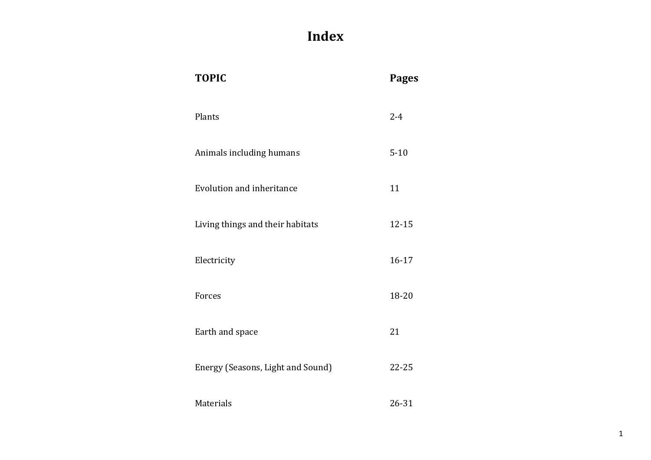# **Index**

| <b>TOPIC</b>                      | <b>Pages</b> |
|-----------------------------------|--------------|
| Plants                            | $2 - 4$      |
| Animals including humans          | $5 - 10$     |
| <b>Evolution and inheritance</b>  | 11           |
| Living things and their habitats  | $12 - 15$    |
| Electricity                       | $16 - 17$    |
| Forces                            | 18-20        |
| Earth and space                   | 21           |
| Energy (Seasons, Light and Sound) | 22-25        |
| Materials                         | 26-31        |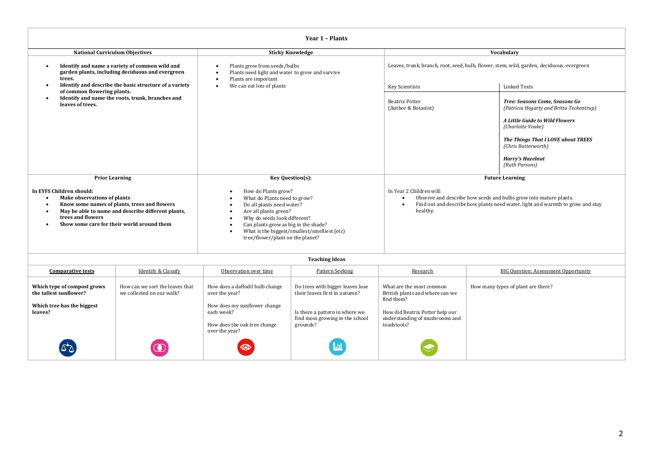#### **Year 1 – Plants**

| <b>National Curriculum Objectives</b>                                                                                                                                                                                                                                                       |                                                              | <b>Sticky Knowledge</b>                                                                                                                                                                                                                                                                                                   |                                                                               |                                                                                                                                                                                                          | Vocabulary                                                                                                                                                                                                                                  |  |  |
|---------------------------------------------------------------------------------------------------------------------------------------------------------------------------------------------------------------------------------------------------------------------------------------------|--------------------------------------------------------------|---------------------------------------------------------------------------------------------------------------------------------------------------------------------------------------------------------------------------------------------------------------------------------------------------------------------------|-------------------------------------------------------------------------------|----------------------------------------------------------------------------------------------------------------------------------------------------------------------------------------------------------|---------------------------------------------------------------------------------------------------------------------------------------------------------------------------------------------------------------------------------------------|--|--|
| Identify and name a variety of common wild and<br>$\bullet$<br>garden plants, including deciduous and evergreen<br>trees.                                                                                                                                                                   |                                                              | Plants grow from seeds/bulbs<br>Plants need light and water to grow and survive<br>$\bullet$<br>Plants are important                                                                                                                                                                                                      |                                                                               |                                                                                                                                                                                                          | Leaves, trunk, branch, root, seed, bulb, flower, stem, wild, garden, deciduous, evergreen                                                                                                                                                   |  |  |
| $\bullet$                                                                                                                                                                                                                                                                                   | Identify and describe the basic structure of a variety       | We can eat lots of plants<br>٠                                                                                                                                                                                                                                                                                            |                                                                               | Key Scientists                                                                                                                                                                                           | <b>Linked Texts</b>                                                                                                                                                                                                                         |  |  |
| of common flowering plants.<br>$\bullet$<br>leaves of trees.                                                                                                                                                                                                                                | Identify and name the roots, trunk, branches and             |                                                                                                                                                                                                                                                                                                                           |                                                                               | <b>Beatrix Potter</b><br>(Author & Botanist)                                                                                                                                                             | Tree: Seasons Come, Seasons Go<br>(Patricia Hegarty and Britta Teckentrup)<br>A Little Guide to Wild Flowers<br>(Charlotte Voake)<br>The Things That I LOVE about TREES<br>(Chris Butterworth)<br><b>Harry's Hazelnut</b><br>(Ruth Parsons) |  |  |
| <b>Prior Learning</b>                                                                                                                                                                                                                                                                       |                                                              |                                                                                                                                                                                                                                                                                                                           | Key Question(s):                                                              | <b>Future Learning</b>                                                                                                                                                                                   |                                                                                                                                                                                                                                             |  |  |
| In EYFS Children should:<br><b>Make observations of plants</b><br>$\bullet$<br>Know some names of plants, trees and flowers<br>$\bullet$<br>May be able to name and describe different plants,<br>$\bullet$<br>trees and flowers<br>Show some care for their world around them<br>$\bullet$ |                                                              | How do Plants grow?<br>$\bullet$<br>What do Plants need to grow?<br>Do all plants need water?<br>Are all plants green?<br>$\bullet$<br>Why do seeds look different?<br>$\bullet$<br>Can plants grow as big in the shade?<br>$\bullet$<br>What is the biggest/smallest/smelliest (etc)<br>tree/flower/plant on the planet? |                                                                               | In Year 2 Children will:<br>Observe and describe how seeds and bulbs grow into mature plants.<br>Find out and describe how plants need water, light and warmth to grow and stay<br>$\bullet$<br>healthy. |                                                                                                                                                                                                                                             |  |  |
|                                                                                                                                                                                                                                                                                             |                                                              |                                                                                                                                                                                                                                                                                                                           | <b>Teaching Ideas</b>                                                         |                                                                                                                                                                                                          |                                                                                                                                                                                                                                             |  |  |
| <b>Comparative tests</b>                                                                                                                                                                                                                                                                    | <b>Identify &amp; Classify</b>                               | Observation over time                                                                                                                                                                                                                                                                                                     | Pattern Seeking                                                               | Research                                                                                                                                                                                                 | <b>BIG Ouestion: Assessment Opportunity</b>                                                                                                                                                                                                 |  |  |
| Which type of compost grows<br>the tallest sunflower?<br>Which tree has the biggest                                                                                                                                                                                                         | How can we sort the leaves that<br>we collected on our walk? | How does a daffodil bulb change<br>over the year?<br>How does my sunflower change                                                                                                                                                                                                                                         | Do trees with bigger leaves lose<br>their leaves first in autumn?             | What are the most common<br>British plants and where can we<br>find them?                                                                                                                                | How many types of plant are there?                                                                                                                                                                                                          |  |  |
| leaves?                                                                                                                                                                                                                                                                                     |                                                              | each week?<br>How does the oak tree change<br>over the year?                                                                                                                                                                                                                                                              | Is there a pattern in where we<br>find moss growing in the school<br>grounds? | How did Beatrix Potter help our<br>understanding of mushrooms and<br>toadstools?                                                                                                                         |                                                                                                                                                                                                                                             |  |  |
|                                                                                                                                                                                                                                                                                             |                                                              |                                                                                                                                                                                                                                                                                                                           |                                                                               |                                                                                                                                                                                                          |                                                                                                                                                                                                                                             |  |  |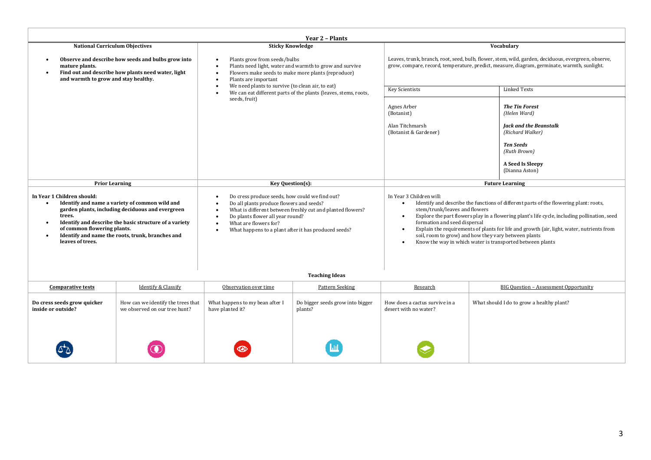| <b>Year 2 - Plants</b>                                                                                                                                                                                                                                                                                                   |                                                                                                                                                                                                                                                                                                                                                     |                                                                                                                                                                                                                |                                                                                                                                                                                                                                                                                    |  |  |  |
|--------------------------------------------------------------------------------------------------------------------------------------------------------------------------------------------------------------------------------------------------------------------------------------------------------------------------|-----------------------------------------------------------------------------------------------------------------------------------------------------------------------------------------------------------------------------------------------------------------------------------------------------------------------------------------------------|----------------------------------------------------------------------------------------------------------------------------------------------------------------------------------------------------------------|------------------------------------------------------------------------------------------------------------------------------------------------------------------------------------------------------------------------------------------------------------------------------------|--|--|--|
| <b>National Curriculum Objectives</b>                                                                                                                                                                                                                                                                                    | <b>Sticky Knowledge</b>                                                                                                                                                                                                                                                                                                                             |                                                                                                                                                                                                                | Vocabulary                                                                                                                                                                                                                                                                         |  |  |  |
| Observe and describe how seeds and bulbs grow into<br>mature plants.<br>Find out and describe how plants need water, light<br>and warmth to grow and stay healthy.                                                                                                                                                       | Plants grow from seeds/bulbs<br>$\bullet$<br>Plants need light, water and warmth to grow and survive<br>$\bullet$<br>Flowers make seeds to make more plants (reproduce)<br>$\bullet$<br>Plants are important<br>$\bullet$<br>We need plants to survive (to clean air, to eat)                                                                       | Leaves, trunk, branch, root, seed, bulb, flower, stem, wild, garden, deciduous, evergreen, observe,<br>grow, compare, record, temperature, predict, measure, diagram, germinate, warmth, sunlight.             |                                                                                                                                                                                                                                                                                    |  |  |  |
|                                                                                                                                                                                                                                                                                                                          | $\bullet$<br>We can eat different parts of the plants (leaves, stems, roots,<br>$\bullet$                                                                                                                                                                                                                                                           | <b>Key Scientists</b>                                                                                                                                                                                          | <b>Linked Texts</b>                                                                                                                                                                                                                                                                |  |  |  |
|                                                                                                                                                                                                                                                                                                                          | seeds, fruit)                                                                                                                                                                                                                                                                                                                                       |                                                                                                                                                                                                                | <b>The Tin Forest</b><br>(Helen Ward)<br><b>Jack and the Beanstalk</b><br>(Richard Walker)<br><b>Ten Seeds</b><br>(Ruth Brown)<br>A Seed Is Sleepy<br>(Dianna Aston)                                                                                                               |  |  |  |
| <b>Prior Learning</b>                                                                                                                                                                                                                                                                                                    | Key Question(s):                                                                                                                                                                                                                                                                                                                                    |                                                                                                                                                                                                                | <b>Future Learning</b>                                                                                                                                                                                                                                                             |  |  |  |
| In Year 1 Children should:<br>Identify and name a variety of common wild and<br>$\bullet$<br>garden plants, including deciduous and evergreen<br>trees.<br>Identify and describe the basic structure of a variety<br>of common flowering plants.<br>Identify and name the roots, trunk, branches and<br>leaves of trees. | Do cress produce seeds, how could we find out?<br>٠<br>Do all plants produce flowers and seeds?<br>$\bullet$<br>What is different between freshly cut and planted flowers?<br>$\bullet$<br>Do plants flower all year round?<br>$\bullet$<br>What are flowers for?<br>$\bullet$<br>What happens to a plant after it has produced seeds?<br>$\bullet$ | In Year 3 Children will:<br>stem/trunk/leaves and flowers<br>formation and seed dispersal<br>soil, room to grow) and how they vary between plants<br>Know the way in which water is transported between plants | Identify and describe the functions of different parts of the flowering plant: roots,<br>Explore the part flowers play in a flowering plant's life cycle, including pollination, seed<br>Explain the requirements of plants for life and growth (air, light, water, nutrients from |  |  |  |

| <b>Comparative tests</b>                          | <b>Identify &amp; Classify</b>                                      | Observation over time                               | Pattern Seeking                             | Research                                                | <b>BIG Question - Assessment Opportunity</b> |
|---------------------------------------------------|---------------------------------------------------------------------|-----------------------------------------------------|---------------------------------------------|---------------------------------------------------------|----------------------------------------------|
| Do cress seeds grow quicker<br>inside or outside? | How can we identify the trees that<br>we observed on our tree hunt? | What happens to my bean after I<br>have planted it? | Do bigger seeds grow into bigger<br>plants? | How does a cactus survive in a<br>desert with no water? | What should I do to grow a healthy plant?    |
| $\Delta\Delta$                                    |                                                                     | $\circledcirc$                                      | ы                                           |                                                         |                                              |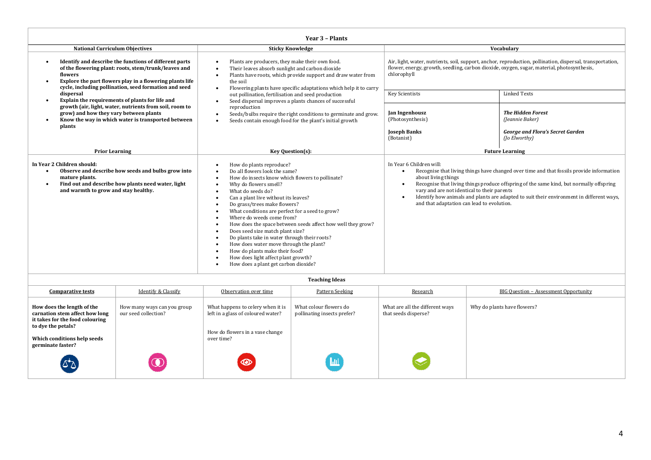| Year 3 - Plants                                                                                                                                                                                                                                             |                                                                                                                                                                                                                                                                                                                                                                                                                                                                                                                                                                                                                                  |                                                                                                                                              |                                                                                                                                                                                                                                                                                 |  |  |
|-------------------------------------------------------------------------------------------------------------------------------------------------------------------------------------------------------------------------------------------------------------|----------------------------------------------------------------------------------------------------------------------------------------------------------------------------------------------------------------------------------------------------------------------------------------------------------------------------------------------------------------------------------------------------------------------------------------------------------------------------------------------------------------------------------------------------------------------------------------------------------------------------------|----------------------------------------------------------------------------------------------------------------------------------------------|---------------------------------------------------------------------------------------------------------------------------------------------------------------------------------------------------------------------------------------------------------------------------------|--|--|
| <b>National Curriculum Objectives</b>                                                                                                                                                                                                                       | <b>Sticky Knowledge</b>                                                                                                                                                                                                                                                                                                                                                                                                                                                                                                                                                                                                          | Vocabulary                                                                                                                                   |                                                                                                                                                                                                                                                                                 |  |  |
| Identify and describe the functions of different parts<br>$\bullet$<br>of the flowering plant: roots, stem/trunk/leaves and<br>flowers<br>Explore the part flowers play in a flowering plants life<br>cycle, including pollination, seed formation and seed | Plants are producers, they make their own food.<br>Their leaves absorb sunlight and carbon dioxide<br>Plants have roots, which provide support and draw water from<br>the soil<br>Flowering plants have specific adaptations which help it to carry                                                                                                                                                                                                                                                                                                                                                                              | flower, energy, growth, seedling, carbon dioxide, oxygen, sugar, material, photosynthesis,<br>chlorophyll                                    | Air, light, water, nutrients, soil, support, anchor, reproduction, pollination, dispersal, transportation,                                                                                                                                                                      |  |  |
| dispersal<br>Explain the requirements of plants for life and<br>$\bullet$                                                                                                                                                                                   | out pollination, fertilisation and seed production                                                                                                                                                                                                                                                                                                                                                                                                                                                                                                                                                                               | <b>Key Scientists</b>                                                                                                                        | <b>Linked Texts</b>                                                                                                                                                                                                                                                             |  |  |
| growth (air, light, water, nutrients from soil, room to<br>grow) and how they vary between plants<br>Know the way in which water is transported between                                                                                                     | Seed dispersal improves a plants chances of successful<br>reproduction<br>Seeds/bulbs require the right conditions to germinate and grow.<br>Seeds contain enough food for the plant's initial growth                                                                                                                                                                                                                                                                                                                                                                                                                            | Jan Ingenhousz<br>(Photosynthesis)                                                                                                           | <b>The Hidden Forest</b><br>(Jeannie Baker)                                                                                                                                                                                                                                     |  |  |
| plants                                                                                                                                                                                                                                                      | <b>Joseph Banks</b><br>(Botanist)                                                                                                                                                                                                                                                                                                                                                                                                                                                                                                                                                                                                |                                                                                                                                              | <b>George and Flora's Secret Garden</b><br>(Jo Elworthy)                                                                                                                                                                                                                        |  |  |
| <b>Prior Learning</b>                                                                                                                                                                                                                                       | Key Question(s):                                                                                                                                                                                                                                                                                                                                                                                                                                                                                                                                                                                                                 | <b>Future Learning</b>                                                                                                                       |                                                                                                                                                                                                                                                                                 |  |  |
| In Year 2 Children should:<br>Observe and describe how seeds and bulbs grow into<br>$\bullet$<br>mature plants.<br>Find out and describe how plants need water, light<br>$\bullet$<br>and warmth to grow and stay healthy.                                  | How do plants reproduce?<br>Do all flowers look the same?<br>How do insects know which flowers to pollinate?<br>Why do flowers smell?<br>What do seeds do?<br>Can a plant live without its leaves?<br>Do grass/trees make flowers?<br>What conditions are perfect for a seed to grow?<br>Where do weeds come from?<br>How does the space between seeds affect how well they grow?<br>Does seed size match plant size?<br>Do plants take in water through their roots?<br>How does water move through the plant?<br>How do plants make their food?<br>How does light affect plant growth?<br>How does a plant get carbon dioxide? | In Year 6 Children will:<br>about living things<br>vary and are not identical to their parents<br>and that adaptation can lead to evolution. | Recognise that living things have changed over time and that fossils provide information<br>Recognise that living things produce offspring of the same kind, but normally offspring<br>Identify how animals and plants are adapted to suit their environment in different ways, |  |  |
| <b>Teaching Ideas</b>                                                                                                                                                                                                                                       |                                                                                                                                                                                                                                                                                                                                                                                                                                                                                                                                                                                                                                  |                                                                                                                                              |                                                                                                                                                                                                                                                                                 |  |  |

| <b>Comparative tests</b>                                                                                              | <b>Identify &amp; Classify</b>                      | Observation over time                                                                                      | <b>Pattern Seeking</b>                                | Research                                                | <b>BIG Question - Assessment Opportunity</b> |
|-----------------------------------------------------------------------------------------------------------------------|-----------------------------------------------------|------------------------------------------------------------------------------------------------------------|-------------------------------------------------------|---------------------------------------------------------|----------------------------------------------|
| How does the length of the<br>carnation stem affect how long<br>it takes for the food colouring<br>to dye the petals? | How many ways can you group<br>our seed collection? | What happens to celery when it is<br>left in a glass of coloured water?<br>How do flowers in a vase change | What colour flowers do<br>pollinating insects prefer? | What are all the different ways<br>that seeds disperse? | Why do plants have flowers?                  |
| Which conditions help seeds<br>germinate faster?                                                                      |                                                     | over time?                                                                                                 |                                                       |                                                         |                                              |
| لا*کا                                                                                                                 |                                                     | $\circ$                                                                                                    |                                                       |                                                         |                                              |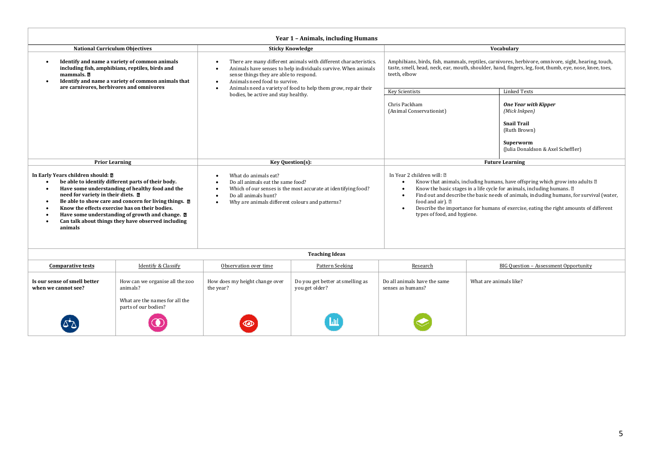| Year 1 - Animals, including Humans                                                                                                                                                                                                                                                                                                                                                                                                                                            |                                                                                                                                                                                                                                                                                                                                                                                                                                   |                                                                |                                                                                                                                                                                                                                                                   |                                                                                                                                       |  |  |
|-------------------------------------------------------------------------------------------------------------------------------------------------------------------------------------------------------------------------------------------------------------------------------------------------------------------------------------------------------------------------------------------------------------------------------------------------------------------------------|-----------------------------------------------------------------------------------------------------------------------------------------------------------------------------------------------------------------------------------------------------------------------------------------------------------------------------------------------------------------------------------------------------------------------------------|----------------------------------------------------------------|-------------------------------------------------------------------------------------------------------------------------------------------------------------------------------------------------------------------------------------------------------------------|---------------------------------------------------------------------------------------------------------------------------------------|--|--|
| <b>National Curriculum Objectives</b>                                                                                                                                                                                                                                                                                                                                                                                                                                         |                                                                                                                                                                                                                                                                                                                                                                                                                                   | <b>Sticky Knowledge</b>                                        |                                                                                                                                                                                                                                                                   | Vocabulary                                                                                                                            |  |  |
| Identify and name a variety of common animals<br>including fish, amphibians, reptiles, birds and<br>mammals. 7<br>Identify and name a variety of common animals that<br>٠                                                                                                                                                                                                                                                                                                     | There are many different animals with different characteristics.<br>Animals have senses to help individuals survive. When animals<br>sense things they are able to respond.<br>Animals need food to survive.                                                                                                                                                                                                                      |                                                                | Amphibians, birds, fish, mammals, reptiles, carnivores, herbivore, omnivore, sight, hearing, touch,<br>taste, smell, head, neck, ear, mouth, shoulder, hand, fingers, leg, foot, thumb, eye, nose, knee, toes,<br>teeth, elbow                                    |                                                                                                                                       |  |  |
| are carnivores, herbivores and omnivores                                                                                                                                                                                                                                                                                                                                                                                                                                      |                                                                                                                                                                                                                                                                                                                                                                                                                                   | Animals need a variety of food to help them grow, repair their | <b>Key Scientists</b>                                                                                                                                                                                                                                             | <b>Linked Texts</b>                                                                                                                   |  |  |
|                                                                                                                                                                                                                                                                                                                                                                                                                                                                               | bodies, be active and stay healthy.                                                                                                                                                                                                                                                                                                                                                                                               |                                                                | Chris Packham<br>(Animal Conservationist)                                                                                                                                                                                                                         | <b>One Year with Kipper</b><br>(Mick Inkpen)<br><b>Snail Trail</b><br>(Ruth Brown)<br>Superworm<br>(Julia Donaldson & Axel Scheffler) |  |  |
| <b>Prior Learning</b>                                                                                                                                                                                                                                                                                                                                                                                                                                                         | Key Question(s):                                                                                                                                                                                                                                                                                                                                                                                                                  |                                                                | <b>Future Learning</b>                                                                                                                                                                                                                                            |                                                                                                                                       |  |  |
| In Early Years children should: a<br>be able to identify different parts of their body.<br>$\bullet$<br>Have some understanding of healthy food and the<br>$\bullet$<br>need for variety in their diets. 2<br>Be able to show care and concern for living things. $\Box$<br>$\bullet$<br>Know the effects exercise has on their bodies.<br>$\bullet$<br>Have some understanding of growth and change. $\Box$<br>Can talk about things they have observed including<br>animals | In Year 2 children will: [2]<br>What do animals eat?<br>Do all animals eat the same food?<br>$\bullet$<br>Know the basic stages in a life cycle for animals, including humans. 2<br>Which of our senses is the most accurate at identifying food?<br>Do all animals hunt?<br>$\bullet$<br>$\bullet$<br>food and air). $\mathbb{Z}$<br>Why are animals different colours and patterns?<br>$\bullet$<br>types of food, and hygiene. |                                                                | Know that animals, including humans, have offspring which grow into adults 2<br>Find out and describe the basic needs of animals, including humans, for survival (water,<br>Describe the importance for humans of exercise, eating the right amounts of different |                                                                                                                                       |  |  |
|                                                                                                                                                                                                                                                                                                                                                                                                                                                                               |                                                                                                                                                                                                                                                                                                                                                                                                                                   | <b>Teaching Ideas</b>                                          |                                                                                                                                                                                                                                                                   |                                                                                                                                       |  |  |
| <b>Identify &amp; Classify</b><br><b>Comparative tests</b>                                                                                                                                                                                                                                                                                                                                                                                                                    | Observation over time                                                                                                                                                                                                                                                                                                                                                                                                             | Pattern Seeking                                                | Research                                                                                                                                                                                                                                                          | <b>BIG Question - Assessment Opportunity</b>                                                                                          |  |  |
| Is our sense of smell better<br>How can we organise all the zoo<br>animals?<br>when we cannot see?                                                                                                                                                                                                                                                                                                                                                                            | How does my height change over<br>the year?                                                                                                                                                                                                                                                                                                                                                                                       | Do you get better at smelling as<br>you get older?             | Do all animals have the same<br>senses as humans?                                                                                                                                                                                                                 | What are animals like?                                                                                                                |  |  |
| What are the names for all the<br>parts of our bodies?                                                                                                                                                                                                                                                                                                                                                                                                                        |                                                                                                                                                                                                                                                                                                                                                                                                                                   |                                                                |                                                                                                                                                                                                                                                                   |                                                                                                                                       |  |  |
|                                                                                                                                                                                                                                                                                                                                                                                                                                                                               |                                                                                                                                                                                                                                                                                                                                                                                                                                   |                                                                |                                                                                                                                                                                                                                                                   |                                                                                                                                       |  |  |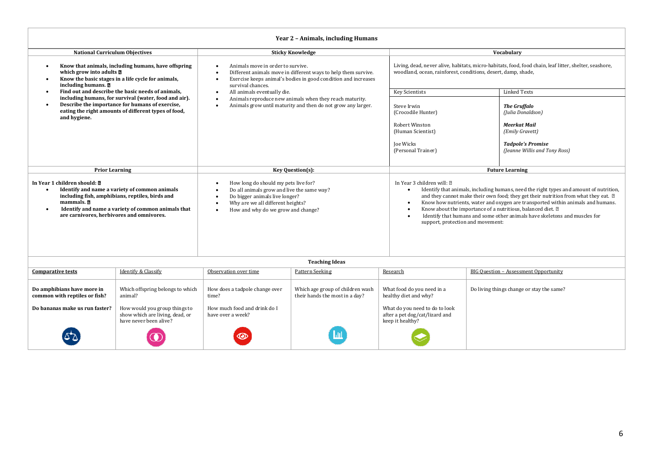| Year 2 - Animals, including Humans                                                                                                                                                                                                                                                                                                                                                                                                                                                                           |                                                                                                                                                                  |                                                                                                                                                                                                                                                                                                                                                                                                                                                                                                                                      |                                                                                                                         |                                                                                                                           |                                                                                                                                                                         |  |  |
|--------------------------------------------------------------------------------------------------------------------------------------------------------------------------------------------------------------------------------------------------------------------------------------------------------------------------------------------------------------------------------------------------------------------------------------------------------------------------------------------------------------|------------------------------------------------------------------------------------------------------------------------------------------------------------------|--------------------------------------------------------------------------------------------------------------------------------------------------------------------------------------------------------------------------------------------------------------------------------------------------------------------------------------------------------------------------------------------------------------------------------------------------------------------------------------------------------------------------------------|-------------------------------------------------------------------------------------------------------------------------|---------------------------------------------------------------------------------------------------------------------------|-------------------------------------------------------------------------------------------------------------------------------------------------------------------------|--|--|
| <b>National Curriculum Objectives</b>                                                                                                                                                                                                                                                                                                                                                                                                                                                                        |                                                                                                                                                                  |                                                                                                                                                                                                                                                                                                                                                                                                                                                                                                                                      | <b>Sticky Knowledge</b>                                                                                                 |                                                                                                                           | Vocabularv                                                                                                                                                              |  |  |
| Know that animals, including humans, have offspring<br>$\bullet$<br>which grow into adults <b>a</b><br>Know the basic stages in a life cycle for animals,<br>$\bullet$<br>including humans.                                                                                                                                                                                                                                                                                                                  |                                                                                                                                                                  | Animals move in order to survive.<br>Different animals move in different ways to help them survive.<br>Exercise keeps animal's bodies in good condition and increases<br>survival chances.                                                                                                                                                                                                                                                                                                                                           |                                                                                                                         |                                                                                                                           | Living, dead, never alive, habitats, micro-habitats, food, food chain, leaf litter, shelter, seashore,<br>woodland, ocean, rainforest, conditions, desert, damp, shade, |  |  |
| $\bullet$                                                                                                                                                                                                                                                                                                                                                                                                                                                                                                    | Find out and describe the basic needs of animals.                                                                                                                | All animals eventually die.                                                                                                                                                                                                                                                                                                                                                                                                                                                                                                          |                                                                                                                         | <b>Key Scientists</b>                                                                                                     | <b>Linked Texts</b>                                                                                                                                                     |  |  |
| $\bullet$<br>and hygiene.                                                                                                                                                                                                                                                                                                                                                                                                                                                                                    | including humans, for survival (water, food and air).<br>Describe the importance for humans of exercise,<br>eating the right amounts of different types of food, | $\epsilon$                                                                                                                                                                                                                                                                                                                                                                                                                                                                                                                           | Animals reproduce new animals when they reach maturity.<br>Animals grow until maturity and then do not grow any larger. | Steve Irwin<br>(Crocodile Hunter)<br><b>Robert Winston</b><br>(Human Scientist)<br><b>Ioe Wicks</b><br>(Personal Trainer) | <b>The Gruffalo</b><br>(Julia Donaldson)<br>Meerkat Mail<br>(Emily Gravett)<br><b>Tadpole's Promise</b><br>(Jeanne Willis and Tony Ross)                                |  |  |
|                                                                                                                                                                                                                                                                                                                                                                                                                                                                                                              |                                                                                                                                                                  |                                                                                                                                                                                                                                                                                                                                                                                                                                                                                                                                      |                                                                                                                         |                                                                                                                           | <b>Future Learning</b>                                                                                                                                                  |  |  |
| <b>Prior Learning</b><br>Key Question(s):<br>In Year 1 children should: M<br>How long do should my pets live for?<br>Do all animals grow and live the same way?<br>Identify and name a variety of common animals<br>including fish, amphibians, reptiles, birds and<br>Do bigger animals live longer?<br>mammals.<br>Why are we all different heights?<br>Identify and name a variety of common animals that<br>How and why do we grow and change?<br>$\bullet$<br>are carnivores, herbivores and omnivores. |                                                                                                                                                                  | In Year 3 children will: 2<br>Identify that animals, including humans, need the right types and amount of nutrition,<br>$\bullet$<br>and they cannot make their own food; they get their nutrition from what they eat. 2<br>Know how nutrients, water and oxygen are transported within animals and humans.<br>$\bullet$<br>Know about the importance of a nutritious, balanced diet. 2<br>$\bullet$<br>Identify that humans and some other animals have skeletons and muscles for<br>$\bullet$<br>support, protection and movement: |                                                                                                                         |                                                                                                                           |                                                                                                                                                                         |  |  |
|                                                                                                                                                                                                                                                                                                                                                                                                                                                                                                              |                                                                                                                                                                  |                                                                                                                                                                                                                                                                                                                                                                                                                                                                                                                                      | <b>Teaching Ideas</b>                                                                                                   |                                                                                                                           |                                                                                                                                                                         |  |  |
| <b>Comparative tests</b>                                                                                                                                                                                                                                                                                                                                                                                                                                                                                     | Identify & Classify                                                                                                                                              | Observation over time                                                                                                                                                                                                                                                                                                                                                                                                                                                                                                                | Pattern Seeking                                                                                                         | Research                                                                                                                  | BIG Question - Assessment Opportunity                                                                                                                                   |  |  |
| Do amphibians have more in<br>common with reptiles or fish?                                                                                                                                                                                                                                                                                                                                                                                                                                                  | Which offspring belongs to which<br>animal?                                                                                                                      | How does a tadpole change over<br>time?                                                                                                                                                                                                                                                                                                                                                                                                                                                                                              | Which age group of children wash<br>their hands the most in a day?                                                      | What food do you need in a<br>healthy diet and why?                                                                       | Do living things change or stay the same?                                                                                                                               |  |  |
| Do bananas make us run faster?                                                                                                                                                                                                                                                                                                                                                                                                                                                                               | How would you group things to<br>show which are living, dead, or<br>have never been alive?                                                                       | How much food and drink do I<br>have over a week?                                                                                                                                                                                                                                                                                                                                                                                                                                                                                    |                                                                                                                         | What do you need to do to look<br>after a pet dog/cat/lizard and<br>keep it healthy?                                      |                                                                                                                                                                         |  |  |

Hill

 $\bullet$ 

 $\Delta \Delta$ 

 $\bigcirc$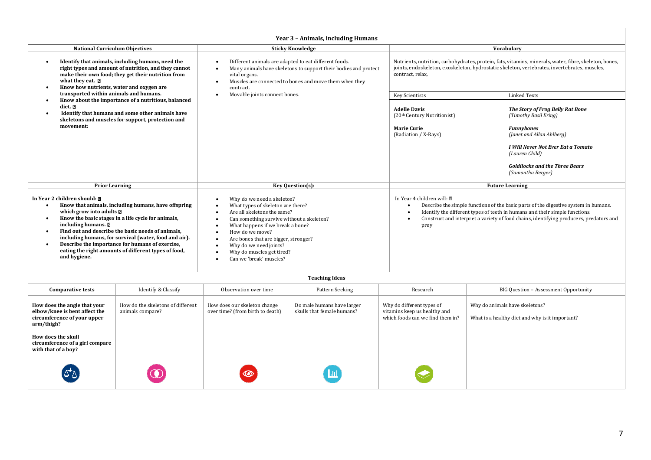| Year 3 - Animals, including Humans                                                                                                                                                                                                                                                                                                                                                                                                                                                           |                                                                                                                                                                                                                                                                                                                              |                                                                                                                                                                                                                             |                                                                                                                                                                                                                                                              |  |  |
|----------------------------------------------------------------------------------------------------------------------------------------------------------------------------------------------------------------------------------------------------------------------------------------------------------------------------------------------------------------------------------------------------------------------------------------------------------------------------------------------|------------------------------------------------------------------------------------------------------------------------------------------------------------------------------------------------------------------------------------------------------------------------------------------------------------------------------|-----------------------------------------------------------------------------------------------------------------------------------------------------------------------------------------------------------------------------|--------------------------------------------------------------------------------------------------------------------------------------------------------------------------------------------------------------------------------------------------------------|--|--|
| <b>National Curriculum Objectives</b>                                                                                                                                                                                                                                                                                                                                                                                                                                                        | <b>Sticky Knowledge</b>                                                                                                                                                                                                                                                                                                      |                                                                                                                                                                                                                             | Vocabulary                                                                                                                                                                                                                                                   |  |  |
| Identify that animals, including humans, need the<br>$\bullet$<br>right types and amount of nutrition, and they cannot<br>make their own food; they get their nutrition from<br>what they eat. <b>n</b><br>Know how nutrients, water and oxygen are<br>$\bullet$                                                                                                                                                                                                                             | Different animals are adapted to eat different foods.<br>Many animals have skeletons to support their bodies and protect<br>vital organs.<br>Muscles are connected to bones and move them when they<br>contract.                                                                                                             | Nutrients, nutrition, carbohydrates, protein, fats, vitamins, minerals, water, fibre, skeleton, bones,<br>joints, endoskeleton, exoskeleton, hydrostatic skeleton, vertebrates, invertebrates, muscles,<br>contract, relax, |                                                                                                                                                                                                                                                              |  |  |
| transported within animals and humans.                                                                                                                                                                                                                                                                                                                                                                                                                                                       | Movable joints connect bones.                                                                                                                                                                                                                                                                                                | <b>Key Scientists</b>                                                                                                                                                                                                       | <b>Linked Texts</b>                                                                                                                                                                                                                                          |  |  |
| diet. D<br>Identify that humans and some other animals have<br>$\bullet$<br>skeletons and muscles for support, protection and                                                                                                                                                                                                                                                                                                                                                                | Know about the importance of a nutritious, balanced<br>$\bullet$                                                                                                                                                                                                                                                             | <b>Adelle Davis</b><br>(20th Century Nutritionist)                                                                                                                                                                          | <b>The Story of Frog Belly Rat Bone</b><br>(Timothy Basil Ering)                                                                                                                                                                                             |  |  |
| movement:                                                                                                                                                                                                                                                                                                                                                                                                                                                                                    |                                                                                                                                                                                                                                                                                                                              | <b>Marie Curie</b><br>(Radiation / X-Rays)                                                                                                                                                                                  | <b>Funnybones</b><br>(Janet and Allan Ahlberg)                                                                                                                                                                                                               |  |  |
|                                                                                                                                                                                                                                                                                                                                                                                                                                                                                              |                                                                                                                                                                                                                                                                                                                              |                                                                                                                                                                                                                             | I Will Never Not Ever Eat a Tomato<br>(Lauren Child)                                                                                                                                                                                                         |  |  |
|                                                                                                                                                                                                                                                                                                                                                                                                                                                                                              |                                                                                                                                                                                                                                                                                                                              |                                                                                                                                                                                                                             | <b>Goldilocks and the Three Bears</b><br>(Samantha Berger)                                                                                                                                                                                                   |  |  |
| <b>Prior Learning</b>                                                                                                                                                                                                                                                                                                                                                                                                                                                                        | Key Question(s):                                                                                                                                                                                                                                                                                                             |                                                                                                                                                                                                                             | <b>Future Learning</b>                                                                                                                                                                                                                                       |  |  |
| In Year 2 children should: 7<br>Know that animals, including humans, have offspring<br>$\bullet$<br>which grow into adults $\Box$<br>Know the basic stages in a life cycle for animals,<br>$\bullet$<br>including humans.<br>Find out and describe the basic needs of animals,<br>$\bullet$<br>including humans, for survival (water, food and air).<br>Describe the importance for humans of exercise,<br>$\bullet$<br>eating the right amounts of different types of food,<br>and hygiene. | Why do we need a skeleton?<br>What types of skeleton are there?<br>Are all skeletons the same?<br>Can something survive without a skeleton?<br>What happens if we break a bone?<br>How do we move?<br>Are bones that are bigger, stronger?<br>Why do we need joints?<br>Why do muscles get tired?<br>Can we 'break' muscles? | In Year 4 children will: [2]<br>$\bullet$<br>prey                                                                                                                                                                           | Describe the simple functions of the basic parts of the digestive system in humans.<br>Identify the different types of teeth in humans and their simple functions.<br>Construct and interpret a variety of food chains, identifying producers, predators and |  |  |

| <b>Comparative tests</b>                                                                                   | Identify & Classify                                   | Observation over time                                            | Pattern Seeking                                          | Research                                                                                      | <b>BIG Question - Assessment Opportunity</b>                                      |
|------------------------------------------------------------------------------------------------------------|-------------------------------------------------------|------------------------------------------------------------------|----------------------------------------------------------|-----------------------------------------------------------------------------------------------|-----------------------------------------------------------------------------------|
| How does the angle that your<br>elbow/knee is bent affect the<br>circumference of your upper<br>arm/thigh? | How do the skeletons of different<br>animals compare? | How does our skeleton change<br>over time? (from birth to death) | Do male humans have larger<br>skulls that female humans? | Why do different types of<br>vitamins keep us healthy and<br>which foods can we find them in? | Why do animals have skeletons?<br>What is a healthy diet and why is it important? |
| How does the skull<br>circumference of a girl compare<br>with that of a boy?                               |                                                       |                                                                  |                                                          |                                                                                               |                                                                                   |
| (۵۵                                                                                                        |                                                       | 0                                                                |                                                          |                                                                                               |                                                                                   |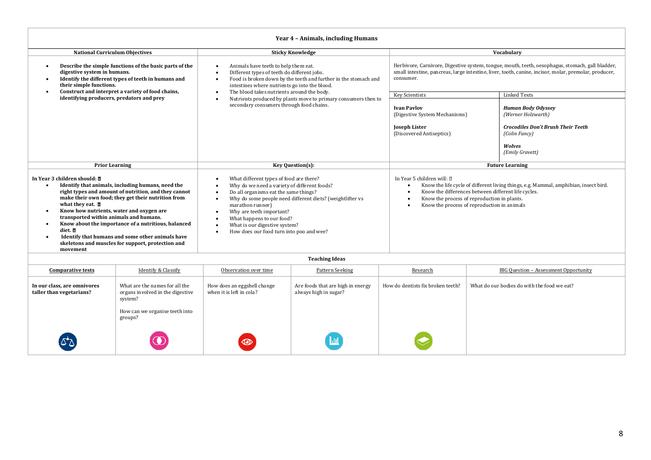| Year 4 - Animals, including Humans                                                                                                                                                                                                                                                                                                                                                                                                                                                                                                                          |                                                                                                                                                                                                                                                                                                                                                         |                                                                                                                                                                                                                                                                                                                             |                                                                                              |  |  |
|-------------------------------------------------------------------------------------------------------------------------------------------------------------------------------------------------------------------------------------------------------------------------------------------------------------------------------------------------------------------------------------------------------------------------------------------------------------------------------------------------------------------------------------------------------------|---------------------------------------------------------------------------------------------------------------------------------------------------------------------------------------------------------------------------------------------------------------------------------------------------------------------------------------------------------|-----------------------------------------------------------------------------------------------------------------------------------------------------------------------------------------------------------------------------------------------------------------------------------------------------------------------------|----------------------------------------------------------------------------------------------|--|--|
| <b>National Curriculum Objectives</b>                                                                                                                                                                                                                                                                                                                                                                                                                                                                                                                       | <b>Sticky Knowledge</b>                                                                                                                                                                                                                                                                                                                                 | Vocabulary                                                                                                                                                                                                                                                                                                                  |                                                                                              |  |  |
| Animals have teeth to help them eat.<br>Describe the simple functions of the basic parts of the<br>$\bullet$<br>digestive system in humans.<br>Different types of teeth do different jobs.<br>Identify the different types of teeth in humans and<br>Food is broken down by the teeth and further in the stomach and<br>$\bullet$<br>their simple functions.<br>intestines where nutrients go into the blood.                                                                                                                                               |                                                                                                                                                                                                                                                                                                                                                         | Herbivore, Carnivore, Digestive system, tongue, mouth, teeth, oesophagus, stomach, gall bladder,<br>small intestine, pancreas, large intestine, liver, tooth, canine, incisor, molar, premolar, producer,<br>consumer.                                                                                                      |                                                                                              |  |  |
| Construct and interpret a variety of food chains,<br>$\bullet$<br>identifying producers, predators and prey                                                                                                                                                                                                                                                                                                                                                                                                                                                 | The blood takes nutrients around the body.<br>Nutrients produced by plants move to primary consumers then to                                                                                                                                                                                                                                            | Key Scientists                                                                                                                                                                                                                                                                                                              | <b>Linked Texts</b>                                                                          |  |  |
|                                                                                                                                                                                                                                                                                                                                                                                                                                                                                                                                                             | secondary consumers through food chains.                                                                                                                                                                                                                                                                                                                | <b>Ivan Pavlov</b><br>(Digestive System Mechanisms)<br><b>Joseph Lister</b>                                                                                                                                                                                                                                                 | <b>Human Body Odyssey</b><br>(Werner Holzwarth)<br><b>Crocodiles Don't Brush Their Teeth</b> |  |  |
|                                                                                                                                                                                                                                                                                                                                                                                                                                                                                                                                                             |                                                                                                                                                                                                                                                                                                                                                         | (Discovered Antiseptics)                                                                                                                                                                                                                                                                                                    | (Colin Fancy)                                                                                |  |  |
|                                                                                                                                                                                                                                                                                                                                                                                                                                                                                                                                                             |                                                                                                                                                                                                                                                                                                                                                         |                                                                                                                                                                                                                                                                                                                             | <b>Wolves</b><br>(Emily Gravett)                                                             |  |  |
| <b>Prior Learning</b>                                                                                                                                                                                                                                                                                                                                                                                                                                                                                                                                       | Key Question(s):                                                                                                                                                                                                                                                                                                                                        |                                                                                                                                                                                                                                                                                                                             | <b>Future Learning</b>                                                                       |  |  |
| In Year 3 children should: 7<br>Identify that animals, including humans, need the<br>$\bullet$<br>right types and amount of nutrition, and they cannot<br>make their own food; they get their nutrition from<br>what they eat. <b>D</b><br>Know how nutrients, water and oxygen are<br>$\bullet$<br>transported within animals and humans.<br>Know about the importance of a nutritious, balanced<br>$\bullet$<br>diet. D<br>Identify that humans and some other animals have<br>$\bullet$<br>skeletons and muscles for support, protection and<br>movement | What different types of food are there?<br>Why do we need a variety of different foods?<br>Do all organisms eat the same things?<br>Why do some people need different diets? (weightlifter vs<br>marathon runner)<br>Why are teeth important?<br>What happens to our food?<br>What is our digestive system?<br>How does our food turn into poo and wee? | In Year 5 children will: 2<br>Know the life cycle of different living things, e.g. Mammal, amphibian, insect bird.<br>$\bullet$<br>Know the differences between different life cycles.<br>$\bullet$<br>Know the process of reproduction in plants.<br>$\bullet$<br>Know the process of reproduction in animals<br>$\bullet$ |                                                                                              |  |  |
| <b>Teaching Ideas</b>                                                                                                                                                                                                                                                                                                                                                                                                                                                                                                                                       |                                                                                                                                                                                                                                                                                                                                                         |                                                                                                                                                                                                                                                                                                                             |                                                                                              |  |  |

| <b>Comparative tests</b>                                | Identify & Classify                                                                                             | Observation over time                                   | Pattern Seeking                                            | Research                          | BIG Ouestion - Assessment Opportunity       |  |
|---------------------------------------------------------|-----------------------------------------------------------------------------------------------------------------|---------------------------------------------------------|------------------------------------------------------------|-----------------------------------|---------------------------------------------|--|
| In our class, are omnivores<br>taller than vegetarians? | What are the names for all the<br>organs involved in the digestive<br>system?<br>How can we organise teeth into | How does an eggshell change<br>when it is left in cola? | Are foods that are high in energy<br>always high in sugar? | How do dentists fix broken teeth? | What do our bodies do with the food we eat? |  |
| لا*ک                                                    | groups?                                                                                                         | $\circledcirc$                                          |                                                            |                                   |                                             |  |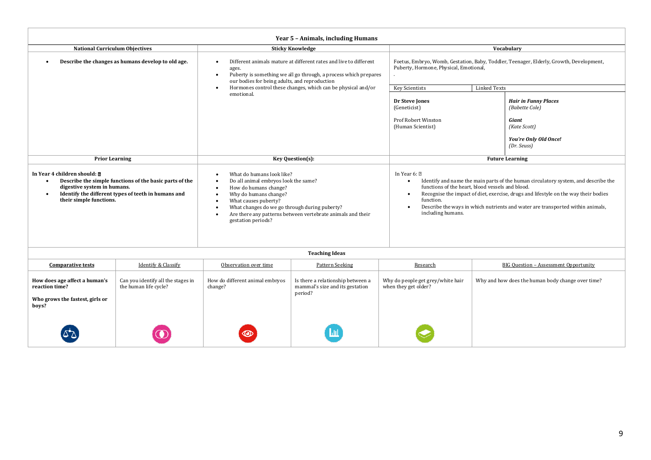| Year 5 - Animals, including Humans                                                                                                                                                                                                        |                                                             |                                                                                                                                                                                                                                                                                                                          |                                                                                 |                                                                                                                                                                                                                                                                                                                                                                   |                     |                                                                                                                |  |
|-------------------------------------------------------------------------------------------------------------------------------------------------------------------------------------------------------------------------------------------|-------------------------------------------------------------|--------------------------------------------------------------------------------------------------------------------------------------------------------------------------------------------------------------------------------------------------------------------------------------------------------------------------|---------------------------------------------------------------------------------|-------------------------------------------------------------------------------------------------------------------------------------------------------------------------------------------------------------------------------------------------------------------------------------------------------------------------------------------------------------------|---------------------|----------------------------------------------------------------------------------------------------------------|--|
| <b>National Curriculum Objectives</b>                                                                                                                                                                                                     |                                                             |                                                                                                                                                                                                                                                                                                                          | <b>Sticky Knowledge</b>                                                         |                                                                                                                                                                                                                                                                                                                                                                   | Vocabulary          |                                                                                                                |  |
| Describe the changes as humans develop to old age.                                                                                                                                                                                        |                                                             | Different animals mature at different rates and live to different<br>$\bullet$<br>ages.<br>Puberty is something we all go through, a process which prepares<br>$\bullet$<br>our bodies for being adults, and reproduction                                                                                                |                                                                                 | Foetus, Embryo, Womb, Gestation, Baby, Toddler, Teenager, Elderly, Growth, Development,<br>Puberty, Hormone, Physical, Emotional,                                                                                                                                                                                                                                 |                     |                                                                                                                |  |
|                                                                                                                                                                                                                                           |                                                             |                                                                                                                                                                                                                                                                                                                          | Hormones control these changes, which can be physical and/or                    | Key Scientists                                                                                                                                                                                                                                                                                                                                                    | <b>Linked Texts</b> |                                                                                                                |  |
|                                                                                                                                                                                                                                           |                                                             | emotional.                                                                                                                                                                                                                                                                                                               |                                                                                 | Dr Steve Jones<br>(Geneticist)<br>Prof Robert Winston<br>(Human Scientist)                                                                                                                                                                                                                                                                                        |                     | <b>Hair in Funny Places</b><br>(Babette Cole)<br>Giant<br>(Kate Scott)<br>You're Only Old Once!<br>(Dr. Seuss) |  |
| <b>Prior Learning</b>                                                                                                                                                                                                                     |                                                             | Key Question(s):                                                                                                                                                                                                                                                                                                         |                                                                                 | <b>Future Learning</b>                                                                                                                                                                                                                                                                                                                                            |                     |                                                                                                                |  |
| In Year 4 children should: <b>2</b><br>Describe the simple functions of the basic parts of the<br>$\bullet$<br>digestive system in humans.<br>Identify the different types of teeth in humans and<br>$\bullet$<br>their simple functions. |                                                             | What do humans look like?<br>Do all animal embryos look the same?<br>How do humans change?<br>Why do humans change?<br>What causes puberty?<br>$\bullet$<br>What changes do we go through during puberty?<br>$\bullet$<br>Are there any patterns between vertebrate animals and their<br>$\bullet$<br>gestation periods? |                                                                                 | In Year 6: 2<br>Identify and name the main parts of the human circulatory system, and describe the<br>functions of the heart, blood vessels and blood.<br>Recognise the impact of diet, exercise, drugs and lifestyle on the way their bodies<br>function.<br>Describe the ways in which nutrients and water are transported within animals,<br>including humans. |                     |                                                                                                                |  |
|                                                                                                                                                                                                                                           |                                                             |                                                                                                                                                                                                                                                                                                                          | <b>Teaching Ideas</b>                                                           |                                                                                                                                                                                                                                                                                                                                                                   |                     |                                                                                                                |  |
| <b>Comparative tests</b>                                                                                                                                                                                                                  | Identify & Classify                                         | Observation over time                                                                                                                                                                                                                                                                                                    | <b>Pattern Seeking</b>                                                          | Research                                                                                                                                                                                                                                                                                                                                                          |                     | BIG Ouestion - Assessment Opportunity                                                                          |  |
| How does age affect a human's<br>reaction time?<br>Who grows the fastest, girls or<br>boys?                                                                                                                                               | Can you identify all the stages in<br>the human life cycle? | How do different animal embryos<br>change?                                                                                                                                                                                                                                                                               | Is there a relationship between a<br>mammal's size and its gestation<br>period? | Why do people get grey/white hair<br>when they get older?                                                                                                                                                                                                                                                                                                         |                     | Why and how does the human body change over time?                                                              |  |
|                                                                                                                                                                                                                                           |                                                             |                                                                                                                                                                                                                                                                                                                          |                                                                                 |                                                                                                                                                                                                                                                                                                                                                                   |                     |                                                                                                                |  |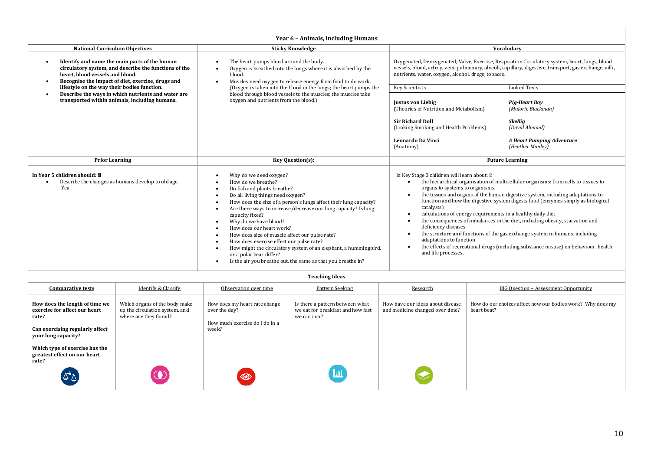| Year 6 - Animals, including Humans                                                                                                                                                             |                                                                                                                                                                                                                                                                                                                                                                                                                                                                                                                                                                                             |                                                                                                                                                                                                                                                                                                                                                                                                                                                                                                                                                                                                                                                                                                                                                         |                                                                                |  |  |  |  |
|------------------------------------------------------------------------------------------------------------------------------------------------------------------------------------------------|---------------------------------------------------------------------------------------------------------------------------------------------------------------------------------------------------------------------------------------------------------------------------------------------------------------------------------------------------------------------------------------------------------------------------------------------------------------------------------------------------------------------------------------------------------------------------------------------|---------------------------------------------------------------------------------------------------------------------------------------------------------------------------------------------------------------------------------------------------------------------------------------------------------------------------------------------------------------------------------------------------------------------------------------------------------------------------------------------------------------------------------------------------------------------------------------------------------------------------------------------------------------------------------------------------------------------------------------------------------|--------------------------------------------------------------------------------|--|--|--|--|
| <b>National Curriculum Objectives</b>                                                                                                                                                          | <b>Sticky Knowledge</b>                                                                                                                                                                                                                                                                                                                                                                                                                                                                                                                                                                     |                                                                                                                                                                                                                                                                                                                                                                                                                                                                                                                                                                                                                                                                                                                                                         |                                                                                |  |  |  |  |
| Identify and name the main parts of the human<br>circulatory system, and describe the functions of the<br>heart, blood vessels and blood.<br>Recognise the impact of diet, exercise, drugs and | The heart pumps blood around the body.<br>Oxygen is breathed into the lungs where it is absorbed by the<br>blood.<br>Muscles need oxygen to release energy from food to do work.                                                                                                                                                                                                                                                                                                                                                                                                            | Oxygenated, Deoxygenated, Valve, Exercise, Respiration Circulatory system, heart, lungs, blood<br>vessels, blood, artery, vein, pulmonary, alveoli, capillary, digestive, transport, gas exchange, villi,<br>nutrients, water, oxygen, alcohol, drugs, tobacco.                                                                                                                                                                                                                                                                                                                                                                                                                                                                                         |                                                                                |  |  |  |  |
| lifestyle on the way their bodies function.                                                                                                                                                    | (Oxygen is taken into the blood in the lungs; the heart pumps the                                                                                                                                                                                                                                                                                                                                                                                                                                                                                                                           | <b>Key Scientists</b>                                                                                                                                                                                                                                                                                                                                                                                                                                                                                                                                                                                                                                                                                                                                   | <b>Linked Texts</b>                                                            |  |  |  |  |
| Describe the ways in which nutrients and water are<br>transported within animals, including humans.                                                                                            | blood through blood vessels to the muscles; the muscles take<br>oxygen and nutrients from the blood.)                                                                                                                                                                                                                                                                                                                                                                                                                                                                                       | <b>Justus von Liebig</b><br>(Theories of Nutrition and Metabolism)<br><b>Sir Richard Doll</b><br>(Linking Smoking and Health Problems)                                                                                                                                                                                                                                                                                                                                                                                                                                                                                                                                                                                                                  | <b>Pig-Heart Boy</b><br>(Malorie Blackman)<br><b>Skellig</b><br>(David Almond) |  |  |  |  |
|                                                                                                                                                                                                |                                                                                                                                                                                                                                                                                                                                                                                                                                                                                                                                                                                             | <b>Leonardo Da Vinci</b><br>(Anatomy)                                                                                                                                                                                                                                                                                                                                                                                                                                                                                                                                                                                                                                                                                                                   | A Heart Pumping Adventure<br>(Heather Manley)                                  |  |  |  |  |
| <b>Prior Learning</b>                                                                                                                                                                          | Key Question(s):                                                                                                                                                                                                                                                                                                                                                                                                                                                                                                                                                                            | <b>Future Learning</b>                                                                                                                                                                                                                                                                                                                                                                                                                                                                                                                                                                                                                                                                                                                                  |                                                                                |  |  |  |  |
| In Year 5 children should: $\delta$<br>Describe the changes as humans develop to old age.<br>Yea                                                                                               | Why do we need oxygen?<br>How do we breathe?<br>Do fish and plants breathe?<br>Do all living things need oxygen?<br>How does the size of a person's lungs affect their lung capacity?<br>Are there ways to increase/decrease our lung capacity? Is lung<br>capacity fixed?<br>Why do we have blood?<br>How does our heart work?<br>How does size of muscle affect our pulse rate?<br>How does exercise effect our pulse rate?<br>How might the circulatory system of an elephant, a hummingbird,<br>or a polar bear differ?<br>Is the air you breathe out, the same as that you breathe in? | In Key Stage 3 children will learn about: 2<br>the hierarchical organisation of multicellular organisms: from cells to tissues to<br>organs to systems to organisms.<br>the tissues and organs of the human digestive system, including adaptations to<br>function and how the digestive system digests food (enzymes simply as biological<br>catalysts)<br>calculations of energy requirements in a healthy daily diet<br>the consequences of imbalances in the diet, including obesity, starvation and<br>deficiency diseases<br>the structure and functions of the gas exchange system in humans, including<br>adaptations to function<br>the effects of recreational drugs (including substance misuse) on behaviour, health<br>and life processes. |                                                                                |  |  |  |  |

| <b>Comparative tests</b>                                                                                                           | Identify & Classify                                                                      | Observation over time                                                                     | Pattern Seeking                                                                     | Research                                                            | BIG Ouestion - Assessment Opportunity                                     |
|------------------------------------------------------------------------------------------------------------------------------------|------------------------------------------------------------------------------------------|-------------------------------------------------------------------------------------------|-------------------------------------------------------------------------------------|---------------------------------------------------------------------|---------------------------------------------------------------------------|
| How does the length of time we<br>exercise for affect our heart<br>rate?<br>Can exercising regularly affect<br>your lung capacity? | Which organs of the body make<br>up the circulation system, and<br>where are they found? | How does my heart rate change<br>over the day?<br>How much exercise do I do in a<br>week? | Is there a pattern between what<br>we eat for breakfast and how fast<br>we can run? | How have our ideas about disease<br>and medicine changed over time? | How do our choices affect how our bodies work? Why does my<br>heart beat? |
| Which type of exercise has the<br>greatest effect on our heart<br>rate?                                                            |                                                                                          |                                                                                           |                                                                                     |                                                                     |                                                                           |
| (దిన                                                                                                                               |                                                                                          | $\circledcirc$                                                                            |                                                                                     |                                                                     |                                                                           |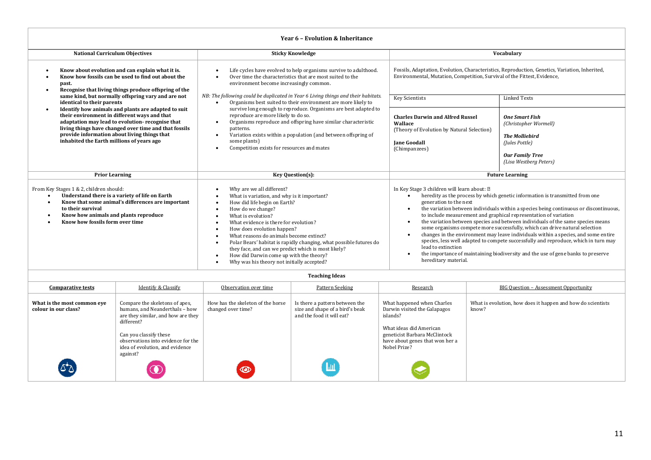| Year 6 - Evolution & Inheritance                                                                                                                                                                                                                                                                                                                                                                                                                                                                                                                                                                                                                                                                                                                                                                                                                                                                                     |                                                                                                                                                                                                                                                                                                                                                             |                                                                                                                                                                                                                                                                                                                                                                                                                                                                                                                                                                                                                                                                                                                                                                                                                  |                                                                                                                                               |  |  |  |
|----------------------------------------------------------------------------------------------------------------------------------------------------------------------------------------------------------------------------------------------------------------------------------------------------------------------------------------------------------------------------------------------------------------------------------------------------------------------------------------------------------------------------------------------------------------------------------------------------------------------------------------------------------------------------------------------------------------------------------------------------------------------------------------------------------------------------------------------------------------------------------------------------------------------|-------------------------------------------------------------------------------------------------------------------------------------------------------------------------------------------------------------------------------------------------------------------------------------------------------------------------------------------------------------|------------------------------------------------------------------------------------------------------------------------------------------------------------------------------------------------------------------------------------------------------------------------------------------------------------------------------------------------------------------------------------------------------------------------------------------------------------------------------------------------------------------------------------------------------------------------------------------------------------------------------------------------------------------------------------------------------------------------------------------------------------------------------------------------------------------|-----------------------------------------------------------------------------------------------------------------------------------------------|--|--|--|
| <b>National Curriculum Objectives</b>                                                                                                                                                                                                                                                                                                                                                                                                                                                                                                                                                                                                                                                                                                                                                                                                                                                                                | <b>Sticky Knowledge</b>                                                                                                                                                                                                                                                                                                                                     |                                                                                                                                                                                                                                                                                                                                                                                                                                                                                                                                                                                                                                                                                                                                                                                                                  | Vocabulary                                                                                                                                    |  |  |  |
| Know about evolution and can explain what it is.<br>Know how fossils can be used to find out about the<br>past.<br>Recognise that living things produce offspring of the                                                                                                                                                                                                                                                                                                                                                                                                                                                                                                                                                                                                                                                                                                                                             | Life cycles have evolved to help organisms survive to adulthood.<br>$\bullet$<br>Over time the characteristics that are most suited to the<br>$\bullet$<br>environment become increasingly common.                                                                                                                                                          | Fossils, Adaptation, Evolution, Characteristics, Reproduction, Genetics, Variation, Inherited,<br>Environmental, Mutation, Competition, Survival of the Fittest, Evidence,                                                                                                                                                                                                                                                                                                                                                                                                                                                                                                                                                                                                                                       |                                                                                                                                               |  |  |  |
| same kind, but normally offspring vary and are not<br>identical to their parents                                                                                                                                                                                                                                                                                                                                                                                                                                                                                                                                                                                                                                                                                                                                                                                                                                     | NB: The following could be duplicated in Year 6 Living things and their habitats.<br>Organisms best suited to their environment are more likely to                                                                                                                                                                                                          | <b>Key Scientists</b>                                                                                                                                                                                                                                                                                                                                                                                                                                                                                                                                                                                                                                                                                                                                                                                            | <b>Linked Texts</b>                                                                                                                           |  |  |  |
| Identify how animals and plants are adapted to suit<br>their environment in different ways and that<br>adaptation may lead to evolution-recognise that<br>living things have changed over time and that fossils<br>provide information about living things that<br>inhabited the Earth millions of years ago                                                                                                                                                                                                                                                                                                                                                                                                                                                                                                                                                                                                         | survive long enough to reproduce. Organisms are best adapted to<br>reproduce are more likely to do so.<br>Organisms reproduce and offspring have similar characteristic<br>$\bullet$<br>patterns.<br>Variation exists within a population (and between offspring of<br>$\bullet$<br>some plants)<br>Competition exists for resources and mates<br>$\bullet$ | <b>Charles Darwin and Alfred Russel</b><br>Wallace<br>(Theory of Evolution by Natural Selection)<br><b>Iane Goodall</b><br>(Chimpanzees)                                                                                                                                                                                                                                                                                                                                                                                                                                                                                                                                                                                                                                                                         | <b>One Smart Fish</b><br>(Christopher Wormell)<br><b>The Molliebird</b><br>(Jules Pottle)<br><b>Our Family Tree</b><br>(Lisa Westberg Peters) |  |  |  |
| <b>Prior Learning</b>                                                                                                                                                                                                                                                                                                                                                                                                                                                                                                                                                                                                                                                                                                                                                                                                                                                                                                | Key Question(s):                                                                                                                                                                                                                                                                                                                                            | <b>Future Learning</b>                                                                                                                                                                                                                                                                                                                                                                                                                                                                                                                                                                                                                                                                                                                                                                                           |                                                                                                                                               |  |  |  |
| From Key Stages 1 & 2, children should:<br>Why are we all different?<br>$\bullet$<br>Understand there is a variety of life on Earth<br>What is variation, and why is it important?<br>$\bullet$<br>$\bullet$<br>Know that some animal's differences are important<br>How did life begin on Earth?<br>$\bullet$<br>$\bullet$<br>to their survival<br>How do we change?<br>$\bullet$<br>Know how animals and plants reproduce<br>What is evolution?<br>$\bullet$<br>$\bullet$<br>Know how fossils form over time<br>What evidence is there for evolution?<br>$\bullet$<br>٠<br>How does evolution happen?<br>٠<br>What reasons do animals become extinct?<br>$\bullet$<br>Polar Bears' habitat is rapidly changing, what possible futures do<br>$\bullet$<br>they face, and can we predict which is most likely?<br>How did Darwin come up with the theory?<br>Why was his theory not initially accepted?<br>$\bullet$ |                                                                                                                                                                                                                                                                                                                                                             | In Key Stage 3 children will learn about: 2<br>heredity as the process by which genetic information is transmitted from one<br>generation to the next<br>the variation between individuals within a species being continuous or discontinuous,<br>$\bullet$<br>to include measurement and graphical representation of variation<br>the variation between species and between individuals of the same species means<br>some organisms compete more successfully, which can drive natural selection<br>changes in the environment may leave individuals within a species, and some entire<br>species, less well adapted to compete successfully and reproduce, which in turn may<br>lead to extinction<br>the importance of maintaining biodiversity and the use of gene banks to preserve<br>hereditary material. |                                                                                                                                               |  |  |  |

| <b>Comparative tests</b>                            | Identify & Classify                                                                                                                                                                                                                 | Observation over time                                   | Pattern Seeking                                                                                | Research                                                                                                                                                                              | BIG Question - Assessment Opportunity                                |
|-----------------------------------------------------|-------------------------------------------------------------------------------------------------------------------------------------------------------------------------------------------------------------------------------------|---------------------------------------------------------|------------------------------------------------------------------------------------------------|---------------------------------------------------------------------------------------------------------------------------------------------------------------------------------------|----------------------------------------------------------------------|
| What is the most common eve<br>colour in our class? | Compare the skeletons of apes,<br>humans, and Neanderthals - how<br>are they similar, and how are they<br>different?<br>Can you classify these<br>observations into evidence for the<br>idea of evolution, and evidence<br>against? | How has the skeleton of the horse<br>changed over time? | Is there a pattern between the<br>size and shape of a bird's beak<br>and the food it will eat? | What happened when Charles<br>Darwin visited the Galapagos<br>islands?<br>What ideas did American<br>geneticist Barbara McClintock<br>have about genes that won her a<br>Nobel Prize? | What is evolution, how does it happen and how do scientists<br>know? |
| $\Delta \Delta$                                     |                                                                                                                                                                                                                                     | $\circledcirc$                                          | <b>Lut</b>                                                                                     |                                                                                                                                                                                       |                                                                      |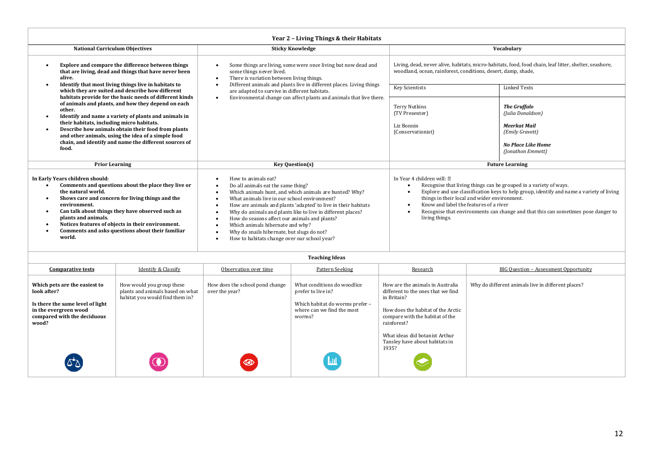| Year 2 - Living Things & their Habitats                                                                                                                                                                                                                                                                                                                                                                    |                                                                                                                                                                                                                                                                                                                                                                                                                                                                                                                                                                                                                                                                                                                                                                              |                                                                                                                                                      |                                                                                                                                                                                                                                                                                                                                                                                              |                                                                                                                                                                                                                                                            |                                                                                                                                                                         |  |  |
|------------------------------------------------------------------------------------------------------------------------------------------------------------------------------------------------------------------------------------------------------------------------------------------------------------------------------------------------------------------------------------------------------------|------------------------------------------------------------------------------------------------------------------------------------------------------------------------------------------------------------------------------------------------------------------------------------------------------------------------------------------------------------------------------------------------------------------------------------------------------------------------------------------------------------------------------------------------------------------------------------------------------------------------------------------------------------------------------------------------------------------------------------------------------------------------------|------------------------------------------------------------------------------------------------------------------------------------------------------|----------------------------------------------------------------------------------------------------------------------------------------------------------------------------------------------------------------------------------------------------------------------------------------------------------------------------------------------------------------------------------------------|------------------------------------------------------------------------------------------------------------------------------------------------------------------------------------------------------------------------------------------------------------|-------------------------------------------------------------------------------------------------------------------------------------------------------------------------|--|--|
| <b>National Curriculum Objectives</b>                                                                                                                                                                                                                                                                                                                                                                      |                                                                                                                                                                                                                                                                                                                                                                                                                                                                                                                                                                                                                                                                                                                                                                              |                                                                                                                                                      | <b>Sticky Knowledge</b>                                                                                                                                                                                                                                                                                                                                                                      |                                                                                                                                                                                                                                                            | Vocabulary                                                                                                                                                              |  |  |
| Explore and compare the difference between things<br>that are living, dead and things that have never been<br>alive.                                                                                                                                                                                                                                                                                       |                                                                                                                                                                                                                                                                                                                                                                                                                                                                                                                                                                                                                                                                                                                                                                              | Some things are living, some were once living but now dead and<br>some things never lived.<br>There is variation between living things.<br>$\bullet$ |                                                                                                                                                                                                                                                                                                                                                                                              |                                                                                                                                                                                                                                                            | Living, dead, never alive, habitats, micro-habitats, food, food chain, leaf litter, shelter, seashore,<br>woodland, ocean, rainforest, conditions, desert, damp, shade, |  |  |
|                                                                                                                                                                                                                                                                                                                                                                                                            | Identify that most living things live in habitats to<br>which they are suited and describe how different                                                                                                                                                                                                                                                                                                                                                                                                                                                                                                                                                                                                                                                                     | are adapted to survive in different habitats.                                                                                                        | Different animals and plants live in different places. Living things                                                                                                                                                                                                                                                                                                                         | <b>Key Scientists</b>                                                                                                                                                                                                                                      | <b>Linked Texts</b>                                                                                                                                                     |  |  |
| habitats provide for the basic needs of different kinds<br>of animals and plants, and how they depend on each<br>other.<br>Identify and name a variety of plants and animals in<br>their habitats, including micro habitats.<br>Describe how animals obtain their food from plants<br>and other animals, using the idea of a simple food<br>chain, and identify and name the different sources of<br>food. |                                                                                                                                                                                                                                                                                                                                                                                                                                                                                                                                                                                                                                                                                                                                                                              |                                                                                                                                                      | Environmental change can affect plants and animals that live there.                                                                                                                                                                                                                                                                                                                          |                                                                                                                                                                                                                                                            | <b>The Gruffalo</b><br>(Julia Donaldson)<br>Meerkat Mail<br>(Emily Gravett)<br><b>No Place Like Home</b><br>(Jonathon Emmett)                                           |  |  |
| <b>Prior Learning</b>                                                                                                                                                                                                                                                                                                                                                                                      |                                                                                                                                                                                                                                                                                                                                                                                                                                                                                                                                                                                                                                                                                                                                                                              |                                                                                                                                                      | <b>Key Question(s)</b>                                                                                                                                                                                                                                                                                                                                                                       |                                                                                                                                                                                                                                                            | <b>Future Learning</b>                                                                                                                                                  |  |  |
| In Early Years children should:<br>$\bullet$<br>the natural world.<br>environment.<br>plants and animals.<br>world.                                                                                                                                                                                                                                                                                        | How to animals eat?<br>Comments and questions about the place they live or<br>Do all animals eat the same thing?<br>Which animals hunt, and which animals are hunted? Why?<br>Shows care and concern for living things and the<br>What animals live in our school environment?<br>$\bullet$<br>How are animals and plants 'adapted' to live in their habitats<br>Can talk about things they have observed such as<br>Why do animals and plants like to live in different places?<br>How do seasons affect our animals and plants?<br>Notices features of objects in their environment.<br>Which animals hibernate and why?<br>Comments and asks questions about their familiar<br>Why do snails hibernate, but slugs do not?<br>How to habitats change over our school year? |                                                                                                                                                      | In Year 4 children will: 2<br>Recognise that living things can be grouped in a variety of ways.<br>Explore and use classification keys to help group, identify and name a variety of living<br>things in their local and wider environment.<br>Know and label the features of a river<br>Recognise that environments can change and that this can sometimes pose danger to<br>living things. |                                                                                                                                                                                                                                                            |                                                                                                                                                                         |  |  |
|                                                                                                                                                                                                                                                                                                                                                                                                            |                                                                                                                                                                                                                                                                                                                                                                                                                                                                                                                                                                                                                                                                                                                                                                              |                                                                                                                                                      | <b>Teaching Ideas</b>                                                                                                                                                                                                                                                                                                                                                                        |                                                                                                                                                                                                                                                            |                                                                                                                                                                         |  |  |
| <b>Comparative tests</b>                                                                                                                                                                                                                                                                                                                                                                                   | <b>Identify &amp; Classify</b>                                                                                                                                                                                                                                                                                                                                                                                                                                                                                                                                                                                                                                                                                                                                               | Observation over time                                                                                                                                | <b>Pattern Seeking</b>                                                                                                                                                                                                                                                                                                                                                                       | Research                                                                                                                                                                                                                                                   | <b>BIG Question - Assessment Opportunity</b>                                                                                                                            |  |  |
| Which pets are the easiest to<br>look after?<br>Is there the same level of light<br>in the evergreen wood<br>compared with the deciduous<br>wood?                                                                                                                                                                                                                                                          | How would you group these<br>plants and animals based on what<br>habitat you would find them in?                                                                                                                                                                                                                                                                                                                                                                                                                                                                                                                                                                                                                                                                             | How does the school pond change<br>over the year?                                                                                                    | What conditions do woodlice<br>prefer to live in?<br>Which habitat do worms prefer -<br>where can we find the most<br>worms?                                                                                                                                                                                                                                                                 | How are the animals in Australia<br>different to the ones that we find<br>in Britain?<br>How does the habitat of the Arctic<br>compare with the habitat of the<br>rainforest?<br>What ideas did botanist Arthur<br>Tansley have about habitats in<br>1935? | Why do different animals live in different places?                                                                                                                      |  |  |
|                                                                                                                                                                                                                                                                                                                                                                                                            |                                                                                                                                                                                                                                                                                                                                                                                                                                                                                                                                                                                                                                                                                                                                                                              |                                                                                                                                                      |                                                                                                                                                                                                                                                                                                                                                                                              |                                                                                                                                                                                                                                                            |                                                                                                                                                                         |  |  |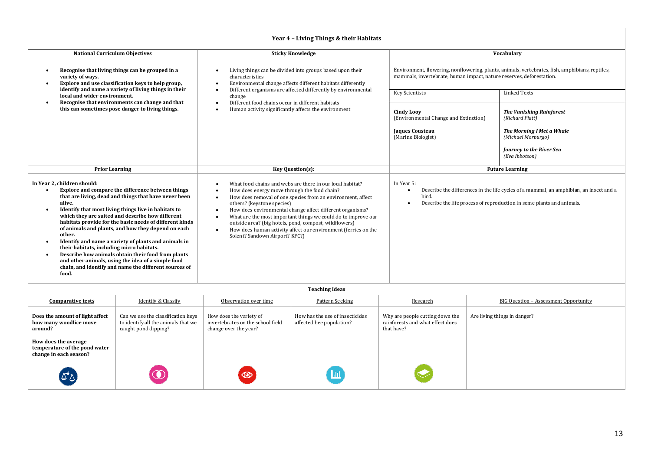| Year 4 - Living Things & their Habitats                                                                                                                                                                                                                                                                                                                                                                                                                                                                                                                                                                                                                                       |                                                                                                                                                                                                                                                                                                                                                                                                                                                                                                                           |                                                                                                                                                                         |                                                                                                                                                                 |  |  |  |
|-------------------------------------------------------------------------------------------------------------------------------------------------------------------------------------------------------------------------------------------------------------------------------------------------------------------------------------------------------------------------------------------------------------------------------------------------------------------------------------------------------------------------------------------------------------------------------------------------------------------------------------------------------------------------------|---------------------------------------------------------------------------------------------------------------------------------------------------------------------------------------------------------------------------------------------------------------------------------------------------------------------------------------------------------------------------------------------------------------------------------------------------------------------------------------------------------------------------|-------------------------------------------------------------------------------------------------------------------------------------------------------------------------|-----------------------------------------------------------------------------------------------------------------------------------------------------------------|--|--|--|
| <b>National Curriculum Objectives</b>                                                                                                                                                                                                                                                                                                                                                                                                                                                                                                                                                                                                                                         | <b>Sticky Knowledge</b>                                                                                                                                                                                                                                                                                                                                                                                                                                                                                                   |                                                                                                                                                                         | Vocabulary                                                                                                                                                      |  |  |  |
| Recognise that living things can be grouped in a<br>variety of ways.<br>Explore and use classification keys to help group,                                                                                                                                                                                                                                                                                                                                                                                                                                                                                                                                                    | Living things can be divided into groups based upon their<br>characteristics<br>Environmental change affects different habitats differently                                                                                                                                                                                                                                                                                                                                                                               | Environment, flowering, nonflowering, plants, animals, vertebrates, fish, amphibians, reptiles,<br>mammals, invertebrate, human impact, nature reserves, deforestation. |                                                                                                                                                                 |  |  |  |
| identify and name a variety of living things in their<br>local and wider environment.                                                                                                                                                                                                                                                                                                                                                                                                                                                                                                                                                                                         | Different organisms are affected differently by environmental<br>change                                                                                                                                                                                                                                                                                                                                                                                                                                                   | <b>Key Scientists</b>                                                                                                                                                   | <b>Linked Texts</b>                                                                                                                                             |  |  |  |
| Recognise that environments can change and that<br>this can sometimes pose danger to living things.                                                                                                                                                                                                                                                                                                                                                                                                                                                                                                                                                                           | Different food chains occur in different habitats<br>Human activity significantly affects the environment                                                                                                                                                                                                                                                                                                                                                                                                                 | <b>Cindy Loov</b><br>(Environmental Change and Extinction)                                                                                                              | <b>The Vanishing Rainforest</b><br>(Richard Platt)                                                                                                              |  |  |  |
|                                                                                                                                                                                                                                                                                                                                                                                                                                                                                                                                                                                                                                                                               |                                                                                                                                                                                                                                                                                                                                                                                                                                                                                                                           | Jaques Cousteau<br>(Marine Biologist)                                                                                                                                   | The Morning I Met a Whale<br>(Michael Morpurgo)                                                                                                                 |  |  |  |
|                                                                                                                                                                                                                                                                                                                                                                                                                                                                                                                                                                                                                                                                               |                                                                                                                                                                                                                                                                                                                                                                                                                                                                                                                           |                                                                                                                                                                         | Journey to the River Sea<br>(Eva Ibbotson)                                                                                                                      |  |  |  |
| <b>Prior Learning</b>                                                                                                                                                                                                                                                                                                                                                                                                                                                                                                                                                                                                                                                         | <b>Key Question(s):</b>                                                                                                                                                                                                                                                                                                                                                                                                                                                                                                   | <b>Future Learning</b>                                                                                                                                                  |                                                                                                                                                                 |  |  |  |
| In Year 2, children should:<br>Explore and compare the difference between things<br>that are living, dead and things that have never been<br>alive.<br>Identify that most living things live in habitats to<br>which they are suited and describe how different<br>habitats provide for the basic needs of different kinds<br>of animals and plants, and how they depend on each<br>other.<br>Identify and name a variety of plants and animals in<br>their habitats, including micro habitats.<br>Describe how animals obtain their food from plants<br>and other animals, using the idea of a simple food<br>chain, and identify and name the different sources of<br>food. | In Year 5:<br>What food chains and webs are there in our local habitat?<br>How does energy move through the food chain?<br>bird.<br>How does removal of one species from an environment, affect<br>others? (keystone species)<br>How does environmental change affect different organisms?<br>What are the most important things we could do to improve our<br>outside area? (big hotels, pond, compost, wildflowers)<br>How does human activity affect our environment (ferries on the<br>Solent? Sandown Airport? KFC?) |                                                                                                                                                                         | Describe the differences in the life cycles of a mammal, an amphibian, an insect and a<br>Describe the life process of reproduction in some plants and animals. |  |  |  |
| Toaching Idoac                                                                                                                                                                                                                                                                                                                                                                                                                                                                                                                                                                                                                                                                |                                                                                                                                                                                                                                                                                                                                                                                                                                                                                                                           |                                                                                                                                                                         |                                                                                                                                                                 |  |  |  |

| <b>Teaching Ideas</b>                                                           |                                                                                                   |                                                                                       |                                                             |                                                                                   |                                       |  |
|---------------------------------------------------------------------------------|---------------------------------------------------------------------------------------------------|---------------------------------------------------------------------------------------|-------------------------------------------------------------|-----------------------------------------------------------------------------------|---------------------------------------|--|
| <b>Comparative tests</b>                                                        | <b>Identify &amp; Classify</b>                                                                    | Observation over time                                                                 | Pattern Seeking                                             | Research                                                                          | BIG Question - Assessment Opportunity |  |
| Does the amount of light affect<br>how many woodlice move<br>around?            | Can we use the classification keys<br>to identify all the animals that we<br>caught pond dipping? | How does the variety of<br>invertebrates on the school field<br>change over the year? | How has the use of insecticides<br>affected bee population? | Why are people cutting down the<br>rainforests and what effect does<br>that have? | Are living things in danger?          |  |
| How does the average<br>temperature of the pond water<br>change in each season? |                                                                                                   |                                                                                       |                                                             |                                                                                   |                                       |  |
| لا*کا                                                                           |                                                                                                   | $\circledcirc$                                                                        | <u>ыı</u>                                                   |                                                                                   |                                       |  |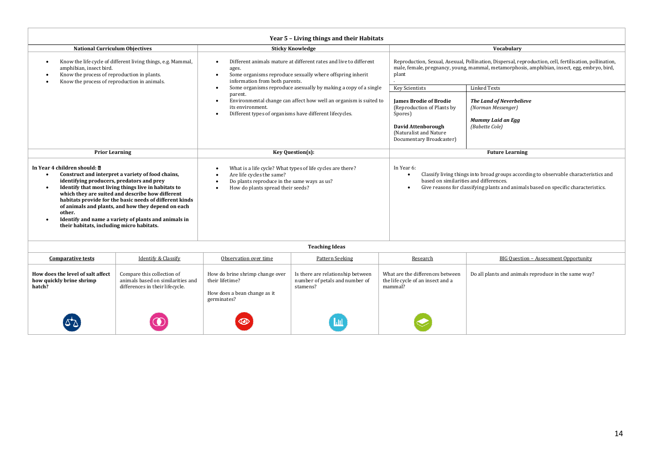| Year 5 - Living things and their Habitats                                                                                                                                                                                                                                                                                                                                                                                                                                               |                                                                                                                                                                                        |                                                                                 |                                                                                                                                                                                                                                                 |                                                                                                                                                                                                        |  |  |
|-----------------------------------------------------------------------------------------------------------------------------------------------------------------------------------------------------------------------------------------------------------------------------------------------------------------------------------------------------------------------------------------------------------------------------------------------------------------------------------------|----------------------------------------------------------------------------------------------------------------------------------------------------------------------------------------|---------------------------------------------------------------------------------|-------------------------------------------------------------------------------------------------------------------------------------------------------------------------------------------------------------------------------------------------|--------------------------------------------------------------------------------------------------------------------------------------------------------------------------------------------------------|--|--|
| <b>National Curriculum Objectives</b>                                                                                                                                                                                                                                                                                                                                                                                                                                                   |                                                                                                                                                                                        | <b>Sticky Knowledge</b>                                                         |                                                                                                                                                                                                                                                 | Vocabulary                                                                                                                                                                                             |  |  |
| Know the life cycle of different living things, e.g. Mammal,<br>amphibian, insect bird.<br>Know the process of reproduction in plants.<br>Know the process of reproduction in animals.                                                                                                                                                                                                                                                                                                  | Different animals mature at different rates and live to different<br>ages.<br>Some organisms reproduce sexually where offspring inherit<br>$\bullet$<br>information from both parents. |                                                                                 | plant                                                                                                                                                                                                                                           | Reproduction, Sexual, Asexual, Pollination, Dispersal, reproduction, cell, fertilisation, pollination,<br>male, female, pregnancy, young, mammal, metamorphosis, amphibian, insect, egg, embryo, bird, |  |  |
|                                                                                                                                                                                                                                                                                                                                                                                                                                                                                         | $\bullet$                                                                                                                                                                              | Some organisms reproduce asexually by making a copy of a single                 | <b>Key Scientists</b>                                                                                                                                                                                                                           | <b>Linked Texts</b>                                                                                                                                                                                    |  |  |
|                                                                                                                                                                                                                                                                                                                                                                                                                                                                                         | parent.<br>Environmental change can affect how well an organism is suited to<br>$\bullet$<br>its environment.<br>Different types of organisms have different lifecycles.<br>$\bullet$  |                                                                                 | <b>Iames Brodie of Brodie</b><br>(Reproduction of Plants by<br>Spores)<br>David Attenborough<br>(Naturalist and Nature)<br>Documentary Broadcaster)                                                                                             | The Land of Neverbelieve<br>(Norman Messenger)<br>Mummy Laid an Egg<br>(Babette Cole)                                                                                                                  |  |  |
| <b>Prior Learning</b>                                                                                                                                                                                                                                                                                                                                                                                                                                                                   | Key Question(s):                                                                                                                                                                       |                                                                                 |                                                                                                                                                                                                                                                 | <b>Future Learning</b>                                                                                                                                                                                 |  |  |
| In Year 4 children should: a<br>Construct and interpret a variety of food chains,<br>$\bullet$<br>identifying producers, predators and prey<br>Identify that most living things live in habitats to<br>which they are suited and describe how different<br>habitats provide for the basic needs of different kinds<br>of animals and plants, and how they depend on each<br>other.<br>Identify and name a variety of plants and animals in<br>their habitats, including micro habitats. | What is a life cycle? What types of life cycles are there?<br>Are life cycles the same?<br>Do plants reproduce in the same ways as us?<br>How do plants spread their seeds?            |                                                                                 | In Year 6:<br>Classify living things into broad groups according to observable characteristics and<br>$\bullet$<br>based on similarities and differences.<br>Give reasons for classifying plants and animals based on specific characteristics. |                                                                                                                                                                                                        |  |  |
|                                                                                                                                                                                                                                                                                                                                                                                                                                                                                         |                                                                                                                                                                                        | <b>Teaching Ideas</b>                                                           |                                                                                                                                                                                                                                                 |                                                                                                                                                                                                        |  |  |
| Identify & Classify<br><b>Comparative tests</b>                                                                                                                                                                                                                                                                                                                                                                                                                                         | Observation over time                                                                                                                                                                  | Pattern Seeking                                                                 | Research                                                                                                                                                                                                                                        | <b>BIG Ouestion - Assessment Opportunity</b>                                                                                                                                                           |  |  |
| Compare this collection of<br>How does the level of salt affect<br>animals based on similarities and<br>how quickly brine shrimp<br>hatch?<br>differences in their lifecycle.                                                                                                                                                                                                                                                                                                           | How do brine shrimp change over<br>their lifetime?<br>How does a bean change as it<br>germinates?                                                                                      | Is there are relationship between<br>number of petals and number of<br>stamens? | What are the differences between<br>the life cycle of an insect and a<br>mammal?                                                                                                                                                                | Do all plants and animals reproduce in the same way?                                                                                                                                                   |  |  |
|                                                                                                                                                                                                                                                                                                                                                                                                                                                                                         |                                                                                                                                                                                        |                                                                                 |                                                                                                                                                                                                                                                 |                                                                                                                                                                                                        |  |  |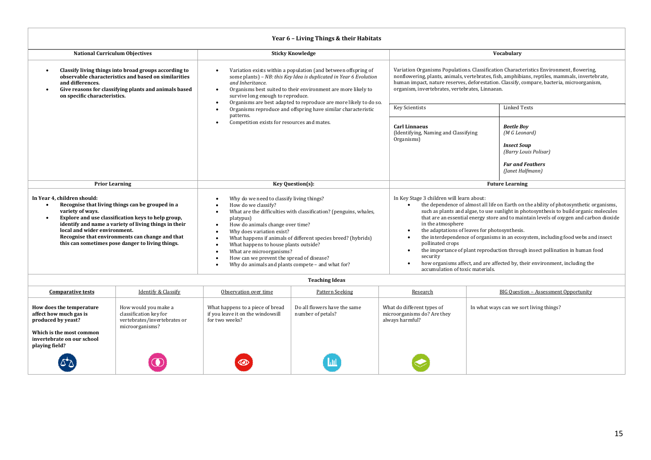| Year 6 - Living Things & their Habitats                                                                                                                                                                                                                                                                                                                             |                                                                                                                                                                                                                                                                                                                                                                                                                                                             |                                                                                                                                                                                                                                                                                                                                                                                                                                                                                                                                                                                                                                                                                                                       |                                                                                                                                  |  |  |  |
|---------------------------------------------------------------------------------------------------------------------------------------------------------------------------------------------------------------------------------------------------------------------------------------------------------------------------------------------------------------------|-------------------------------------------------------------------------------------------------------------------------------------------------------------------------------------------------------------------------------------------------------------------------------------------------------------------------------------------------------------------------------------------------------------------------------------------------------------|-----------------------------------------------------------------------------------------------------------------------------------------------------------------------------------------------------------------------------------------------------------------------------------------------------------------------------------------------------------------------------------------------------------------------------------------------------------------------------------------------------------------------------------------------------------------------------------------------------------------------------------------------------------------------------------------------------------------------|----------------------------------------------------------------------------------------------------------------------------------|--|--|--|
| <b>National Curriculum Objectives</b>                                                                                                                                                                                                                                                                                                                               | <b>Sticky Knowledge</b>                                                                                                                                                                                                                                                                                                                                                                                                                                     | Vocabulary                                                                                                                                                                                                                                                                                                                                                                                                                                                                                                                                                                                                                                                                                                            |                                                                                                                                  |  |  |  |
| Classify living things into broad groups according to<br>٠<br>observable characteristics and based on similarities<br>and differences.<br>Give reasons for classifying plants and animals based<br>٠<br>on specific characteristics.                                                                                                                                | Variation exists within a population (and between offspring of<br>some plants) - NB: this Key Idea is duplicated in Year 6 Evolution<br>and Inheritance.<br>Organisms best suited to their environment are more likely to<br>survive long enough to reproduce.<br>Organisms are best adapted to reproduce are more likely to do so.                                                                                                                         | Variation Organisms Populations. Classification Characteristics Environment, flowering,<br>nonflowering, plants, animals, vertebrates, fish, amphibians, reptiles, mammals, invertebrate,<br>human impact, nature reserves, deforestation. Classify, compare, bacteria, microorganism,<br>organism, invertebrates, vertebrates, Linnaean.                                                                                                                                                                                                                                                                                                                                                                             |                                                                                                                                  |  |  |  |
|                                                                                                                                                                                                                                                                                                                                                                     | Organisms reproduce and offspring have similar characteristic                                                                                                                                                                                                                                                                                                                                                                                               | <b>Key Scientists</b>                                                                                                                                                                                                                                                                                                                                                                                                                                                                                                                                                                                                                                                                                                 | <b>Linked Texts</b>                                                                                                              |  |  |  |
| patterns.<br>Competition exists for resources and mates.                                                                                                                                                                                                                                                                                                            |                                                                                                                                                                                                                                                                                                                                                                                                                                                             | <b>Carl Linnaeus</b><br>(Identifying, Naming and Classifying<br>Organisms)                                                                                                                                                                                                                                                                                                                                                                                                                                                                                                                                                                                                                                            | <b>Beetle Boy</b><br>(M G Leonard)<br><b>Insect Soup</b><br>(Barry Louis Polisar)<br><b>Fur and Feathers</b><br>(Janet Halfmann) |  |  |  |
| <b>Prior Learning</b>                                                                                                                                                                                                                                                                                                                                               | Key Question(s):                                                                                                                                                                                                                                                                                                                                                                                                                                            | <b>Future Learning</b>                                                                                                                                                                                                                                                                                                                                                                                                                                                                                                                                                                                                                                                                                                |                                                                                                                                  |  |  |  |
| In Year 4, children should:<br>Recognise that living things can be grouped in a<br>٠<br>variety of ways.<br>Explore and use classification keys to help group,<br>٠<br>identify and name a variety of living things in their<br>local and wider environment.<br>Recognise that environments can change and that<br>this can sometimes pose danger to living things. | Why do we need to classify living things?<br>How do we classify?<br>What are the difficulties with classification? (penguins, whales,<br>platypus)<br>How do animals change over time?<br>Why does variation exist?<br>What happens if animals of different species breed? (hybrids)<br>What happens to house plants outside?<br>What are microorganisms?<br>How can we prevent the spread of disease?<br>Why do animals and plants compete - and what for? | In Key Stage 3 children will learn about:<br>the dependence of almost all life on Earth on the ability of photosynthetic organisms,<br>such as plants and algae, to use sunlight in photosynthesis to build organic molecules<br>that are an essential energy store and to maintain levels of oxygen and carbon dioxide<br>in the atmosphere<br>the adaptations of leaves for photosynthesis.<br>the interdependence of organisms in an ecosystem, including food webs and insect<br>pollinated crops<br>the importance of plant reproduction through insect pollination in human food<br>security<br>how organisms affect, and are affected by, their environment, including the<br>accumulation of toxic materials. |                                                                                                                                  |  |  |  |

| <b>Comparative tests</b>                                                                                                                             | <b>Identify &amp; Classify</b>                                                                    | Observation over time                                                                   | Pattern Seeking                                   | Research                                                                     | <b>BIG Question - Assessment Opportunity</b> |
|------------------------------------------------------------------------------------------------------------------------------------------------------|---------------------------------------------------------------------------------------------------|-----------------------------------------------------------------------------------------|---------------------------------------------------|------------------------------------------------------------------------------|----------------------------------------------|
| How does the temperature<br>affect how much gas is<br>produced by yeast?<br>Which is the most common<br>invertebrate on our school<br>playing field? | How would you make a<br>classification key for<br>vertebrates/invertebrates or<br>microorganisms? | What happens to a piece of bread<br>if you leave it on the windowsill<br>for two weeks? | Do all flowers have the same<br>number of petals? | What do different types of<br>microorganisms do? Are they<br>always harmful? | In what ways can we sort living things?      |
| لا کا                                                                                                                                                |                                                                                                   | $\circledcirc$                                                                          | Щ                                                 |                                                                              |                                              |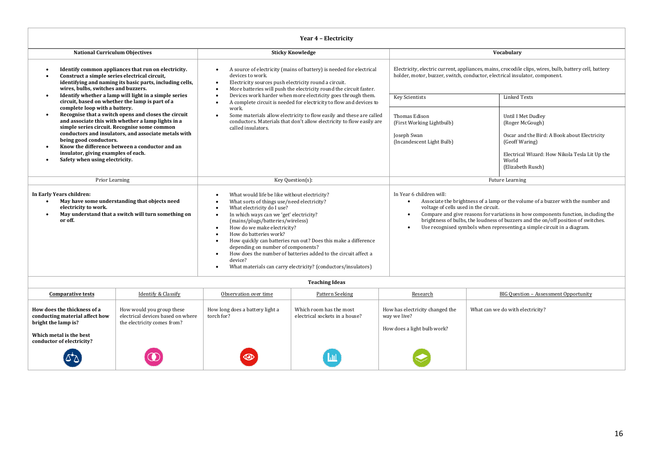| Year 4 - Electricity                                                                                                                                                                                    |                                                                                                                                                                                                                                                                      |                                                                                                                                                                                                                                                                                                                                                                                                                                                                                                                                                                                                                                             |                                                              |                                                                                                                                                                                                                                                                                                                                                                                                                                                   |                                                                                                                                                                                         |  |  |
|---------------------------------------------------------------------------------------------------------------------------------------------------------------------------------------------------------|----------------------------------------------------------------------------------------------------------------------------------------------------------------------------------------------------------------------------------------------------------------------|---------------------------------------------------------------------------------------------------------------------------------------------------------------------------------------------------------------------------------------------------------------------------------------------------------------------------------------------------------------------------------------------------------------------------------------------------------------------------------------------------------------------------------------------------------------------------------------------------------------------------------------------|--------------------------------------------------------------|---------------------------------------------------------------------------------------------------------------------------------------------------------------------------------------------------------------------------------------------------------------------------------------------------------------------------------------------------------------------------------------------------------------------------------------------------|-----------------------------------------------------------------------------------------------------------------------------------------------------------------------------------------|--|--|
| <b>National Curriculum Objectives</b>                                                                                                                                                                   |                                                                                                                                                                                                                                                                      |                                                                                                                                                                                                                                                                                                                                                                                                                                                                                                                                                                                                                                             | <b>Sticky Knowledge</b>                                      |                                                                                                                                                                                                                                                                                                                                                                                                                                                   | Vocabulary                                                                                                                                                                              |  |  |
| Identify common appliances that run on electricity.<br>Construct a simple series electrical circuit,<br>identifying and naming its basic parts, including cells,<br>wires, bulbs, switches and buzzers. |                                                                                                                                                                                                                                                                      | A source of electricity (mains of battery) is needed for electrical<br>$\bullet$<br>devices to work.<br>Electricity sources push electricity round a circuit.<br>$\bullet$<br>More batteries will push the electricity round the circuit faster.<br>$\bullet$                                                                                                                                                                                                                                                                                                                                                                               |                                                              |                                                                                                                                                                                                                                                                                                                                                                                                                                                   | Electricity, electric current, appliances, mains, crocodile clips, wires, bulb, battery cell, battery<br>holder, motor, buzzer, switch, conductor, electrical insulator, component.     |  |  |
| circuit, based on whether the lamp is part of a                                                                                                                                                         | Identify whether a lamp will light in a simple series                                                                                                                                                                                                                | $\bullet$<br>$\bullet$                                                                                                                                                                                                                                                                                                                                                                                                                                                                                                                                                                                                                      | Devices work harder when more electricity goes through them. | <b>Key Scientists</b>                                                                                                                                                                                                                                                                                                                                                                                                                             | <b>Linked Texts</b>                                                                                                                                                                     |  |  |
| complete loop with a battery.<br>$\bullet$<br>being good conductors.<br>insulator, giving examples of each.<br>Safety when using electricity.<br>$\bullet$                                              | Recognise that a switch opens and closes the circuit<br>and associate this with whether a lamp lights in a<br>simple series circuit. Recognise some common<br>conductors and insulators, and associate metals with<br>Know the difference between a conductor and an | A complete circuit is needed for electricity to flow and devices to<br>work.<br>Some materials allow electricity to flow easily and these are called<br>$\bullet$<br>conductors. Materials that don't allow electricity to flow easily are<br>called insulators.                                                                                                                                                                                                                                                                                                                                                                            |                                                              | <b>Thomas Edison</b><br>(First Working Lightbulb)<br>Joseph Swan<br>(Incandescent Light Bulb)                                                                                                                                                                                                                                                                                                                                                     | Until I Met Dudley<br>(Roger McGough)<br>Oscar and the Bird: A Book about Electricity<br>(Geoff Waring)<br>Electrical Wizard: How Nikola Tesla Lit Up the<br>World<br>(Elizabeth Rusch) |  |  |
| Prior Learning                                                                                                                                                                                          |                                                                                                                                                                                                                                                                      | Key Question(s):                                                                                                                                                                                                                                                                                                                                                                                                                                                                                                                                                                                                                            |                                                              |                                                                                                                                                                                                                                                                                                                                                                                                                                                   | Future Learning                                                                                                                                                                         |  |  |
| In Early Years children:<br>May have some understanding that objects need<br>$\bullet$<br>electricity to work.<br>May understand that a switch will turn something on<br>$\bullet$<br>or off.           |                                                                                                                                                                                                                                                                      | What would life be like without electricity?<br>$\bullet$<br>What sorts of things use/need electricity?<br>$\bullet$<br>What electricity do I use?<br>$\bullet$<br>In which ways can we 'get' electricity?<br>$\bullet$<br>(mains/plugs/batteries/wireless)<br>How do we make electricity?<br>$\bullet$<br>How do batteries work?<br>$\bullet$<br>How quickly can batteries run out? Does this make a difference<br>$\bullet$<br>depending on number of components?<br>How does the number of batteries added to the circuit affect a<br>$\bullet$<br>device?<br>What materials can carry electricity? (conductors/insulators)<br>$\bullet$ |                                                              | In Year 6 children will:<br>Associate the brightness of a lamp or the volume of a buzzer with the number and<br>$\bullet$<br>voltage of cells used in the circuit.<br>Compare and give reasons for variations in how components function, including the<br>$\bullet$<br>brightness of bulbs, the loudness of buzzers and the on/off position of switches.<br>Use recognised symbols when representing a simple circuit in a diagram.<br>$\bullet$ |                                                                                                                                                                                         |  |  |
|                                                                                                                                                                                                         |                                                                                                                                                                                                                                                                      |                                                                                                                                                                                                                                                                                                                                                                                                                                                                                                                                                                                                                                             | <b>Teaching Ideas</b>                                        |                                                                                                                                                                                                                                                                                                                                                                                                                                                   |                                                                                                                                                                                         |  |  |
| <b>Comparative tests</b>                                                                                                                                                                                | <b>Identify &amp; Classify</b>                                                                                                                                                                                                                                       | Observation over time                                                                                                                                                                                                                                                                                                                                                                                                                                                                                                                                                                                                                       | <b>Pattern Seeking</b>                                       | Research                                                                                                                                                                                                                                                                                                                                                                                                                                          | <b>BIG Question - Assessment Opportunity</b>                                                                                                                                            |  |  |
| How does the thickness of a                                                                                                                                                                             | How would you group these                                                                                                                                                                                                                                            | How long does a battery light a                                                                                                                                                                                                                                                                                                                                                                                                                                                                                                                                                                                                             | Which room has the most                                      | How has electricity changed the                                                                                                                                                                                                                                                                                                                                                                                                                   | What can we do with electricity?                                                                                                                                                        |  |  |

electrical sockets in a house?

 $\boxed{\text{m}}$ 

way we live?

How does a light bulb work?

**conducting material affect how** 

 $\Delta \Delta$ 

electrical devices based on where the electricity comes from?

 $\left( \right)$ 

torch for?

 $\circledcirc$ 

**bright the lamp is? Which metal is the best conductor of electricity?**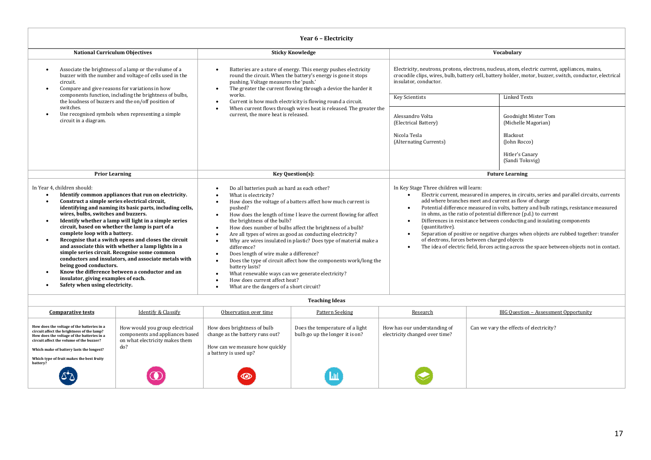| Year 6 - Electricity                                                                                                                                                                                                                                                                                                                                                                                                                                                                                                                                                                                                                                                                                                                                                                                                            |                                                                                                                                                                                                                                                                                                                                                                                                                                                                                                                                                                                                                                                                                                                                                                                                                                                                      |                                                                                                                                                                                                                                                                               |                                                                                                                                                                                                                                                                                                                                                                                                                                                      |  |  |
|---------------------------------------------------------------------------------------------------------------------------------------------------------------------------------------------------------------------------------------------------------------------------------------------------------------------------------------------------------------------------------------------------------------------------------------------------------------------------------------------------------------------------------------------------------------------------------------------------------------------------------------------------------------------------------------------------------------------------------------------------------------------------------------------------------------------------------|----------------------------------------------------------------------------------------------------------------------------------------------------------------------------------------------------------------------------------------------------------------------------------------------------------------------------------------------------------------------------------------------------------------------------------------------------------------------------------------------------------------------------------------------------------------------------------------------------------------------------------------------------------------------------------------------------------------------------------------------------------------------------------------------------------------------------------------------------------------------|-------------------------------------------------------------------------------------------------------------------------------------------------------------------------------------------------------------------------------------------------------------------------------|------------------------------------------------------------------------------------------------------------------------------------------------------------------------------------------------------------------------------------------------------------------------------------------------------------------------------------------------------------------------------------------------------------------------------------------------------|--|--|
| <b>National Curriculum Objectives</b>                                                                                                                                                                                                                                                                                                                                                                                                                                                                                                                                                                                                                                                                                                                                                                                           | <b>Sticky Knowledge</b>                                                                                                                                                                                                                                                                                                                                                                                                                                                                                                                                                                                                                                                                                                                                                                                                                                              |                                                                                                                                                                                                                                                                               | Vocabulary                                                                                                                                                                                                                                                                                                                                                                                                                                           |  |  |
| Associate the brightness of a lamp or the volume of a<br>buzzer with the number and voltage of cells used in the<br>circuit.<br>Compare and give reasons for variations in how<br>$\bullet$                                                                                                                                                                                                                                                                                                                                                                                                                                                                                                                                                                                                                                     | Batteries are a store of energy. This energy pushes electricity<br>round the circuit. When the battery's energy is gone it stops<br>pushing. Voltage measures the 'push.'<br>The greater the current flowing through a device the harder it<br>$\bullet$                                                                                                                                                                                                                                                                                                                                                                                                                                                                                                                                                                                                             | Electricity, neutrons, protons, electrons, nucleus, atom, electric current, appliances, mains,<br>crocodile clips, wires, bulb, battery cell, battery holder, motor, buzzer, switch, conductor, electrical<br>insulator, conductor.                                           |                                                                                                                                                                                                                                                                                                                                                                                                                                                      |  |  |
| components function, including the brightness of bulbs,<br>the loudness of buzzers and the on/off position of                                                                                                                                                                                                                                                                                                                                                                                                                                                                                                                                                                                                                                                                                                                   | works.<br>Current is how much electricity is flowing round a circuit.<br>$\bullet$<br>When current flows through wires heat is released. The greater the<br>current, the more heat is released.                                                                                                                                                                                                                                                                                                                                                                                                                                                                                                                                                                                                                                                                      | Key Scientists                                                                                                                                                                                                                                                                | <b>Linked Texts</b>                                                                                                                                                                                                                                                                                                                                                                                                                                  |  |  |
| switches.<br>Use recognised symbols when representing a simple<br>circuit in a diagram.                                                                                                                                                                                                                                                                                                                                                                                                                                                                                                                                                                                                                                                                                                                                         |                                                                                                                                                                                                                                                                                                                                                                                                                                                                                                                                                                                                                                                                                                                                                                                                                                                                      | Alessandro Volta<br>(Electrical Battery)<br>Nicola Tesla<br>(Alternating Currents)                                                                                                                                                                                            | Goodnight Mister Tom<br>(Michelle Magorian)<br>Blackout<br>(John Rocco)                                                                                                                                                                                                                                                                                                                                                                              |  |  |
|                                                                                                                                                                                                                                                                                                                                                                                                                                                                                                                                                                                                                                                                                                                                                                                                                                 |                                                                                                                                                                                                                                                                                                                                                                                                                                                                                                                                                                                                                                                                                                                                                                                                                                                                      |                                                                                                                                                                                                                                                                               | Hitler's Canary<br>(Sandi Toksvig)                                                                                                                                                                                                                                                                                                                                                                                                                   |  |  |
| <b>Prior Learning</b>                                                                                                                                                                                                                                                                                                                                                                                                                                                                                                                                                                                                                                                                                                                                                                                                           | Key Question(s):                                                                                                                                                                                                                                                                                                                                                                                                                                                                                                                                                                                                                                                                                                                                                                                                                                                     |                                                                                                                                                                                                                                                                               | <b>Future Learning</b>                                                                                                                                                                                                                                                                                                                                                                                                                               |  |  |
| In Year 4. children should:<br>Identify common appliances that run on electricity.<br>$\bullet$<br>Construct a simple series electrical circuit,<br>$\bullet$<br>identifying and naming its basic parts, including cells,<br>wires, bulbs, switches and buzzers.<br>Identify whether a lamp will light in a simple series<br>$\bullet$<br>circuit, based on whether the lamp is part of a<br>complete loop with a battery.<br>Recognise that a switch opens and closes the circuit<br>$\bullet$<br>and associate this with whether a lamp lights in a<br>simple series circuit. Recognise some common<br>conductors and insulators, and associate metals with<br>being good conductors.<br>Know the difference between a conductor and an<br>insulator, giving examples of each.<br>Safety when using electricity.<br>$\bullet$ | Do all batteries push as hard as each other?<br>$\bullet$<br>What is electricity?<br>$\bullet$<br>How does the voltage of a batters affect how much current is<br>$\bullet$<br>pushed?<br>How does the length of time I leave the current flowing for affect<br>$\bullet$<br>the brightness of the bulb?<br>How does number of bulbs affect the brightness of a bulb?<br>$\bullet$<br>Are all types of wires as good as conducting electricity?<br>$\bullet$<br>Why are wires insulated in plastic? Does type of material make a<br>difference?<br>Does length of wire make a difference?<br>$\bullet$<br>Does the type of circuit affect how the components work/long the<br>battery lasts?<br>What renewable ways can we generate electricity?<br>$\bullet$<br>How does current affect heat?<br>$\bullet$<br>What are the dangers of a short circuit?<br>$\bullet$ | In Key Stage Three children will learn:<br>add where branches meet and current as flow of charge<br>$\bullet$<br>in ohms, as the ratio of potential difference (p.d.) to current<br>$\bullet$<br>(quantitative).<br>of electrons, forces between charged objects<br>$\bullet$ | Electric current, measured in amperes, in circuits, series and parallel circuits, currents<br>Potential difference measured in volts, battery and bulb ratings, resistance measured<br>Differences in resistance between conducting and insulating components<br>Separation of positive or negative charges when objects are rubbed together: transfer<br>The idea of electric field, forces acting across the space between objects not in contact. |  |  |

| <b>Comparative tests</b>                                                                                                                                                                                                       | <b>Identify &amp; Classify</b>                                                                             | Observation over time                                                                                                     | Pattern Seeking                                                    | Research                                                       | BIG Question - Assessment Opportunity   |
|--------------------------------------------------------------------------------------------------------------------------------------------------------------------------------------------------------------------------------|------------------------------------------------------------------------------------------------------------|---------------------------------------------------------------------------------------------------------------------------|--------------------------------------------------------------------|----------------------------------------------------------------|-----------------------------------------|
| How does the voltage of the batteries in a<br>circuit affect the brightness of the lamp?<br>How does the voltage of the batteries in a<br>circuit affect the volume of the buzzer?<br>Which make of battery lasts the longest? | How would you group electrical<br>components and appliances based<br>on what electricity makes them<br>do? | How does brightness of bulb<br>change as the battery runs out?<br>How can we measure how quickly<br>a battery is used up? | Does the temperature of a light<br>bulb go up the longer it is on? | How has our understanding of<br>electricity changed over time? | Can we vary the effects of electricity? |
| Which type of fruit makes the best fruity<br>battery?                                                                                                                                                                          |                                                                                                            | $\circledcirc$                                                                                                            |                                                                    |                                                                |                                         |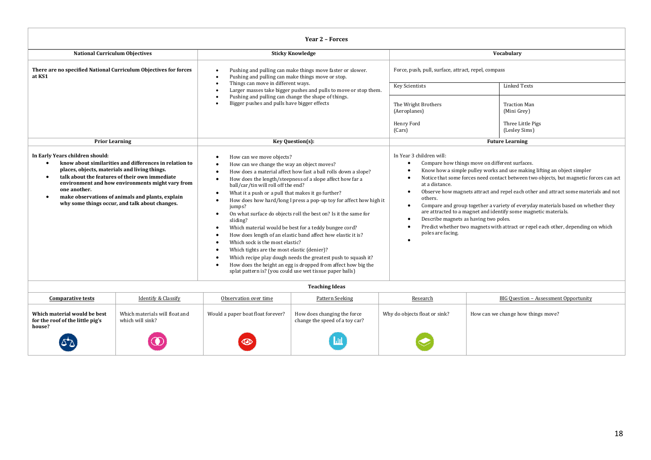| <b>Year 2 - Forces</b>                                                                                                          |                                                                                                                                                                                                                                                                    |                                                                                                                                                                                                                                                                                                                                                                                                                                                                                                                                                                                                                                                                                                                                                                                                                                                                                                             |                                                                  |                                                                            |                                                                                                                                                                                                                                                                                                                                                                                                                                                                                                                                                                                               |  |
|---------------------------------------------------------------------------------------------------------------------------------|--------------------------------------------------------------------------------------------------------------------------------------------------------------------------------------------------------------------------------------------------------------------|-------------------------------------------------------------------------------------------------------------------------------------------------------------------------------------------------------------------------------------------------------------------------------------------------------------------------------------------------------------------------------------------------------------------------------------------------------------------------------------------------------------------------------------------------------------------------------------------------------------------------------------------------------------------------------------------------------------------------------------------------------------------------------------------------------------------------------------------------------------------------------------------------------------|------------------------------------------------------------------|----------------------------------------------------------------------------|-----------------------------------------------------------------------------------------------------------------------------------------------------------------------------------------------------------------------------------------------------------------------------------------------------------------------------------------------------------------------------------------------------------------------------------------------------------------------------------------------------------------------------------------------------------------------------------------------|--|
| <b>National Curriculum Objectives</b>                                                                                           |                                                                                                                                                                                                                                                                    |                                                                                                                                                                                                                                                                                                                                                                                                                                                                                                                                                                                                                                                                                                                                                                                                                                                                                                             | <b>Sticky Knowledge</b>                                          |                                                                            | Vocabulary                                                                                                                                                                                                                                                                                                                                                                                                                                                                                                                                                                                    |  |
| There are no specified National Curriculum Objectives for forces<br>at KS1                                                      |                                                                                                                                                                                                                                                                    | Pushing and pulling can make things move faster or slower.<br>Pushing and pulling can make things move or stop.                                                                                                                                                                                                                                                                                                                                                                                                                                                                                                                                                                                                                                                                                                                                                                                             |                                                                  | Force, push, pull, surface, attract, repel, compass                        |                                                                                                                                                                                                                                                                                                                                                                                                                                                                                                                                                                                               |  |
|                                                                                                                                 |                                                                                                                                                                                                                                                                    | Things can move in different ways.                                                                                                                                                                                                                                                                                                                                                                                                                                                                                                                                                                                                                                                                                                                                                                                                                                                                          | Larger masses take bigger pushes and pulls to move or stop them. | <b>Key Scientists</b>                                                      | <b>Linked Texts</b>                                                                                                                                                                                                                                                                                                                                                                                                                                                                                                                                                                           |  |
|                                                                                                                                 |                                                                                                                                                                                                                                                                    | Pushing and pulling can change the shape of things.<br>Bigger pushes and pulls have bigger effects                                                                                                                                                                                                                                                                                                                                                                                                                                                                                                                                                                                                                                                                                                                                                                                                          |                                                                  | The Wright Brothers<br>(Aeroplanes)<br>Henry Ford<br>(Cars)                | <b>Traction Man</b><br>(Mini Grey)<br>Three Little Pigs<br>(Lesley Sims)                                                                                                                                                                                                                                                                                                                                                                                                                                                                                                                      |  |
| <b>Prior Learning</b>                                                                                                           |                                                                                                                                                                                                                                                                    |                                                                                                                                                                                                                                                                                                                                                                                                                                                                                                                                                                                                                                                                                                                                                                                                                                                                                                             |                                                                  |                                                                            | <b>Future Learning</b>                                                                                                                                                                                                                                                                                                                                                                                                                                                                                                                                                                        |  |
| In Early Years children should:<br>٠<br>places, objects, materials and living things.<br>$\bullet$<br>one another.<br>$\bullet$ | know about similarities and differences in relation to<br>talk about the features of their own immediate<br>environment and how environments might vary from<br>make observations of animals and plants, explain<br>why some things occur, and talk about changes. | Key Question(s):<br>How can we move objects?<br>How can we change the way an object moves?<br>How does a material affect how fast a ball rolls down a slope?<br>How does the length/steepness of a slope affect how far a<br>ball/car/tin will roll off the end?<br>What it a push or a pull that makes it go further?<br>How does how hard/long I press a pop-up toy for affect how high it<br>jumps?<br>On what surface do objects roll the best on? Is it the same for<br>$\bullet$<br>sliding?<br>Which material would be best for a teddy bungee cord?<br>How does length of an elastic band affect how elastic it is?<br>Which sock is the most elastic?<br>Which tights are the most elastic (denier)?<br>Which recipe play dough needs the greatest push to squash it?<br>How does the height an egg is dropped from affect how big the<br>splat pattern is? (you could use wet tissue paper balls) |                                                                  | In Year 3 children will:<br>at a distance.<br>others.<br>poles are facing. | Compare how things move on different surfaces.<br>Know how a simple pulley works and use making lifting an object simpler<br>Notice that some forces need contact between two objects, but magnetic forces can act<br>Observe how magnets attract and repel each other and attract some materials and not<br>Compare and group together a variety of everyday materials based on whether they<br>are attracted to a magnet and identify some magnetic materials.<br>Describe magnets as having two poles.<br>Predict whether two magnets with attract or repel each other, depending on which |  |
|                                                                                                                                 |                                                                                                                                                                                                                                                                    |                                                                                                                                                                                                                                                                                                                                                                                                                                                                                                                                                                                                                                                                                                                                                                                                                                                                                                             | <b>Teaching Ideas</b>                                            |                                                                            |                                                                                                                                                                                                                                                                                                                                                                                                                                                                                                                                                                                               |  |
| <b>Comparative tests</b>                                                                                                        | <b>Identify &amp; Classify</b>                                                                                                                                                                                                                                     | Observation over time                                                                                                                                                                                                                                                                                                                                                                                                                                                                                                                                                                                                                                                                                                                                                                                                                                                                                       | Pattern Seeking                                                  | Research                                                                   | BIG Question - Assessment Opportunity                                                                                                                                                                                                                                                                                                                                                                                                                                                                                                                                                         |  |
| Which material would be best<br>for the roof of the little pig's<br>house?                                                      | Which materials will float and<br>which will sink?                                                                                                                                                                                                                 | Would a paper boat float forever?                                                                                                                                                                                                                                                                                                                                                                                                                                                                                                                                                                                                                                                                                                                                                                                                                                                                           | How does changing the force<br>change the speed of a toy car?    | Why do objects float or sink?                                              | How can we change how things move?                                                                                                                                                                                                                                                                                                                                                                                                                                                                                                                                                            |  |
|                                                                                                                                 |                                                                                                                                                                                                                                                                    |                                                                                                                                                                                                                                                                                                                                                                                                                                                                                                                                                                                                                                                                                                                                                                                                                                                                                                             |                                                                  |                                                                            |                                                                                                                                                                                                                                                                                                                                                                                                                                                                                                                                                                                               |  |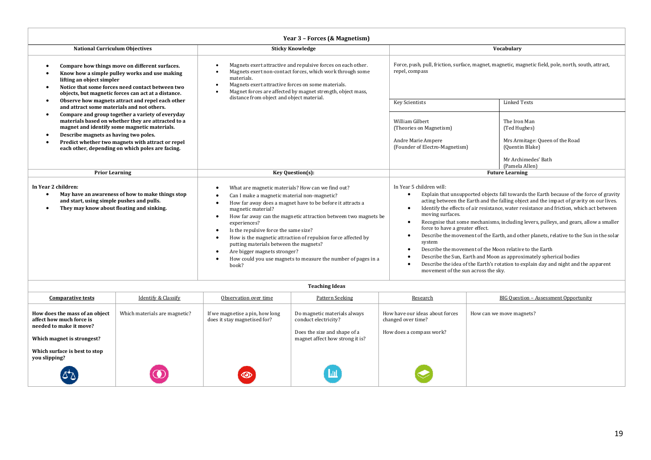| Year 3 - Forces (& Magnetism)                                                                                 |                                                                                                                                                                                                                                                                 |                                                                                                                                                                                                                                                                                                           |                                                                                                                                                                                                                                                                 |                                                                                                                                                                                                                                                                                                                                                                                                                                                                                                                                                                                                                                                                                                                                                                                                                                                          |                                                                                                                                                    |
|---------------------------------------------------------------------------------------------------------------|-----------------------------------------------------------------------------------------------------------------------------------------------------------------------------------------------------------------------------------------------------------------|-----------------------------------------------------------------------------------------------------------------------------------------------------------------------------------------------------------------------------------------------------------------------------------------------------------|-----------------------------------------------------------------------------------------------------------------------------------------------------------------------------------------------------------------------------------------------------------------|----------------------------------------------------------------------------------------------------------------------------------------------------------------------------------------------------------------------------------------------------------------------------------------------------------------------------------------------------------------------------------------------------------------------------------------------------------------------------------------------------------------------------------------------------------------------------------------------------------------------------------------------------------------------------------------------------------------------------------------------------------------------------------------------------------------------------------------------------------|----------------------------------------------------------------------------------------------------------------------------------------------------|
| <b>National Curriculum Objectives</b>                                                                         |                                                                                                                                                                                                                                                                 |                                                                                                                                                                                                                                                                                                           | <b>Sticky Knowledge</b>                                                                                                                                                                                                                                         |                                                                                                                                                                                                                                                                                                                                                                                                                                                                                                                                                                                                                                                                                                                                                                                                                                                          | Vocabulary                                                                                                                                         |
| lifting an object simpler                                                                                     | Compare how things move on different surfaces.<br>Know how a simple pulley works and use making<br>Notice that some forces need contact between two<br>objects, but magnetic forces can act at a distance.<br>Observe how magnets attract and repel each other  | Magnets exert attractive and repulsive forces on each other.<br>Magnets exert non-contact forces, which work through some<br>materials.<br>Magnets exert attractive forces on some materials.<br>Magnet forces are affected by magnet strength, object mass,<br>distance from object and object material. |                                                                                                                                                                                                                                                                 | repel, compass                                                                                                                                                                                                                                                                                                                                                                                                                                                                                                                                                                                                                                                                                                                                                                                                                                           | Force, push, pull, friction, surface, magnet, magnetic, magnetic field, pole, north, south, attract,                                               |
| and attract some materials and not others.<br>Describe magnets as having two poles.                           | Compare and group together a variety of everyday<br>materials based on whether they are attracted to a<br>magnet and identify some magnetic materials.<br>Predict whether two magnets with attract or repel<br>each other, depending on which poles are facing. |                                                                                                                                                                                                                                                                                                           |                                                                                                                                                                                                                                                                 | <b>Key Scientists</b><br>William Gilbert<br>(Theories on Magnetism)<br>Andre Marie Ampere<br>(Founder of Electro-Magnetism)                                                                                                                                                                                                                                                                                                                                                                                                                                                                                                                                                                                                                                                                                                                              | <b>Linked Texts</b><br>The Iron Man<br>(Ted Hughes)<br>Mrs Armitage: Queen of the Road<br>(Quentin Blake)<br>Mr Archimedes' Bath<br>(Pamela Allen) |
| <b>Prior Learning</b>                                                                                         |                                                                                                                                                                                                                                                                 |                                                                                                                                                                                                                                                                                                           | Key Question(s):                                                                                                                                                                                                                                                |                                                                                                                                                                                                                                                                                                                                                                                                                                                                                                                                                                                                                                                                                                                                                                                                                                                          | <b>Future Learning</b>                                                                                                                             |
| In Year 2 children:<br>and start, using simple pushes and pulls.<br>They may know about floating and sinking. | May have an awareness of how to make things stop                                                                                                                                                                                                                | What are magnetic materials? How can we find out?<br>Can I make a magnetic material non-magnetic?<br>magnetic material?<br>experiences?<br>Is the repulsive force the same size?<br>٠<br>putting materials between the magnets?<br>Are bigger magnets stronger?<br>book?                                  | How far away does a magnet have to be before it attracts a<br>How far away can the magnetic attraction between two magnets be<br>How is the magnetic attraction of repulsion force affected by<br>How could you use magnets to measure the number of pages in a | In Year 5 children will:<br>Explain that unsupported objects fall towards the Earth because of the force of gravity<br>acting between the Earth and the falling object and the impact of gravity on our lives.<br>Identify the effects of air resistance, water resistance and friction, which act between<br>$\bullet$<br>moving surfaces.<br>Recognise that some mechanisms, including levers, pulleys, and gears, allow a smaller<br>force to have a greater effect.<br>Describe the movement of the Earth, and other planets, relative to the Sun in the solar<br>system<br>Describe the movement of the Moon relative to the Earth<br>$\bullet$<br>Describe the Sun, Earth and Moon as approximately spherical bodies<br>Describe the idea of the Earth's rotation to explain day and night and the apparent<br>movement of the sun across the sky. |                                                                                                                                                    |
|                                                                                                               |                                                                                                                                                                                                                                                                 |                                                                                                                                                                                                                                                                                                           | <b>Teaching Ideas</b>                                                                                                                                                                                                                                           |                                                                                                                                                                                                                                                                                                                                                                                                                                                                                                                                                                                                                                                                                                                                                                                                                                                          |                                                                                                                                                    |
| <b>Comparative tests</b>                                                                                      | Identify & Classify                                                                                                                                                                                                                                             | Observation over time                                                                                                                                                                                                                                                                                     | Pattern Seeking                                                                                                                                                                                                                                                 | Research                                                                                                                                                                                                                                                                                                                                                                                                                                                                                                                                                                                                                                                                                                                                                                                                                                                 | BIG Question - Assessment Opportunity                                                                                                              |
|                                                                                                               |                                                                                                                                                                                                                                                                 |                                                                                                                                                                                                                                                                                                           |                                                                                                                                                                                                                                                                 |                                                                                                                                                                                                                                                                                                                                                                                                                                                                                                                                                                                                                                                                                                                                                                                                                                                          |                                                                                                                                                    |

| How does the mass of an object<br>affect how much force is<br>needed to make it move? | Which materials are magnetic? | If we magnetise a pin, how long<br>does it stay magnetised for? | Do magnetic materials always<br>conduct electricity?            | How have our ideas about forces<br>changed over time? | How can we move magnets? |
|---------------------------------------------------------------------------------------|-------------------------------|-----------------------------------------------------------------|-----------------------------------------------------------------|-------------------------------------------------------|--------------------------|
| Which magnet is strongest?                                                            |                               |                                                                 | Does the size and shape of a<br>magnet affect how strong it is? | How does a compass work?                              |                          |
| Which surface is best to stop<br>you slipping?                                        |                               |                                                                 |                                                                 |                                                       |                          |
| 82                                                                                    |                               | $\circledcirc$                                                  | Ш                                                               |                                                       |                          |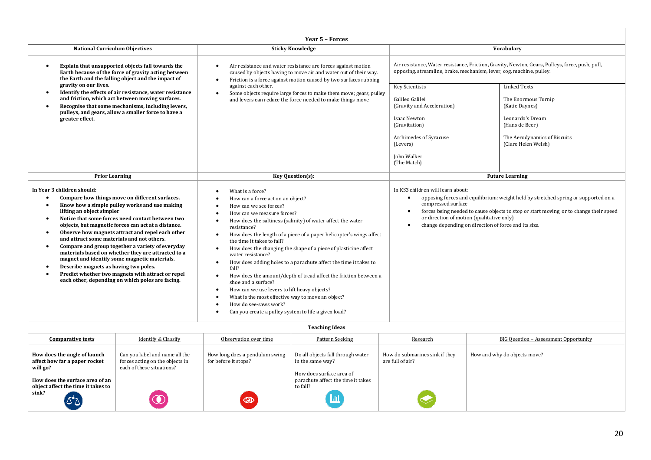| Year 5 - Forces                                                                                                                                                                                                                                                                                                                                                                                                                                                                                                                                                                                                                                                                                                                                                                |                                                                                                                                                                                                                                                                                                                                                                                                                                                                                                                                                                                                                                                                                                                                                                                       |                                                                                                                                                                                                                                                                                                                                                                                                  |                                                                                                                                                                         |  |  |  |
|--------------------------------------------------------------------------------------------------------------------------------------------------------------------------------------------------------------------------------------------------------------------------------------------------------------------------------------------------------------------------------------------------------------------------------------------------------------------------------------------------------------------------------------------------------------------------------------------------------------------------------------------------------------------------------------------------------------------------------------------------------------------------------|---------------------------------------------------------------------------------------------------------------------------------------------------------------------------------------------------------------------------------------------------------------------------------------------------------------------------------------------------------------------------------------------------------------------------------------------------------------------------------------------------------------------------------------------------------------------------------------------------------------------------------------------------------------------------------------------------------------------------------------------------------------------------------------|--------------------------------------------------------------------------------------------------------------------------------------------------------------------------------------------------------------------------------------------------------------------------------------------------------------------------------------------------------------------------------------------------|-------------------------------------------------------------------------------------------------------------------------------------------------------------------------|--|--|--|
| <b>National Curriculum Objectives</b>                                                                                                                                                                                                                                                                                                                                                                                                                                                                                                                                                                                                                                                                                                                                          | <b>Sticky Knowledge</b>                                                                                                                                                                                                                                                                                                                                                                                                                                                                                                                                                                                                                                                                                                                                                               |                                                                                                                                                                                                                                                                                                                                                                                                  | Vocabulary                                                                                                                                                              |  |  |  |
| Explain that unsupported objects fall towards the<br>$\bullet$<br>Earth because of the force of gravity acting between<br>the Earth and the falling object and the impact of                                                                                                                                                                                                                                                                                                                                                                                                                                                                                                                                                                                                   | Air resistance and water resistance are forces against motion<br>caused by objects having to move air and water out of their way.<br>Friction is a force against motion caused by two surfaces rubbing<br>$\bullet$                                                                                                                                                                                                                                                                                                                                                                                                                                                                                                                                                                   |                                                                                                                                                                                                                                                                                                                                                                                                  | Air resistance, Water resistance, Friction, Gravity, Newton, Gears, Pulleys, force, push, pull,<br>opposing, streamline, brake, mechanism, lever, cog, machine, pulley. |  |  |  |
| gravity on our lives.<br>Identify the effects of air resistance, water resistance<br>$\bullet$                                                                                                                                                                                                                                                                                                                                                                                                                                                                                                                                                                                                                                                                                 | against each other.<br>Some objects require large forces to make them move; gears, pulley<br>$\bullet$                                                                                                                                                                                                                                                                                                                                                                                                                                                                                                                                                                                                                                                                                | <b>Key Scientists</b>                                                                                                                                                                                                                                                                                                                                                                            | Linked Texts                                                                                                                                                            |  |  |  |
| and friction, which act between moving surfaces.<br>Recognise that some mechanisms, including levers,<br>$\bullet$<br>pulleys, and gears, allow a smaller force to have a<br>greater effect.                                                                                                                                                                                                                                                                                                                                                                                                                                                                                                                                                                                   | and levers can reduce the force needed to make things move                                                                                                                                                                                                                                                                                                                                                                                                                                                                                                                                                                                                                                                                                                                            | Galileo Galilei<br>(Gravity and Acceleration)<br>Isaac Newton                                                                                                                                                                                                                                                                                                                                    | The Enormous Turnip<br>(Katie Daynes)<br>Leonardo's Dream                                                                                                               |  |  |  |
|                                                                                                                                                                                                                                                                                                                                                                                                                                                                                                                                                                                                                                                                                                                                                                                |                                                                                                                                                                                                                                                                                                                                                                                                                                                                                                                                                                                                                                                                                                                                                                                       | (Gravitation)                                                                                                                                                                                                                                                                                                                                                                                    | (Hans de Beer)                                                                                                                                                          |  |  |  |
|                                                                                                                                                                                                                                                                                                                                                                                                                                                                                                                                                                                                                                                                                                                                                                                |                                                                                                                                                                                                                                                                                                                                                                                                                                                                                                                                                                                                                                                                                                                                                                                       | Archimedes of Syracuse<br>(Levers)                                                                                                                                                                                                                                                                                                                                                               | The Aerodynamics of Biscuits<br>(Clare Helen Welsh)                                                                                                                     |  |  |  |
|                                                                                                                                                                                                                                                                                                                                                                                                                                                                                                                                                                                                                                                                                                                                                                                |                                                                                                                                                                                                                                                                                                                                                                                                                                                                                                                                                                                                                                                                                                                                                                                       | John Walker<br>(The Match)                                                                                                                                                                                                                                                                                                                                                                       |                                                                                                                                                                         |  |  |  |
| <b>Prior Learning</b>                                                                                                                                                                                                                                                                                                                                                                                                                                                                                                                                                                                                                                                                                                                                                          | Key Question(s):                                                                                                                                                                                                                                                                                                                                                                                                                                                                                                                                                                                                                                                                                                                                                                      |                                                                                                                                                                                                                                                                                                                                                                                                  |                                                                                                                                                                         |  |  |  |
| In Year 3 children should:<br>Compare how things move on different surfaces.<br>$\bullet$<br>Know how a simple pulley works and use making<br>$\bullet$<br>lifting an object simpler<br>Notice that some forces need contact between two<br>$\bullet$<br>objects, but magnetic forces can act at a distance.<br>Observe how magnets attract and repel each other<br>$\bullet$<br>and attract some materials and not others.<br>Compare and group together a variety of everyday<br>$\bullet$<br>materials based on whether they are attracted to a<br>magnet and identify some magnetic materials.<br>Describe magnets as having two poles.<br>$\bullet$<br>Predict whether two magnets with attract or repel<br>$\bullet$<br>each other, depending on which poles are facing. | What is a force?<br>How can a force act on an object?<br>How can we see forces?<br>How can we measure forces?<br>How does the saltiness (salinity) of water affect the water<br>resistance?<br>How does the length of a piece of a paper helicopter's wings affect<br>$\bullet$<br>the time it takes to fall?<br>How does the changing the shape of a piece of plasticine affect<br>water resistance?<br>How does adding holes to a parachute affect the time it takes to<br>fall?<br>How does the amount/depth of tread affect the friction between a<br>$\bullet$<br>shoe and a surface?<br>How can we use levers to lift heavy objects?<br>٠<br>What is the most effective way to move an object?<br>How do see-saws work?<br>Can you create a pulley system to life a given load? | <b>Future Learning</b><br>In KS3 children will learn about:<br>opposing forces and equilibrium: weight held by stretched spring or supported on a<br>$\bullet$<br>compressed surface<br>forces being needed to cause objects to stop or start moving, or to change their speed<br>$\bullet$<br>or direction of motion (qualitative only)<br>change depending on direction of force and its size. |                                                                                                                                                                         |  |  |  |
| <b>Teaching Ideas</b>                                                                                                                                                                                                                                                                                                                                                                                                                                                                                                                                                                                                                                                                                                                                                          |                                                                                                                                                                                                                                                                                                                                                                                                                                                                                                                                                                                                                                                                                                                                                                                       |                                                                                                                                                                                                                                                                                                                                                                                                  |                                                                                                                                                                         |  |  |  |

| <b>Comparative tests</b>                                                                                                                                    | Identify & Classify                                                                            | Observation over time                                  | Pattern Seeking                                                                                                                     | Research                                           | BIG Ouestion - Assessment Opportunity |
|-------------------------------------------------------------------------------------------------------------------------------------------------------------|------------------------------------------------------------------------------------------------|--------------------------------------------------------|-------------------------------------------------------------------------------------------------------------------------------------|----------------------------------------------------|---------------------------------------|
| How does the angle of launch<br>affect how far a paper rocket<br>will go?<br>How does the surface area of an<br>object affect the time it takes to<br>sink? | Can you label and name all the<br>forces acting on the objects in<br>each of these situations? | How long does a pendulum swing<br>for before it stops? | Do all objects fall through water<br>in the same way?<br>How does surface area of<br>parachute affect the time it takes<br>to fall? | How do submarines sink if they<br>are full of air? | How and why do objects move?          |
| لا†∆                                                                                                                                                        |                                                                                                | $\circledcirc$                                         | $\mathbf{m}$                                                                                                                        |                                                    |                                       |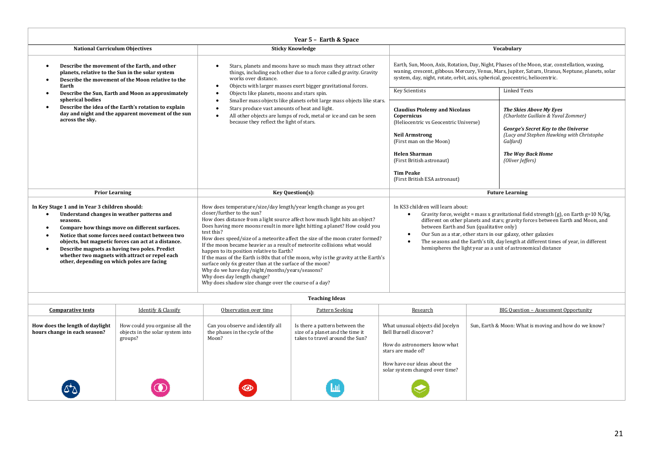| Year 5 - Earth & Space                                                                                                                                                                                                                                                                                                                                                                                                                          |                                                                                                                                                                                                                                                                                                                                                                                                                                                                                                                                                                                                                                                                                                                                                                                      |                                                                                                                                                                                                                                                                                                                                                                                                                                                                                                                                                                                                                                                                                                                                                                                                                            |  |  |  |
|-------------------------------------------------------------------------------------------------------------------------------------------------------------------------------------------------------------------------------------------------------------------------------------------------------------------------------------------------------------------------------------------------------------------------------------------------|--------------------------------------------------------------------------------------------------------------------------------------------------------------------------------------------------------------------------------------------------------------------------------------------------------------------------------------------------------------------------------------------------------------------------------------------------------------------------------------------------------------------------------------------------------------------------------------------------------------------------------------------------------------------------------------------------------------------------------------------------------------------------------------|----------------------------------------------------------------------------------------------------------------------------------------------------------------------------------------------------------------------------------------------------------------------------------------------------------------------------------------------------------------------------------------------------------------------------------------------------------------------------------------------------------------------------------------------------------------------------------------------------------------------------------------------------------------------------------------------------------------------------------------------------------------------------------------------------------------------------|--|--|--|
| <b>National Curriculum Objectives</b>                                                                                                                                                                                                                                                                                                                                                                                                           | <b>Sticky Knowledge</b>                                                                                                                                                                                                                                                                                                                                                                                                                                                                                                                                                                                                                                                                                                                                                              | Vocabulary                                                                                                                                                                                                                                                                                                                                                                                                                                                                                                                                                                                                                                                                                                                                                                                                                 |  |  |  |
| Describe the movement of the Earth, and other<br>$\bullet$<br>planets, relative to the Sun in the solar system<br>Describe the movement of the Moon relative to the<br>Earth<br>Describe the Sun, Earth and Moon as approximately<br>spherical bodies<br>Describe the idea of the Earth's rotation to explain<br>$\bullet$<br>day and night and the apparent movement of the sun<br>across the sky.                                             | Stars, planets and moons have so much mass they attract other<br>things, including each other due to a force called gravity. Gravity<br>works over distance.<br>Objects with larger masses exert bigger gravitational forces.<br>Objects like planets, moons and stars spin.<br>Smaller mass objects like planets orbit large mass objects like stars.<br>Stars produce vast amounts of heat and light.<br>All other objects are lumps of rock, metal or ice and can be seen<br>because they reflect the light of stars.                                                                                                                                                                                                                                                             | Earth, Sun, Moon, Axis, Rotation, Day, Night, Phases of the Moon, star, constellation, waxing,<br>waning, crescent, gibbous. Mercury, Venus, Mars, Jupiter, Saturn, Uranus, Neptune, planets, solar<br>system, day, night, rotate, orbit, axis, spherical, geocentric, heliocentric.<br><b>Linked Texts</b><br><b>Key Scientists</b><br><b>Claudius Ptolemy and Nicolaus</b><br><b>The Skies Above My Eyes</b><br>(Charlotte Guillain & Yuval Zommer)<br>Copernicus<br>(Heliocentric vs Geocentric Universe)<br>George's Secret Key to the Universe<br>(Lucy and Stephen Hawking with Christophe<br><b>Neil Armstrong</b><br>(First man on the Moon)<br>Galfard)<br><b>Helen Sharman</b><br><b>The Way Back Home</b><br>(First British astronaut)<br>(Oliver Jeffers)<br><b>Tim Peake</b><br>(First British ESA astronaut) |  |  |  |
| <b>Prior Learning</b>                                                                                                                                                                                                                                                                                                                                                                                                                           | Key Question(s):                                                                                                                                                                                                                                                                                                                                                                                                                                                                                                                                                                                                                                                                                                                                                                     |                                                                                                                                                                                                                                                                                                                                                                                                                                                                                                                                                                                                                                                                                                                                                                                                                            |  |  |  |
| In Key Stage 1 and in Year 3 children should:<br>Understand changes in weather patterns and<br>$\bullet$<br>seasons.<br>Compare how things move on different surfaces.<br>Notice that some forces need contact between two<br>objects, but magnetic forces can act at a distance.<br>Describe magnets as having two poles. Predict<br>$\bullet$<br>whether two magnets with attract or repel each<br>other, depending on which poles are facing | How does temperature/size/day length/year length change as you get<br>closer/further to the sun?<br>How does distance from a light source affect how much light hits an object?<br>Does having more moons result in more light hitting a planet? How could you<br>test this?<br>How does speed/size of a meteorite affect the size of the moon crater formed?<br>If the moon became heavier as a result of meteorite collisions what would<br>happen to its position relative to Earth?<br>If the mass of the Earth is 80x that of the moon, why is the gravity at the Earth's<br>surface only 6x greater than at the surface of the moon?<br>Why do we have day/night/months/years/seasons?<br>Why does day length change?<br>Why does shadow size change over the course of a day? | <b>Future Learning</b><br>In KS3 children will learn about:<br>Gravity force, weight = mass x gravitational field strength (g), on Earth g=10 N/kg,<br>different on other planets and stars; gravity forces between Earth and Moon, and<br>between Earth and Sun (qualitative only)<br>Our Sun as a star, other stars in our galaxy, other galaxies<br>$\bullet$<br>The seasons and the Earth's tilt, day length at different times of year, in different<br>hemispheres the light year as a unit of astronomical distance                                                                                                                                                                                                                                                                                                 |  |  |  |
| <b>Teaching Ideas</b>                                                                                                                                                                                                                                                                                                                                                                                                                           |                                                                                                                                                                                                                                                                                                                                                                                                                                                                                                                                                                                                                                                                                                                                                                                      |                                                                                                                                                                                                                                                                                                                                                                                                                                                                                                                                                                                                                                                                                                                                                                                                                            |  |  |  |

| <b>Teaching Ideas</b> |  |  |  |
|-----------------------|--|--|--|
|-----------------------|--|--|--|

| <b>Comparative tests</b>                                        | <b>Identify &amp; Classify</b>                                                | Observation over time                                                       | Pattern Seeking                                                                                       | Research                                                                                                                                                                            | <b>BIG Question - Assessment Opportunity</b>          |
|-----------------------------------------------------------------|-------------------------------------------------------------------------------|-----------------------------------------------------------------------------|-------------------------------------------------------------------------------------------------------|-------------------------------------------------------------------------------------------------------------------------------------------------------------------------------------|-------------------------------------------------------|
| How does the length of daylight<br>hours change in each season? | How could you organise all the<br>objects in the solar system into<br>groups? | Can you observe and identify all<br>the phases in the cycle of the<br>Moon? | Is there a pattern between the<br>size of a planet and the time it<br>takes to travel around the Sun? | What unusual objects did Jocelyn<br>Bell Burnell discover?<br>How do astronomers know what<br>stars are made of?<br>How have our ideas about the<br>solar system changed over time? | Sun, Earth & Moon: What is moving and how do we know? |
| لا کا                                                           |                                                                               | O                                                                           | / Lub                                                                                                 |                                                                                                                                                                                     |                                                       |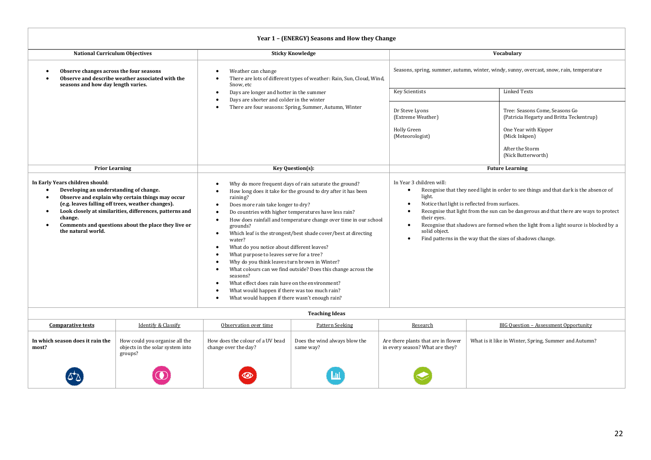| Year 1 - (ENERGY) Seasons and How they Change |  |  |
|-----------------------------------------------|--|--|
|-----------------------------------------------|--|--|

| <b>National Curriculum Objectives</b>                                                                                                                                                                                                                                                                                                 | <b>Sticky Knowledge</b>                                                                                                                                                                                                                                                                                                                                                                                                                                                                                                                                                                                                                                                                                                                                                                                                                                                                  |                                                                                                                                                                                             | Vocabulary                                                                                                                                                                                                                                                             |  |  |  |
|---------------------------------------------------------------------------------------------------------------------------------------------------------------------------------------------------------------------------------------------------------------------------------------------------------------------------------------|------------------------------------------------------------------------------------------------------------------------------------------------------------------------------------------------------------------------------------------------------------------------------------------------------------------------------------------------------------------------------------------------------------------------------------------------------------------------------------------------------------------------------------------------------------------------------------------------------------------------------------------------------------------------------------------------------------------------------------------------------------------------------------------------------------------------------------------------------------------------------------------|---------------------------------------------------------------------------------------------------------------------------------------------------------------------------------------------|------------------------------------------------------------------------------------------------------------------------------------------------------------------------------------------------------------------------------------------------------------------------|--|--|--|
| Observe changes across the four seasons<br>Observe and describe weather associated with the<br>seasons and how day length varies.                                                                                                                                                                                                     | Weather can change<br>$\bullet$<br>There are lots of different types of weather: Rain, Sun, Cloud, Wind,<br>Snow, etc                                                                                                                                                                                                                                                                                                                                                                                                                                                                                                                                                                                                                                                                                                                                                                    | Seasons, spring, summer, autumn, winter, windy, sunny, overcast, snow, rain, temperature                                                                                                    |                                                                                                                                                                                                                                                                        |  |  |  |
|                                                                                                                                                                                                                                                                                                                                       | Days are longer and hotter in the summer<br>$\bullet$<br>Days are shorter and colder in the winter<br>$\bullet$<br>There are four seasons: Spring, Summer, Autumn, Winter                                                                                                                                                                                                                                                                                                                                                                                                                                                                                                                                                                                                                                                                                                                | <b>Key Scientists</b>                                                                                                                                                                       | <b>Linked Texts</b>                                                                                                                                                                                                                                                    |  |  |  |
|                                                                                                                                                                                                                                                                                                                                       |                                                                                                                                                                                                                                                                                                                                                                                                                                                                                                                                                                                                                                                                                                                                                                                                                                                                                          | Dr Steve Lyons<br>(Extreme Weather)<br>Holly Green<br>(Meteorologist)                                                                                                                       | Tree: Seasons Come, Seasons Go<br>(Patricia Hegarty and Britta Teckentrup)<br>One Year with Kipper<br>(Mick Inkpen)<br>After the Storm<br>(Nick Butterworth)                                                                                                           |  |  |  |
| <b>Prior Learning</b>                                                                                                                                                                                                                                                                                                                 | Key Question(s):                                                                                                                                                                                                                                                                                                                                                                                                                                                                                                                                                                                                                                                                                                                                                                                                                                                                         |                                                                                                                                                                                             | <b>Future Learning</b>                                                                                                                                                                                                                                                 |  |  |  |
| In Early Years children should:<br>Developing an understanding of change.<br>Observe and explain why certain things may occur<br>(e.g. leaves falling off trees, weather changes).<br>Look closely at similarities, differences, patterns and<br>change.<br>Comments and questions about the place they live or<br>the natural world. | Why do more frequent days of rain saturate the ground?<br>How long does it take for the ground to dry after it has been<br>raining?<br>Does more rain take longer to dry?<br>$\bullet$<br>Do countries with higher temperatures have less rain?<br>How does rainfall and temperature change over time in our school<br>$\bullet$<br>grounds?<br>Which leaf is the strongest/best shade cover/best at directing<br>$\bullet$<br>water?<br>What do you notice about different leaves?<br>$\bullet$<br>What purpose to leaves serve for a tree?<br>٠<br>Why do you think leaves turn brown in Winter?<br>What colours can we find outside? Does this change across the<br>$\bullet$<br>seasons?<br>What effect does rain have on the environment?<br>$\bullet$<br>What would happen if there was too much rain?<br>$\bullet$<br>What would happen if there wasn't enough rain?<br>$\bullet$ | In Year 3 children will:<br>light.<br>Notice that light is reflected from surfaces.<br>٠<br>٠<br>their eyes.<br>solid object.<br>Find patterns in the way that the sizes of shadows change. | Recognise that they need light in order to see things and that dark is the absence of<br>Recognise that light from the sun can be dangerous and that there are ways to protect<br>Recognise that shadows are formed when the light from a light source is blocked by a |  |  |  |

| <b>Comparative tests</b>                  | <b>Identify &amp; Classify</b>                                                | Observation over time                                    | Pattern Seeking                            | Research                                                               | <b>BIG Question - Assessment Opportunity</b>          |
|-------------------------------------------|-------------------------------------------------------------------------------|----------------------------------------------------------|--------------------------------------------|------------------------------------------------------------------------|-------------------------------------------------------|
| In which season does it rain the<br>most? | How could you organise all the<br>objects in the solar system into<br>groups? | How does the colour of a UV bead<br>change over the day? | Does the wind always blow the<br>same way? | Are there plants that are in flower<br>in every season? What are they? | What is it like in Winter, Spring, Summer and Autumn? |
|                                           |                                                                               | $\circledcirc$                                           | IJШ                                        |                                                                        |                                                       |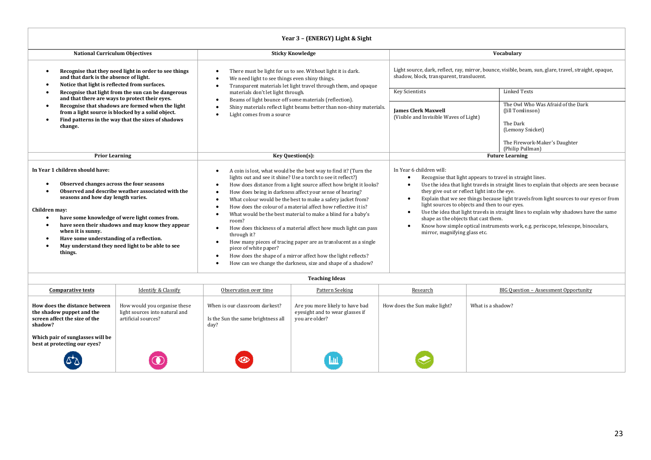| Year 3 - (ENERGY) Light & Sight                                                                                                                                                                                                                                                                                                                                                                                                                                                                                                                                                                                                                                                                                                                                                                                                                                                                                                                                                                                                                                                                                                                                                                                           |                                                                                                                                                                                   |                                                                                                                                                                                                                                                                  |                                                                                                                                                                                                                                                                                                                                                                     |  |  |  |
|---------------------------------------------------------------------------------------------------------------------------------------------------------------------------------------------------------------------------------------------------------------------------------------------------------------------------------------------------------------------------------------------------------------------------------------------------------------------------------------------------------------------------------------------------------------------------------------------------------------------------------------------------------------------------------------------------------------------------------------------------------------------------------------------------------------------------------------------------------------------------------------------------------------------------------------------------------------------------------------------------------------------------------------------------------------------------------------------------------------------------------------------------------------------------------------------------------------------------|-----------------------------------------------------------------------------------------------------------------------------------------------------------------------------------|------------------------------------------------------------------------------------------------------------------------------------------------------------------------------------------------------------------------------------------------------------------|---------------------------------------------------------------------------------------------------------------------------------------------------------------------------------------------------------------------------------------------------------------------------------------------------------------------------------------------------------------------|--|--|--|
| <b>National Curriculum Objectives</b>                                                                                                                                                                                                                                                                                                                                                                                                                                                                                                                                                                                                                                                                                                                                                                                                                                                                                                                                                                                                                                                                                                                                                                                     |                                                                                                                                                                                   | Vocabulary                                                                                                                                                                                                                                                       |                                                                                                                                                                                                                                                                                                                                                                     |  |  |  |
| Recognise that they need light in order to see things<br>and that dark is the absence of light.<br>Notice that light is reflected from surfaces.                                                                                                                                                                                                                                                                                                                                                                                                                                                                                                                                                                                                                                                                                                                                                                                                                                                                                                                                                                                                                                                                          | There must be light for us to see. Without light it is dark.<br>We need light to see things even shiny things.<br>Transparent materials let light travel through them, and opaque | Light source, dark, reflect, ray, mirror, bounce, visible, beam, sun, glare, travel, straight, opaque,<br>shadow, block, transparent, translucent.                                                                                                               |                                                                                                                                                                                                                                                                                                                                                                     |  |  |  |
| Recognise that light from the sun can be dangerous<br>and that there are ways to protect their eyes.                                                                                                                                                                                                                                                                                                                                                                                                                                                                                                                                                                                                                                                                                                                                                                                                                                                                                                                                                                                                                                                                                                                      | materials don't let light through.                                                                                                                                                | <b>Key Scientists</b>                                                                                                                                                                                                                                            | <b>Linked Texts</b>                                                                                                                                                                                                                                                                                                                                                 |  |  |  |
| Recognise that shadows are formed when the light<br>from a light source is blocked by a solid object.<br>Find patterns in the way that the sizes of shadows<br>change.                                                                                                                                                                                                                                                                                                                                                                                                                                                                                                                                                                                                                                                                                                                                                                                                                                                                                                                                                                                                                                                    | Beams of light bounce off some materials (reflection).<br>Shiny materials reflect light beams better than non-shiny materials.<br>Light comes from a source                       | <b>Iames Clerk Maxwell</b><br>(Visible and Invisible Waves of Light)                                                                                                                                                                                             | The Owl Who Was Afraid of the Dark<br>(Jill Tomlinson)<br>The Dark<br>(Lemony Snicket)<br>The Firework-Maker's Daughter<br>(Philip Pullman)                                                                                                                                                                                                                         |  |  |  |
| <b>Prior Learning</b>                                                                                                                                                                                                                                                                                                                                                                                                                                                                                                                                                                                                                                                                                                                                                                                                                                                                                                                                                                                                                                                                                                                                                                                                     | Key Question(s):                                                                                                                                                                  | <b>Future Learning</b>                                                                                                                                                                                                                                           |                                                                                                                                                                                                                                                                                                                                                                     |  |  |  |
| In Year 1 children should have:<br>A coin is lost, what would be the best way to find it? (Turn the<br>lights out and see it shine? Use a torch to see it reflect?)<br>Observed changes across the four seasons<br>How does distance from a light source affect how bright it looks?<br>Observed and describe weather associated with the<br>How does being in darkness affect your sense of hearing?<br>seasons and how day length varies.<br>What colour would be the best to make a safety jacket from?<br>How does the colour of a material affect how reflective it is?<br>Children may:<br>What would be the best material to make a blind for a baby's<br>have some knowledge of were light comes from.<br>room?<br>have seen their shadows and may know they appear<br>How does thickness of a material affect how much light can pass<br>when it is sunny.<br>through it?<br>Have some understanding of a reflection.<br>How many pieces of tracing paper are as translucent as a single<br>May understand they need light to be able to see<br>piece of white paper?<br>things.<br>How does the shape of a mirror affect how the light reflects?<br>How can we change the darkness, size and shape of a shadow? |                                                                                                                                                                                   | In Year 6 children will:<br>Recognise that light appears to travel in straight lines.<br>they give out or reflect light into the eye.<br>light sources to objects and then to our eyes.<br>shape as the objects that cast them.<br>mirror, magnifying glass etc. | Use the idea that light travels in straight lines to explain that objects are seen because<br>Explain that we see things because light travels from light sources to our eyes or from<br>Use the idea that light travels in straight lines to explain why shadows have the same<br>Know how simple optical instruments work, e.g. periscope, telescope, binoculars, |  |  |  |

| <b>Teaching Ideas</b> |  |
|-----------------------|--|

| <b>Comparative tests</b>                                                                               | Identify & Classify                                                                   | Observation over time                                                        | Pattern Seeking                                                                      | Research                     | BIG Ouestion - Assessment Opportunity |
|--------------------------------------------------------------------------------------------------------|---------------------------------------------------------------------------------------|------------------------------------------------------------------------------|--------------------------------------------------------------------------------------|------------------------------|---------------------------------------|
| How does the distance between<br>the shadow puppet and the<br>screen affect the size of the<br>shadow? | How would you organise these<br>light sources into natural and<br>artificial sources? | When is our classroom darkest?<br>Is the Sun the same brightness all<br>day? | Are you more likely to have bad<br>eyesight and to wear glasses if<br>you are older? | How does the Sun make light? | What is a shadow?                     |
| Which pair of sunglasses will be<br>best at protecting our eyes?                                       |                                                                                       |                                                                              |                                                                                      |                              |                                       |
|                                                                                                        |                                                                                       | $\circledcirc$                                                               | $\mathbf{L}$                                                                         |                              |                                       |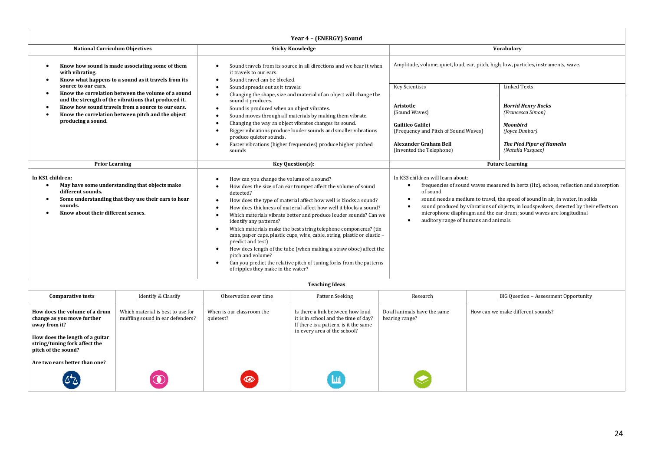|                                                                                                                                                                                                             | Year 4 - (ENERGY) Sound                                                                                                                                                                                                                                                                                                                                                                                                                                                                                                                                                                                                                                                                                                                      |                                                                                                                                                                                                                                                                                                                                                                                                                                                |                                                                                                                                              |  |  |  |
|-------------------------------------------------------------------------------------------------------------------------------------------------------------------------------------------------------------|----------------------------------------------------------------------------------------------------------------------------------------------------------------------------------------------------------------------------------------------------------------------------------------------------------------------------------------------------------------------------------------------------------------------------------------------------------------------------------------------------------------------------------------------------------------------------------------------------------------------------------------------------------------------------------------------------------------------------------------------|------------------------------------------------------------------------------------------------------------------------------------------------------------------------------------------------------------------------------------------------------------------------------------------------------------------------------------------------------------------------------------------------------------------------------------------------|----------------------------------------------------------------------------------------------------------------------------------------------|--|--|--|
| <b>National Curriculum Objectives</b>                                                                                                                                                                       | <b>Sticky Knowledge</b>                                                                                                                                                                                                                                                                                                                                                                                                                                                                                                                                                                                                                                                                                                                      | Vocabulary                                                                                                                                                                                                                                                                                                                                                                                                                                     |                                                                                                                                              |  |  |  |
| Know how sound is made associating some of them<br>with vibrating.<br>Know what happens to a sound as it travels from its                                                                                   | Sound travels from its source in all directions and we hear it when<br>it travels to our ears.<br>Sound travel can be blocked.                                                                                                                                                                                                                                                                                                                                                                                                                                                                                                                                                                                                               | Amplitude, volume, quiet, loud, ear, pitch, high, low, particles, instruments, wave.                                                                                                                                                                                                                                                                                                                                                           |                                                                                                                                              |  |  |  |
| source to our ears.<br>Know the correlation between the volume of a sound                                                                                                                                   | Sound spreads out as it travels.<br>Changing the shape, size and material of an object will change the                                                                                                                                                                                                                                                                                                                                                                                                                                                                                                                                                                                                                                       | <b>Key Scientists</b>                                                                                                                                                                                                                                                                                                                                                                                                                          | <b>Linked Texts</b>                                                                                                                          |  |  |  |
| and the strength of the vibrations that produced it.<br>Know how sound travels from a source to our ears.<br>Know the correlation between pitch and the object<br>producing a sound.                        | sound it produces.<br>Sound is produced when an object vibrates.<br>Sound moves through all materials by making them vibrate.<br>Changing the way an object vibrates changes its sound.<br>Bigger vibrations produce louder sounds and smaller vibrations<br>produce quieter sounds.<br>Faster vibrations (higher frequencies) produce higher pitched<br>sounds                                                                                                                                                                                                                                                                                                                                                                              | Aristotle<br>(Sound Waves)<br>Gailileo Galilei<br>(Frequency and Pitch of Sound Waves)<br><b>Alexander Graham Bell</b><br>(Invented the Telephone)                                                                                                                                                                                                                                                                                             | <b>Horrid Henry Rocks</b><br>(Francesca Simon)<br><b>Moonbird</b><br>(Joyce Dunbar)<br><b>The Pied Piper of Hamelin</b><br>(Natalia Vasquez) |  |  |  |
| <b>Prior Learning</b>                                                                                                                                                                                       | Key Question(s):                                                                                                                                                                                                                                                                                                                                                                                                                                                                                                                                                                                                                                                                                                                             | <b>Future Learning</b>                                                                                                                                                                                                                                                                                                                                                                                                                         |                                                                                                                                              |  |  |  |
| In KS1 children:<br>May have some understanding that objects make<br>$\bullet$<br>different sounds.<br>Some understanding that they use their ears to hear<br>sounds.<br>Know about their different senses. | How can you change the volume of a sound?<br>How does the size of an ear trumpet affect the volume of sound<br>detected?<br>How does the type of material affect how well is blocks a sound?<br>How does thickness of material affect how well it blocks a sound?<br>Which materials vibrate better and produce louder sounds? Can we<br>identify any patterns?<br>Which materials make the best string telephone components? (tin<br>cans, paper cups, plastic cups, wire, cable, string, plastic or elastic -<br>predict and test)<br>How does length of the tube (when making a straw oboe) affect the<br>pitch and volume?<br>Can you predict the relative pitch of tuning forks from the patterns<br>of ripples they make in the water? | In KS3 children will learn about:<br>frequencies of sound waves measured in hertz (Hz), echoes, reflection and absorption<br>$\bullet$<br>of sound<br>sound needs a medium to travel, the speed of sound in air, in water, in solids<br>sound produced by vibrations of objects, in loudspeakers, detected by their effects on<br>microphone diaphragm and the ear drum; sound waves are longitudinal<br>auditory range of humans and animals. |                                                                                                                                              |  |  |  |
| <b>Teaching Ideas</b>                                                                                                                                                                                       |                                                                                                                                                                                                                                                                                                                                                                                                                                                                                                                                                                                                                                                                                                                                              |                                                                                                                                                                                                                                                                                                                                                                                                                                                |                                                                                                                                              |  |  |  |

| <b>Comparative tests</b>                                                                                                                                                | Identify & Classify                                                   | Observation over time                  | Pattern Seeking                                                                                                                                   | Research                                       | BIG Ouestion - Assessment Opportunity |
|-------------------------------------------------------------------------------------------------------------------------------------------------------------------------|-----------------------------------------------------------------------|----------------------------------------|---------------------------------------------------------------------------------------------------------------------------------------------------|------------------------------------------------|---------------------------------------|
| How does the volume of a drum<br>change as you move further<br>away from it?<br>How does the length of a guitar<br>string/tuning fork affect the<br>pitch of the sound? | Which material is best to use for<br>muffling sound in ear defenders? | When is our classroom the<br>quietest? | Is there a link between how loud<br>it is in school and the time of day?<br>If there is a pattern, is it the same<br>in every area of the school? | Do all animals have the same<br>hearing range? | How can we make different sounds?     |
| Are two ears better than one?<br>لا*کا                                                                                                                                  |                                                                       | $\circledcirc$                         | <u>lш</u>                                                                                                                                         |                                                |                                       |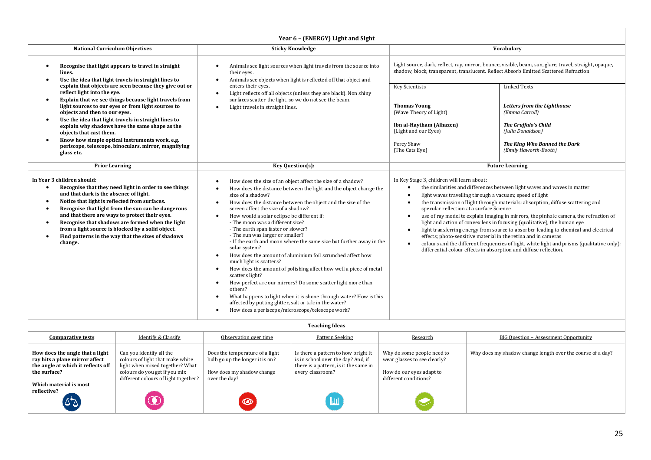| Year 6 - (ENERGY) Light and Sight                                                                                                                                                                                                                                                                                                                                                                                                                                                                                                 |                                                                                                                                                                                                                                                                                                                                                                                                                                                                                                                                                                                                                                                                                                                                                                                                                                                                                                                                                                              |                                                                                                                                                                                                                                                                                                                                                                                                                                                                                                                                                                                                                                                                                                                                                                                                                                                                        |                                                                                                                                                     |  |  |  |  |
|-----------------------------------------------------------------------------------------------------------------------------------------------------------------------------------------------------------------------------------------------------------------------------------------------------------------------------------------------------------------------------------------------------------------------------------------------------------------------------------------------------------------------------------|------------------------------------------------------------------------------------------------------------------------------------------------------------------------------------------------------------------------------------------------------------------------------------------------------------------------------------------------------------------------------------------------------------------------------------------------------------------------------------------------------------------------------------------------------------------------------------------------------------------------------------------------------------------------------------------------------------------------------------------------------------------------------------------------------------------------------------------------------------------------------------------------------------------------------------------------------------------------------|------------------------------------------------------------------------------------------------------------------------------------------------------------------------------------------------------------------------------------------------------------------------------------------------------------------------------------------------------------------------------------------------------------------------------------------------------------------------------------------------------------------------------------------------------------------------------------------------------------------------------------------------------------------------------------------------------------------------------------------------------------------------------------------------------------------------------------------------------------------------|-----------------------------------------------------------------------------------------------------------------------------------------------------|--|--|--|--|
| <b>National Curriculum Objectives</b>                                                                                                                                                                                                                                                                                                                                                                                                                                                                                             | <b>Sticky Knowledge</b>                                                                                                                                                                                                                                                                                                                                                                                                                                                                                                                                                                                                                                                                                                                                                                                                                                                                                                                                                      | Vocabulary                                                                                                                                                                                                                                                                                                                                                                                                                                                                                                                                                                                                                                                                                                                                                                                                                                                             |                                                                                                                                                     |  |  |  |  |
| Recognise that light appears to travel in straight<br>$\bullet$<br>lines.<br>Use the idea that light travels in straight lines to<br>$\bullet$<br>explain that objects are seen because they give out or<br>reflect light into the eye.                                                                                                                                                                                                                                                                                           | Animals see light sources when light travels from the source into<br>their eyes.<br>Animals see objects when light is reflected off that object and<br>enters their eves.<br>Light reflects off all objects (unless they are black). Non shiny<br>$\bullet$                                                                                                                                                                                                                                                                                                                                                                                                                                                                                                                                                                                                                                                                                                                  | Light source, dark, reflect, ray, mirror, bounce, visible, beam, sun, glare, travel, straight, opaque,<br>shadow, block, transparent, translucent. Reflect Absorb Emitted Scattered Refraction<br><b>Linked Texts</b><br><b>Key Scientists</b>                                                                                                                                                                                                                                                                                                                                                                                                                                                                                                                                                                                                                         |                                                                                                                                                     |  |  |  |  |
| Explain that we see things because light travels from<br>$\bullet$<br>light sources to our eves or from light sources to<br>objects and then to our eves.<br>Use the idea that light travels in straight lines to<br>$\bullet$<br>explain why shadows have the same shape as the<br>objects that cast them.<br>Know how simple optical instruments work, e.g.<br>$\bullet$<br>periscope, telescope, binoculars, mirror, magnifying<br>glass etc.                                                                                  | surfaces scatter the light, so we do not see the beam.<br>Light travels in straight lines.<br>$\bullet$                                                                                                                                                                                                                                                                                                                                                                                                                                                                                                                                                                                                                                                                                                                                                                                                                                                                      | <b>Thomas Young</b><br>(Wave Theory of Light)<br>Ibn al-Haytham (Alhazen)<br>(Light and our Eyes)<br>Percy Shaw<br>(The Cats Eye)                                                                                                                                                                                                                                                                                                                                                                                                                                                                                                                                                                                                                                                                                                                                      | Letters from the Lighthouse<br>(Emma Carroll)<br>The Gruffalo's Child<br>(Julia Donaldson)<br>The King Who Banned the Dark<br>(Emily Haworth-Booth) |  |  |  |  |
| <b>Prior Learning</b>                                                                                                                                                                                                                                                                                                                                                                                                                                                                                                             | Key Question(s):                                                                                                                                                                                                                                                                                                                                                                                                                                                                                                                                                                                                                                                                                                                                                                                                                                                                                                                                                             | <b>Future Learning</b>                                                                                                                                                                                                                                                                                                                                                                                                                                                                                                                                                                                                                                                                                                                                                                                                                                                 |                                                                                                                                                     |  |  |  |  |
| In Year 3 children should:<br>Recognise that they need light in order to see things<br>$\bullet$<br>and that dark is the absence of light.<br>Notice that light is reflected from surfaces.<br>$\bullet$<br>Recognise that light from the sun can be dangerous<br>$\bullet$<br>and that there are ways to protect their eyes.<br>Recognise that shadows are formed when the light<br>$\bullet$<br>from a light source is blocked by a solid object.<br>Find patterns in the way that the sizes of shadows<br>$\bullet$<br>change. | How does the size of an object affect the size of a shadow?<br>How does the distance between the light and the object change the<br>size of a shadow?<br>How does the distance between the object and the size of the<br>screen affect the size of a shadow?<br>How would a solar eclipse be different if:<br>- The moon was a different size?<br>- The earth span faster or slower?<br>- The sun was larger or smaller?<br>- If the earth and moon where the same size but further away in the<br>solar system?<br>How does the amount of aluminium foil scrunched affect how<br>much light is scatters?<br>How does the amount of polishing affect how well a piece of metal<br>scatters light?<br>How perfect are our mirrors? Do some scatter light more than<br>$\bullet$<br>others?<br>What happens to light when it is shone through water? How is this<br>affected by putting glitter, salt or talc in the water?<br>How does a periscope/microscope/telescope work? | In Key Stage 3, children will learn about:<br>the similarities and differences between light waves and waves in matter<br>light waves travelling through a vacuum; speed of light<br>$\bullet$<br>the transmission of light through materials: absorption, diffuse scattering and<br>$\bullet$<br>specular reflection at a surface Science<br>use of ray model to explain imaging in mirrors, the pinhole camera, the refraction of<br>light and action of convex lens in focusing (qualitative), the human eye<br>light transferring energy from source to absorber leading to chemical and electrical<br>$\bullet$<br>effects; photo-sensitive material in the retina and in cameras<br>colours and the different frequencies of light, white light and prisms (qualitative only);<br>$\bullet$<br>differential colour effects in absorption and diffuse reflection. |                                                                                                                                                     |  |  |  |  |

| <b>Teaching Ideas</b> |  |
|-----------------------|--|
|-----------------------|--|

| <b>Comparative tests</b>                                                                                                | Identify & Classify                                                                                                                                                      | Observation over time                                                                                            | Pattern Seeking                                                                                                                        | Research                                                                                                        | <b>BIG Question - Assessment Opportunity</b>               |
|-------------------------------------------------------------------------------------------------------------------------|--------------------------------------------------------------------------------------------------------------------------------------------------------------------------|------------------------------------------------------------------------------------------------------------------|----------------------------------------------------------------------------------------------------------------------------------------|-----------------------------------------------------------------------------------------------------------------|------------------------------------------------------------|
| How does the angle that a light<br>ray hits a plane mirror affect<br>the angle at which it reflects off<br>the surface? | Can you identify all the<br>colours of light that make white<br>light when mixed together? What<br>colours do you get if you mix<br>different colours of light together? | Does the temperature of a light<br>bulb go up the longer it is on?<br>How does my shadow change<br>over the day? | Is there a pattern to how bright it<br>is in school over the day? And, if<br>there is a pattern, is it the same in<br>every classroom? | Why do some people need to<br>wear glasses to see clearly?<br>How do our eyes adapt to<br>different conditions? | Why does my shadow change length over the course of a day? |
| Which material is most<br>reflective?                                                                                   |                                                                                                                                                                          | $\circledcirc$                                                                                                   | /Lub                                                                                                                                   |                                                                                                                 |                                                            |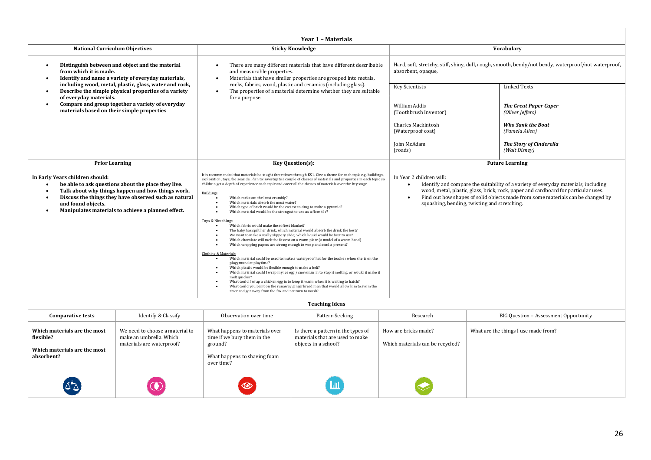| Year 1 - Materials                                                                                                                                                                                                                                                                                                                                                                                                                                                                                                                                                                                                                                                                                                                                                                                                                                                                                                                                                                                                                                                                                                                      |                                                                                                                                                                                                                                                                                                                                                                                                                                                                                                                                                                                   |                                                                                                                                                                                                                                                             |                                                                                                |  |  |  |
|-----------------------------------------------------------------------------------------------------------------------------------------------------------------------------------------------------------------------------------------------------------------------------------------------------------------------------------------------------------------------------------------------------------------------------------------------------------------------------------------------------------------------------------------------------------------------------------------------------------------------------------------------------------------------------------------------------------------------------------------------------------------------------------------------------------------------------------------------------------------------------------------------------------------------------------------------------------------------------------------------------------------------------------------------------------------------------------------------------------------------------------------|-----------------------------------------------------------------------------------------------------------------------------------------------------------------------------------------------------------------------------------------------------------------------------------------------------------------------------------------------------------------------------------------------------------------------------------------------------------------------------------------------------------------------------------------------------------------------------------|-------------------------------------------------------------------------------------------------------------------------------------------------------------------------------------------------------------------------------------------------------------|------------------------------------------------------------------------------------------------|--|--|--|
| <b>National Curriculum Objectives</b>                                                                                                                                                                                                                                                                                                                                                                                                                                                                                                                                                                                                                                                                                                                                                                                                                                                                                                                                                                                                                                                                                                   | Vocabulary                                                                                                                                                                                                                                                                                                                                                                                                                                                                                                                                                                        |                                                                                                                                                                                                                                                             |                                                                                                |  |  |  |
| Distinguish between and object and the material<br>from which it is made.<br>Identify and name a variety of everyday materials,                                                                                                                                                                                                                                                                                                                                                                                                                                                                                                                                                                                                                                                                                                                                                                                                                                                                                                                                                                                                         | There are many different materials that have different describable<br>and measurable properties.<br>Materials that have similar properties are grouped into metals,<br>$\bullet$                                                                                                                                                                                                                                                                                                                                                                                                  | Hard, soft, stretchy, stiff, shiny, dull, rough, smooth, bendy/not bendy, waterproof/not waterproof,<br>absorbent, opaque,                                                                                                                                  |                                                                                                |  |  |  |
| including wood, metal, plastic, glass, water and rock,<br>Describe the simple physical properties of a variety                                                                                                                                                                                                                                                                                                                                                                                                                                                                                                                                                                                                                                                                                                                                                                                                                                                                                                                                                                                                                          | rocks, fabrics, wood, plastic and ceramics (including glass).<br>The properties of a material determine whether they are suitable<br>$\bullet$                                                                                                                                                                                                                                                                                                                                                                                                                                    | <b>Key Scientists</b>                                                                                                                                                                                                                                       | <b>Linked Texts</b>                                                                            |  |  |  |
| of everyday materials.<br>Compare and group together a variety of everyday<br>٠<br>materials based on their simple properties                                                                                                                                                                                                                                                                                                                                                                                                                                                                                                                                                                                                                                                                                                                                                                                                                                                                                                                                                                                                           | for a purpose.                                                                                                                                                                                                                                                                                                                                                                                                                                                                                                                                                                    | William Addis<br>(Toothbrush Inventor)<br><b>Charles Mackintosh</b><br>(Waterproof coat)                                                                                                                                                                    | <b>The Great Paper Caper</b><br>(Oliver Jeffers)<br><b>Who Sank the Boat</b><br>(Pamela Allen) |  |  |  |
|                                                                                                                                                                                                                                                                                                                                                                                                                                                                                                                                                                                                                                                                                                                                                                                                                                                                                                                                                                                                                                                                                                                                         |                                                                                                                                                                                                                                                                                                                                                                                                                                                                                                                                                                                   | <b>John McAdam</b><br>(roads)                                                                                                                                                                                                                               | <b>The Story of Cinderella</b><br>(Walt Disney)                                                |  |  |  |
| <b>Prior Learning</b>                                                                                                                                                                                                                                                                                                                                                                                                                                                                                                                                                                                                                                                                                                                                                                                                                                                                                                                                                                                                                                                                                                                   | <b>Future Learning</b><br>Key Question(s):                                                                                                                                                                                                                                                                                                                                                                                                                                                                                                                                        |                                                                                                                                                                                                                                                             |                                                                                                |  |  |  |
| It is recommended that materials be taught three times through KS1. Give a theme for each topic e.g. buildings,<br>In Year 2 children will:<br>In Early Years children should:<br>exploration, toys, the seaside. Plan to investigate a couple of classes of materials and properties in each topic so<br>be able to ask questions about the place they live.<br>children get a depth of experience each topic and cover all the classes of materials over the key stage<br>$\bullet$<br>Talk about why things happen and how things work.<br><b>Buildings</b><br>Discuss the things they have observed such as natural<br>Which rocks are the least crumbly?<br>Which materials absorb the most water?<br>squashing, bending, twisting and stretching.<br>and found objects.<br>Which type of brick would be the easiest to drag to make a pyramid?<br>Manipulates materials to achieve a planned effect.<br>٠<br>Which material would be the strongest to use as a floor tile?<br>Toys & Nice things<br>Which fabric would make the softest blanket?<br>The baby has spilt her drink, which material would absorb the drink the best? |                                                                                                                                                                                                                                                                                                                                                                                                                                                                                                                                                                                   | Identify and compare the suitability of a variety of everyday materials, including<br>wood, metal, plastic, glass, brick, rock, paper and cardboard for particular uses.<br>Find out how shapes of solid objects made from some materials can be changed by |                                                                                                |  |  |  |
|                                                                                                                                                                                                                                                                                                                                                                                                                                                                                                                                                                                                                                                                                                                                                                                                                                                                                                                                                                                                                                                                                                                                         | We want to make a really slippery slide; which liquid would be best to use?<br>Which chocolate will melt the fastest on a warm plate (a model of a warm hand)<br>Which wrapping papers are strong enough to wrap and send a present?                                                                                                                                                                                                                                                                                                                                              |                                                                                                                                                                                                                                                             |                                                                                                |  |  |  |
|                                                                                                                                                                                                                                                                                                                                                                                                                                                                                                                                                                                                                                                                                                                                                                                                                                                                                                                                                                                                                                                                                                                                         | <b>Clothing &amp; Materials</b><br>Which material could be used to make a waterproof hat for the teacher when she is on the<br>playground at playtime?<br>Which plastic would be flexible enough to make a belt?<br>Which material could I wrap my ice egg / snowman in to stop it melting, or would it make it<br>$\bullet$<br>melt quicker?<br>What could I wrap a chicken egg in to keep it warm when it is waiting to hatch?<br>What could you paint on the runaway gingerbread man that would allow him to swim the<br>river and get away from the fox and not turn to mush? |                                                                                                                                                                                                                                                             |                                                                                                |  |  |  |
| <b>Teaching Ideas</b>                                                                                                                                                                                                                                                                                                                                                                                                                                                                                                                                                                                                                                                                                                                                                                                                                                                                                                                                                                                                                                                                                                                   |                                                                                                                                                                                                                                                                                                                                                                                                                                                                                                                                                                                   |                                                                                                                                                                                                                                                             |                                                                                                |  |  |  |

| <b>Comparative tests</b>                                                                | <b>Identify &amp; Classify</b>                                                          | Observation over time                                                                                                  | <b>Pattern Seeking</b>                                                                        | Research                                                 | <b>BIG Question - Assessment Opportunity</b> |
|-----------------------------------------------------------------------------------------|-----------------------------------------------------------------------------------------|------------------------------------------------------------------------------------------------------------------------|-----------------------------------------------------------------------------------------------|----------------------------------------------------------|----------------------------------------------|
| Which materials are the most<br>flexible?<br>Which materials are the most<br>absorbent? | We need to choose a material to<br>make an umbrella. Which<br>materials are waterproof? | What happens to materials over<br>time if we bury them in the<br>ground?<br>What happens to shaving foam<br>over time? | Is there a pattern in the types of<br>materials that are used to make<br>objects in a school? | How are bricks made?<br>Which materials can be recycled? | What are the things I use made from?         |
| لا کا                                                                                   |                                                                                         | $\circ$                                                                                                                |                                                                                               |                                                          |                                              |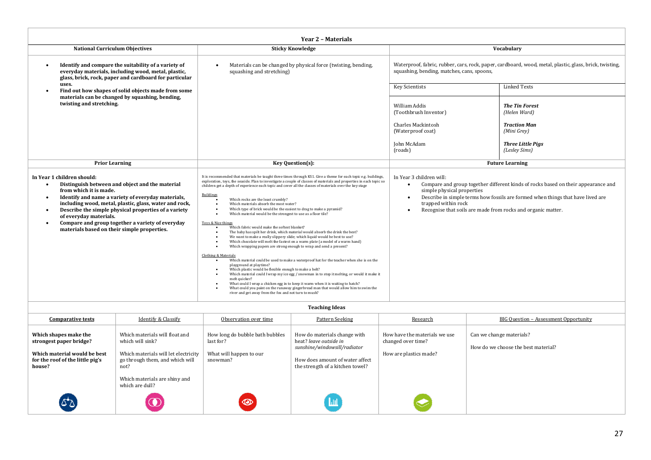| Year 2 - Materials                                                                                                                                                                                                                                                                                                                                                                                           |                                                                                                                                                                                                                                                                                                                                                                                                                                                                                                                                                                                                                                                                                                                                                                                                                                                                                                                                                                                                                                                                                                                                                                                                                                                                                                                                                                                                                                                                                                                                                                                                            |                                                                                                                                                                                                                                                                                                                       |                                                                                                                                                       |  |  |  |
|--------------------------------------------------------------------------------------------------------------------------------------------------------------------------------------------------------------------------------------------------------------------------------------------------------------------------------------------------------------------------------------------------------------|------------------------------------------------------------------------------------------------------------------------------------------------------------------------------------------------------------------------------------------------------------------------------------------------------------------------------------------------------------------------------------------------------------------------------------------------------------------------------------------------------------------------------------------------------------------------------------------------------------------------------------------------------------------------------------------------------------------------------------------------------------------------------------------------------------------------------------------------------------------------------------------------------------------------------------------------------------------------------------------------------------------------------------------------------------------------------------------------------------------------------------------------------------------------------------------------------------------------------------------------------------------------------------------------------------------------------------------------------------------------------------------------------------------------------------------------------------------------------------------------------------------------------------------------------------------------------------------------------------|-----------------------------------------------------------------------------------------------------------------------------------------------------------------------------------------------------------------------------------------------------------------------------------------------------------------------|-------------------------------------------------------------------------------------------------------------------------------------------------------|--|--|--|
| <b>National Curriculum Objectives</b>                                                                                                                                                                                                                                                                                                                                                                        | <b>Sticky Knowledge</b>                                                                                                                                                                                                                                                                                                                                                                                                                                                                                                                                                                                                                                                                                                                                                                                                                                                                                                                                                                                                                                                                                                                                                                                                                                                                                                                                                                                                                                                                                                                                                                                    |                                                                                                                                                                                                                                                                                                                       | Vocabulary                                                                                                                                            |  |  |  |
| Identify and compare the suitability of a variety of<br>everyday materials, including wood, metal, plastic,<br>glass, brick, rock, paper and cardboard for particular                                                                                                                                                                                                                                        | Materials can be changed by physical force (twisting, bending,<br>squashing and stretching)                                                                                                                                                                                                                                                                                                                                                                                                                                                                                                                                                                                                                                                                                                                                                                                                                                                                                                                                                                                                                                                                                                                                                                                                                                                                                                                                                                                                                                                                                                                |                                                                                                                                                                                                                                                                                                                       | Waterproof, fabric, rubber, cars, rock, paper, cardboard, wood, metal, plastic, glass, brick, twisting,<br>squashing, bending, matches, cans, spoons, |  |  |  |
| uses.<br>Find out how shapes of solid objects made from some                                                                                                                                                                                                                                                                                                                                                 |                                                                                                                                                                                                                                                                                                                                                                                                                                                                                                                                                                                                                                                                                                                                                                                                                                                                                                                                                                                                                                                                                                                                                                                                                                                                                                                                                                                                                                                                                                                                                                                                            | <b>Key Scientists</b>                                                                                                                                                                                                                                                                                                 | <b>Linked Texts</b>                                                                                                                                   |  |  |  |
| materials can be changed by squashing, bending,<br>twisting and stretching.                                                                                                                                                                                                                                                                                                                                  |                                                                                                                                                                                                                                                                                                                                                                                                                                                                                                                                                                                                                                                                                                                                                                                                                                                                                                                                                                                                                                                                                                                                                                                                                                                                                                                                                                                                                                                                                                                                                                                                            | William Addis<br>(Toothbrush Inventor)<br>Charles Mackintosh<br>(Waterproof coat)<br><b>John McAdam</b><br>(roads)                                                                                                                                                                                                    | <b>The Tin Forest</b><br>(Helen Ward)<br><b>Traction Man</b><br>(Mini Grey)<br><b>Three Little Pigs</b><br>(Lesley Sims)                              |  |  |  |
| <b>Prior Learning</b>                                                                                                                                                                                                                                                                                                                                                                                        | Key Question(s):                                                                                                                                                                                                                                                                                                                                                                                                                                                                                                                                                                                                                                                                                                                                                                                                                                                                                                                                                                                                                                                                                                                                                                                                                                                                                                                                                                                                                                                                                                                                                                                           |                                                                                                                                                                                                                                                                                                                       | <b>Future Learning</b>                                                                                                                                |  |  |  |
| In Year 1 children should:<br>Distinguish between and object and the material<br>from which it is made.<br>Identify and name a variety of everyday materials,<br>including wood, metal, plastic, glass, water and rock,<br>Describe the simple physical properties of a variety<br>of everyday materials.<br>Compare and group together a variety of everyday<br>materials based on their simple properties. | It is recommended that materials be taught three times through KS1. Give a theme for each topic e.g. buildings,<br>exploration, toys, the seaside. Plan to investigate a couple of classes of materials and properties in each topic so<br>children get a depth of experience each topic and cover all the classes of materials over the key stage<br>Buildings<br>Which rocks are the least crumbly?<br>Which materials absorb the most water?<br>Which type of brick would be the easiest to drag to make a pyramid?<br>٠<br>Which material would be the strongest to use as a floor tile?<br>$\bullet$<br>Toys & Nice things<br>Which fabric would make the softest blanket?<br>The baby has spilt her drink, which material would absorb the drink the best?<br>We want to make a really slippery slide; which liquid would be best to use?<br>$\bullet$<br>Which chocolate will melt the fastest on a warm plate (a model of a warm hand)<br>Which wrapping papers are strong enough to wrap and send a present?<br><b>Clothing &amp; Materials</b><br>Which material could be used to make a waterproof hat for the teacher when she is on the<br>playground at playtime?<br>Which plastic would be flexible enough to make a belt?<br>Which material could I wrap my ice egg / snowman in to stop it melting, or would it make it<br>$\bullet$<br>melt quicker?<br>What could I wrap a chicken egg in to keep it warm when it is waiting to hatch?<br>What could you paint on the runaway gingerbread man that would allow him to swim the<br>river and get away from the fox and not turn to mush? | In Year 3 children will:<br>Compare and group together different kinds of rocks based on their appearance and<br>simple physical properties<br>Describe in simple terms how fossils are formed when things that have lived are<br>trapped within rock<br>Recognise that soils are made from rocks and organic matter. |                                                                                                                                                       |  |  |  |
|                                                                                                                                                                                                                                                                                                                                                                                                              | <b>Teaching Ideas</b>                                                                                                                                                                                                                                                                                                                                                                                                                                                                                                                                                                                                                                                                                                                                                                                                                                                                                                                                                                                                                                                                                                                                                                                                                                                                                                                                                                                                                                                                                                                                                                                      |                                                                                                                                                                                                                                                                                                                       |                                                                                                                                                       |  |  |  |
| Idontify 8. Classify<br>Comparativo tosts                                                                                                                                                                                                                                                                                                                                                                    | Obcorrection over time<br>$D$ attorn $C$ oolring                                                                                                                                                                                                                                                                                                                                                                                                                                                                                                                                                                                                                                                                                                                                                                                                                                                                                                                                                                                                                                                                                                                                                                                                                                                                                                                                                                                                                                                                                                                                                           | <b>Deceard</b>                                                                                                                                                                                                                                                                                                        | <b>PIC Question</b> Assessment Opportunity                                                                                                            |  |  |  |

| <b>Comparative tests</b>                                                                                                       | <b>Identify &amp; Classify</b>                                                                                                        | Observation over time                                                               | Pattern Seeking                                                                                                                                               | Research                                                                      | BIG Question - Assessment Opportunity                           |
|--------------------------------------------------------------------------------------------------------------------------------|---------------------------------------------------------------------------------------------------------------------------------------|-------------------------------------------------------------------------------------|---------------------------------------------------------------------------------------------------------------------------------------------------------------|-------------------------------------------------------------------------------|-----------------------------------------------------------------|
| Which shapes make the<br>strongest paper bridge?<br>Which material would be best<br>for the roof of the little pig's<br>house? | Which materials will float and<br>which will sink?<br>Which materials will let electricity<br>go through them, and which will<br>not? | How long do bubble bath bubbles<br>last for?<br>What will happen to our<br>snowman? | How do materials change with<br>heat? leave outside in<br>sunshine/windowsill/radiator<br>How does amount of water affect<br>the strength of a kitchen towel? | How have the materials we use<br>changed over time?<br>How are plastics made? | Can we change materials?<br>How do we choose the best material? |
| $\Delta \Delta$                                                                                                                | Which materials are shiny and<br>which are dull?<br>$\bm{\omega}$                                                                     | O                                                                                   | $\mathbf{L}$                                                                                                                                                  |                                                                               |                                                                 |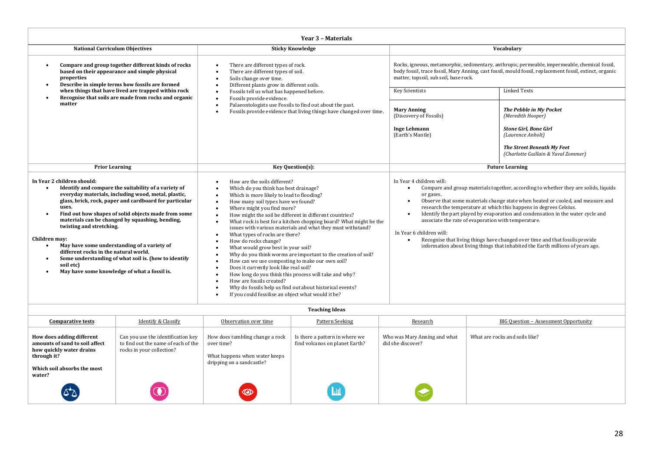| Year 3 - Materials                                                                                                                                                                                                                                                                                                                                                                                                                                                                                                                                                                                         |                                                                                                                                                                                                                                                                                                                                                                                                                                                                                                                                                                                                                                                                                                                                                                                                                                                                         |                                                                                                                                                                                                                                                   |                                                                                                                                                                                                                                                                                                                                                                                                                                                                                                    |  |  |
|------------------------------------------------------------------------------------------------------------------------------------------------------------------------------------------------------------------------------------------------------------------------------------------------------------------------------------------------------------------------------------------------------------------------------------------------------------------------------------------------------------------------------------------------------------------------------------------------------------|-------------------------------------------------------------------------------------------------------------------------------------------------------------------------------------------------------------------------------------------------------------------------------------------------------------------------------------------------------------------------------------------------------------------------------------------------------------------------------------------------------------------------------------------------------------------------------------------------------------------------------------------------------------------------------------------------------------------------------------------------------------------------------------------------------------------------------------------------------------------------|---------------------------------------------------------------------------------------------------------------------------------------------------------------------------------------------------------------------------------------------------|----------------------------------------------------------------------------------------------------------------------------------------------------------------------------------------------------------------------------------------------------------------------------------------------------------------------------------------------------------------------------------------------------------------------------------------------------------------------------------------------------|--|--|
| <b>National Curriculum Objectives</b>                                                                                                                                                                                                                                                                                                                                                                                                                                                                                                                                                                      | <b>Sticky Knowledge</b>                                                                                                                                                                                                                                                                                                                                                                                                                                                                                                                                                                                                                                                                                                                                                                                                                                                 | Vocabulary                                                                                                                                                                                                                                        |                                                                                                                                                                                                                                                                                                                                                                                                                                                                                                    |  |  |
| Compare and group together different kinds of rocks<br>based on their appearance and simple physical<br>properties<br>Describe in simple terms how fossils are formed                                                                                                                                                                                                                                                                                                                                                                                                                                      | There are different types of rock.<br>There are different types of soil.<br>Soils change over time.<br>$\bullet$<br>Different plants grow in different soils.                                                                                                                                                                                                                                                                                                                                                                                                                                                                                                                                                                                                                                                                                                           | Rocks, igneous, metamorphic, sedimentary, anthropic, permeable, impermeable, chemical fossil,<br>body fossil, trace fossil, Mary Anning, cast fossil, mould fossil, replacement fossil, extinct, organic<br>matter, topsoil, sub soil, base rock. |                                                                                                                                                                                                                                                                                                                                                                                                                                                                                                    |  |  |
| when things that have lived are trapped within rock<br>Recognise that soils are made from rocks and organic                                                                                                                                                                                                                                                                                                                                                                                                                                                                                                | Fossils tell us what has happened before.<br>Fossils provide evidence.                                                                                                                                                                                                                                                                                                                                                                                                                                                                                                                                                                                                                                                                                                                                                                                                  | <b>Key Scientists</b>                                                                                                                                                                                                                             | <b>Linked Texts</b>                                                                                                                                                                                                                                                                                                                                                                                                                                                                                |  |  |
| matter                                                                                                                                                                                                                                                                                                                                                                                                                                                                                                                                                                                                     | Palaeontologists use Fossils to find out about the past.<br>Fossils provide evidence that living things have changed over time.                                                                                                                                                                                                                                                                                                                                                                                                                                                                                                                                                                                                                                                                                                                                         | <b>Mary Anning</b><br>(Discovery of Fossils)<br><b>Inge Lehmann</b><br>(Earth's Mantle)                                                                                                                                                           | The Pebble in My Pocket<br>(Meredith Hooper)<br><b>Stone Girl, Bone Girl</b><br>(Laurence Anholt)<br>The Street Beneath My Feet                                                                                                                                                                                                                                                                                                                                                                    |  |  |
|                                                                                                                                                                                                                                                                                                                                                                                                                                                                                                                                                                                                            |                                                                                                                                                                                                                                                                                                                                                                                                                                                                                                                                                                                                                                                                                                                                                                                                                                                                         |                                                                                                                                                                                                                                                   | (Charlotte Guillain & Yuval Zommer)                                                                                                                                                                                                                                                                                                                                                                                                                                                                |  |  |
| <b>Prior Learning</b>                                                                                                                                                                                                                                                                                                                                                                                                                                                                                                                                                                                      | Key Question(s):                                                                                                                                                                                                                                                                                                                                                                                                                                                                                                                                                                                                                                                                                                                                                                                                                                                        |                                                                                                                                                                                                                                                   | <b>Future Learning</b>                                                                                                                                                                                                                                                                                                                                                                                                                                                                             |  |  |
| In Year 2 children should:<br>Identify and compare the suitability of a variety of<br>everyday materials, including wood, metal, plastic,<br>glass, brick, rock, paper and cardboard for particular<br>uses.<br>Find out how shapes of solid objects made from some<br>materials can be changed by squashing, bending,<br>twisting and stretching.<br>Children may:<br>May have some understanding of a variety of<br>$\bullet$<br>different rocks in the natural world.<br>Some understanding of what soil is. (how to identify<br>$\bullet$<br>soil etc)<br>May have some knowledge of what a fossil is. | How are the soils different?<br>Which do you think has best drainage?<br>Which is more likely to lead to flooding?<br>$\bullet$<br>How many soil types have we found?<br>Where might you find more?<br>How might the soil be different in different countries?<br>What rock is best for a kitchen chopping board? What might be the<br>issues with various materials and what they must withstand?<br>What types of rocks are there?<br>How do rocks change?<br>What would grow best in your soil?<br>Why do you think worms are important to the creation of soil?<br>How can we use composting to make our own soil?<br>Does it currently look like real soil?<br>How long do you think this process will take and why?<br>How are fossils created?<br>Why do fossils help us find out about historical events?<br>If you could fossilise an object what would it be? | In Year 4 children will:<br>$\bullet$<br>or gases.<br>$\bullet$<br>associate the rate of evaporation with temperature.<br>In Year 6 children will:                                                                                                | Compare and group materials together, according to whether they are solids, liquids<br>Observe that some materials change state when heated or cooled, and measure and<br>research the temperature at which this happens in degrees Celsius.<br>Identify the part played by evaporation and condensation in the water cycle and<br>Recognise that living things have changed over time and that fossils provide<br>information about living things that inhabited the Earth millions of years ago. |  |  |

| <b>Teaching Ideas</b>                                                                                                                           |                                                                                                        |                                                                                                             |                                                                  |                                                   |                                              |
|-------------------------------------------------------------------------------------------------------------------------------------------------|--------------------------------------------------------------------------------------------------------|-------------------------------------------------------------------------------------------------------------|------------------------------------------------------------------|---------------------------------------------------|----------------------------------------------|
| <b>Comparative tests</b>                                                                                                                        | <b>Identify &amp; Classify</b>                                                                         | Observation over time                                                                                       | <b>Pattern Seeking</b>                                           | Research                                          | <b>BIG Question - Assessment Opportunity</b> |
| How does adding different<br>amounts of sand to soil affect<br>how quickly water drains<br>through it?<br>Which soil absorbs the most<br>water? | Can you use the identification key<br>to find out the name of each of the<br>rocks in your collection? | How does tumbling change a rock<br>over time?<br>What happens when water keeps<br>dripping on a sandcastle? | Is there a pattern in where we<br>find volcanos on planet Earth? | Who was Mary Anning and what<br>did she discover? | What are rocks and soils like?               |
|                                                                                                                                                 | $\mathbf \Omega$                                                                                       | $\circledcirc$                                                                                              | $\mathbf{m}$                                                     |                                                   |                                              |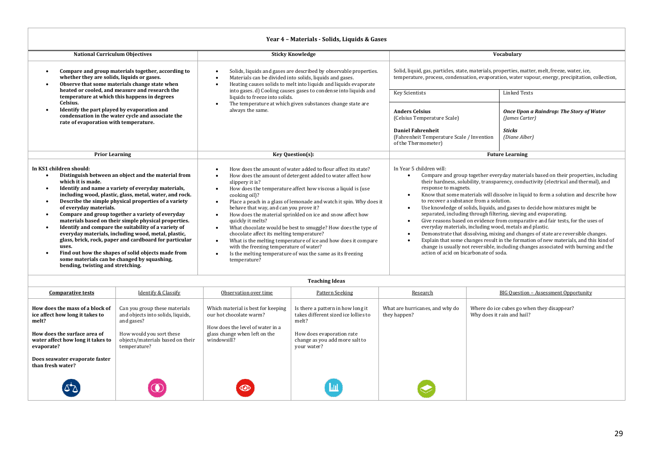#### **Year 4 – Materials - Solids, Liquids & Gases**

| <b>National Curriculum Objectives</b>                                                                                                                                                                                                                                                                                                                                                                                                                                                                                                                                                                                                                                                                                                                                                                           | <b>Sticky Knowledge</b>                                                                                                                                                                                                                                                                                                                                                                                                                                                                                                                                                                                                                                                                                                                                   | Vocabulary                                                                                                                                                                                                                                                           |                                                                                                                                                                                                                                                                                                                                                                                                                                                                                                                                                                                                                                                                                                         |  |
|-----------------------------------------------------------------------------------------------------------------------------------------------------------------------------------------------------------------------------------------------------------------------------------------------------------------------------------------------------------------------------------------------------------------------------------------------------------------------------------------------------------------------------------------------------------------------------------------------------------------------------------------------------------------------------------------------------------------------------------------------------------------------------------------------------------------|-----------------------------------------------------------------------------------------------------------------------------------------------------------------------------------------------------------------------------------------------------------------------------------------------------------------------------------------------------------------------------------------------------------------------------------------------------------------------------------------------------------------------------------------------------------------------------------------------------------------------------------------------------------------------------------------------------------------------------------------------------------|----------------------------------------------------------------------------------------------------------------------------------------------------------------------------------------------------------------------------------------------------------------------|---------------------------------------------------------------------------------------------------------------------------------------------------------------------------------------------------------------------------------------------------------------------------------------------------------------------------------------------------------------------------------------------------------------------------------------------------------------------------------------------------------------------------------------------------------------------------------------------------------------------------------------------------------------------------------------------------------|--|
| Compare and group materials together, according to<br>whether they are solids, liquids or gases.<br>Observe that some materials change state when<br>$\bullet$<br>heated or cooled, and measure and research the                                                                                                                                                                                                                                                                                                                                                                                                                                                                                                                                                                                                | Solids, liquids and gases are described by observable properties.<br>Materials can be divided into solids, liquids and gases.<br>Heating causes solids to melt into liquids and liquids evaporate                                                                                                                                                                                                                                                                                                                                                                                                                                                                                                                                                         | Solid, liquid, gas, particles, state, materials, properties, matter, melt, freeze, water, ice,<br>temperature, process, condensation, evaporation, water vapour, energy, precipitation, collection,                                                                  |                                                                                                                                                                                                                                                                                                                                                                                                                                                                                                                                                                                                                                                                                                         |  |
| temperature at which this happens in degrees                                                                                                                                                                                                                                                                                                                                                                                                                                                                                                                                                                                                                                                                                                                                                                    | into gases. d) Cooling causes gases to condense into liquids and<br>liquids to freeze into solids.                                                                                                                                                                                                                                                                                                                                                                                                                                                                                                                                                                                                                                                        | <b>Key Scientists</b>                                                                                                                                                                                                                                                | <b>Linked Texts</b>                                                                                                                                                                                                                                                                                                                                                                                                                                                                                                                                                                                                                                                                                     |  |
| Celsius.<br>Identify the part played by evaporation and<br>$\bullet$<br>condensation in the water cycle and associate the<br>rate of evaporation with temperature.                                                                                                                                                                                                                                                                                                                                                                                                                                                                                                                                                                                                                                              | The temperature at which given substances change state are<br>always the same.                                                                                                                                                                                                                                                                                                                                                                                                                                                                                                                                                                                                                                                                            | <b>Anders Celsius</b><br>(Celsius Temperature Scale)<br><b>Daniel Fahrenheit</b><br>(Fahrenheit Temperature Scale / Invention<br>of the Thermometer)                                                                                                                 | Once Upon a Raindrop: The Story of Water<br>(James Carter)<br><b>Sticks</b><br>(Diane Alber)                                                                                                                                                                                                                                                                                                                                                                                                                                                                                                                                                                                                            |  |
| <b>Prior Learning</b>                                                                                                                                                                                                                                                                                                                                                                                                                                                                                                                                                                                                                                                                                                                                                                                           | <b>Key Question(s):</b>                                                                                                                                                                                                                                                                                                                                                                                                                                                                                                                                                                                                                                                                                                                                   |                                                                                                                                                                                                                                                                      | <b>Future Learning</b>                                                                                                                                                                                                                                                                                                                                                                                                                                                                                                                                                                                                                                                                                  |  |
| In KS1 children should:<br>Distinguish between an object and the material from<br>which it is made.<br>Identify and name a variety of everyday materials,<br>$\bullet$<br>including wood, plastic, glass, metal, water, and rock.<br>Describe the simple physical properties of a variety<br>$\bullet$<br>of everyday materials.<br>Compare and group together a variety of everyday<br>$\bullet$<br>materials based on their simple physical properties.<br>Identify and compare the suitability of a variety of<br>$\bullet$<br>everyday materials, including wood, metal, plastic,<br>glass, brick, rock, paper and cardboard for particular<br>uses.<br>Find out how the shapes of solid objects made from<br>$\bullet$<br>some materials can be changed by squashing,<br>bending, twisting and stretching. | How does the amount of water added to flour affect its state?<br>How does the amount of detergent added to water affect how<br>slippery it is?<br>How does the temperature affect how viscous a liquid is (use<br>cooking oil)?<br>Place a peach in a glass of lemonade and watch it spin. Why does it<br>behave that way, and can you prove it?<br>How does the material sprinkled on ice and snow affect how<br>quickly it melts?<br>What chocolate would be best to smuggle? How does the type of<br>$\bullet$<br>chocolate affect its melting temperature?<br>What is the melting temperature of ice and how does it compare<br>with the freezing temperature of water?<br>Is the melting temperature of wax the same as its freezing<br>temperature? | In Year 5 children will:<br>response to magnets.<br>to recover a substance from a solution.<br>separated, including through filtering, sieving and evaporating.<br>everyday materials, including wood, metals and plastic.<br>action of acid on bicarbonate of soda. | Compare and group together everyday materials based on their properties, including<br>their hardness, solubility, transparency, conductivity (electrical and thermal), and<br>Know that some materials will dissolve in liquid to form a solution and describe how<br>Use knowledge of solids, liquids, and gases to decide how mixtures might be<br>Give reasons based on evidence from comparative and fair tests, for the uses of<br>Demonstrate that dissolving, mixing and changes of state are reversible changes.<br>Explain that some changes result in the formation of new materials, and this kind of<br>change is usually not reversible, including changes associated with burning and the |  |

| <b>Teaching Ideas</b>                                                                                                                                          |                                                                                                                                                                  |                                                                                                                                                   |                                                                                                                                                                  |                                                 |                                                                          |  |
|----------------------------------------------------------------------------------------------------------------------------------------------------------------|------------------------------------------------------------------------------------------------------------------------------------------------------------------|---------------------------------------------------------------------------------------------------------------------------------------------------|------------------------------------------------------------------------------------------------------------------------------------------------------------------|-------------------------------------------------|--------------------------------------------------------------------------|--|
| <b>Comparative tests</b>                                                                                                                                       | <b>Identify &amp; Classify</b>                                                                                                                                   | Observation over time                                                                                                                             | <b>Pattern Seeking</b>                                                                                                                                           | Research                                        | <b>BIG Question - Assessment Opportunity</b>                             |  |
| How does the mass of a block of<br>ice affect how long it takes to<br>melt?<br>How does the surface area of<br>water affect how long it takes to<br>evaporate? | Can you group these materials<br>and objects into solids, liquids,<br>and gases?<br>How would you sort these<br>objects/materials based on their<br>temperature? | Which material is best for keeping<br>our hot chocolate warm?<br>How does the level of water in a<br>glass change when left on the<br>windowsill? | Is there a pattern in how long it<br>takes different sized ice lollies to<br>melt?<br>How does evaporation rate<br>change as you add more salt to<br>your water? | What are hurricanes, and why do<br>they happen? | Where do ice cubes go when they disappear?<br>Why does it rain and hail? |  |
| Does seawater evaporate faster<br>than fresh water?                                                                                                            |                                                                                                                                                                  |                                                                                                                                                   |                                                                                                                                                                  |                                                 |                                                                          |  |
|                                                                                                                                                                |                                                                                                                                                                  | $\circledcirc$                                                                                                                                    | Ш                                                                                                                                                                |                                                 |                                                                          |  |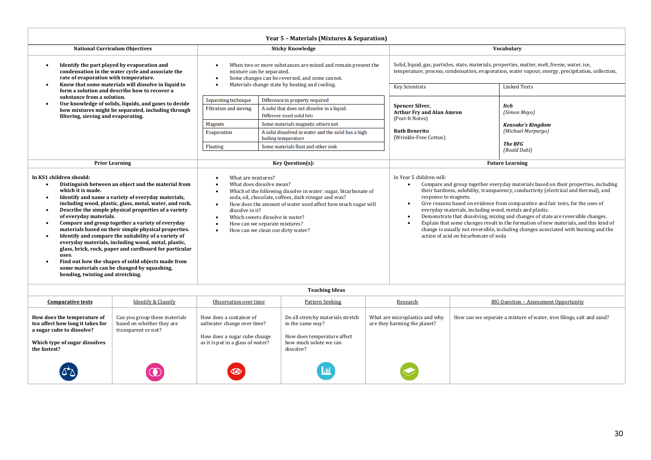| Year 5 - Materials (Mixtures & Separation)                                                                                                                                                                                                                                                                                                                                                                                                                                                                                                                                                                                                                                                                                                     |                                                                                                                                                                                                                                                                                                                                                                                                 |                                                                                           |                                                                                                                                                                                                                            |                                                                                                                                                                                                                                                                                                                                                                                                                                                                                                                                  |  |
|------------------------------------------------------------------------------------------------------------------------------------------------------------------------------------------------------------------------------------------------------------------------------------------------------------------------------------------------------------------------------------------------------------------------------------------------------------------------------------------------------------------------------------------------------------------------------------------------------------------------------------------------------------------------------------------------------------------------------------------------|-------------------------------------------------------------------------------------------------------------------------------------------------------------------------------------------------------------------------------------------------------------------------------------------------------------------------------------------------------------------------------------------------|-------------------------------------------------------------------------------------------|----------------------------------------------------------------------------------------------------------------------------------------------------------------------------------------------------------------------------|----------------------------------------------------------------------------------------------------------------------------------------------------------------------------------------------------------------------------------------------------------------------------------------------------------------------------------------------------------------------------------------------------------------------------------------------------------------------------------------------------------------------------------|--|
| <b>National Curriculum Objectives</b>                                                                                                                                                                                                                                                                                                                                                                                                                                                                                                                                                                                                                                                                                                          |                                                                                                                                                                                                                                                                                                                                                                                                 | <b>Sticky Knowledge</b>                                                                   |                                                                                                                                                                                                                            | Vocabulary                                                                                                                                                                                                                                                                                                                                                                                                                                                                                                                       |  |
| Identify the part played by evaporation and<br>condensation in the water cycle and associate the<br>rate of evaporation with temperature.<br>Know that some materials will dissolve in liquid to                                                                                                                                                                                                                                                                                                                                                                                                                                                                                                                                               | When two or more substances are mixed and remain present the<br>mixture can be separated.<br>Some changes can be reversed, and some cannot.<br>Materials change state by heating and cooling.<br>$\bullet$                                                                                                                                                                                      |                                                                                           | Solid, liquid, gas, particles, state, materials, properties, matter, melt, freeze, water, ice,<br>temperature, process, condensation, evaporation, water vapour, energy, precipitation, collection,<br><b>Linked Texts</b> |                                                                                                                                                                                                                                                                                                                                                                                                                                                                                                                                  |  |
| form a solution and describe how to recover a<br>substance from a solution.                                                                                                                                                                                                                                                                                                                                                                                                                                                                                                                                                                                                                                                                    | <b>Separating technique</b>                                                                                                                                                                                                                                                                                                                                                                     | Difference in property required                                                           | <b>Key Scientists</b>                                                                                                                                                                                                      |                                                                                                                                                                                                                                                                                                                                                                                                                                                                                                                                  |  |
| Use knowledge of solids, liquids, and gases to decide<br>how mixtures might be separated, including through<br>filtering, sieving and evaporating.                                                                                                                                                                                                                                                                                                                                                                                                                                                                                                                                                                                             | <b>Filtration and sieving</b>                                                                                                                                                                                                                                                                                                                                                                   | A solid that does not dissolve in a liquid.<br>Different sized solid bits                 | <b>Spencer Silver,</b><br><b>Arthur Fry and Alan Amron</b><br>(Post-It Notes)                                                                                                                                              | <b>Itch</b><br>(Simon Mayo)                                                                                                                                                                                                                                                                                                                                                                                                                                                                                                      |  |
|                                                                                                                                                                                                                                                                                                                                                                                                                                                                                                                                                                                                                                                                                                                                                | <b>Magnets</b><br><b>Evaporation</b>                                                                                                                                                                                                                                                                                                                                                            | Some materials magnetic others not<br>A solid dissolved in water and the solid has a high | <b>Ruth Benerito</b>                                                                                                                                                                                                       | <b>Kensuke's Kingdom</b><br>(Michael Morpurgo)<br><b>The BFG</b><br>(Roald Dahl)                                                                                                                                                                                                                                                                                                                                                                                                                                                 |  |
|                                                                                                                                                                                                                                                                                                                                                                                                                                                                                                                                                                                                                                                                                                                                                | <b>Floating</b>                                                                                                                                                                                                                                                                                                                                                                                 | boiling temperature<br>Some materials float and other sink                                | (Wrinkle-Free Cotton)                                                                                                                                                                                                      |                                                                                                                                                                                                                                                                                                                                                                                                                                                                                                                                  |  |
| <b>Prior Learning</b>                                                                                                                                                                                                                                                                                                                                                                                                                                                                                                                                                                                                                                                                                                                          |                                                                                                                                                                                                                                                                                                                                                                                                 | <b>Key Question(s):</b>                                                                   | <b>Future Learning</b>                                                                                                                                                                                                     |                                                                                                                                                                                                                                                                                                                                                                                                                                                                                                                                  |  |
| In KS1 children should:<br>Distinguish between an object and the material from<br>which it is made.<br>Identify and name a variety of everyday materials,<br>including wood, plastic, glass, metal, water, and rock.<br>Describe the simple physical properties of a variety<br>of everyday materials.<br>Compare and group together a variety of everyday<br>materials based on their simple physical properties.<br>Identify and compare the suitability of a variety of<br>everyday materials, including wood, metal, plastic,<br>glass, brick, rock, paper and cardboard for particular<br>uses.<br>Find out how the shapes of solid objects made from<br>some materials can be changed by squashing,<br>bending, twisting and stretching. | What are mixtures?<br>What does dissolve mean?<br>Which of the following dissolve in water: sugar, bicarbonate of<br>soda, oil, chocolate, coffees, dark vinegar and wax?<br>How does the amount of water used affect how much sugar will<br>$\bullet$<br>dissolve in it?<br>Which sweets dissolve in water?<br>$\bullet$<br>How can we separate mixtures?<br>How can we clean our dirty water? |                                                                                           | In Year 5 children will:<br>response to magnets.<br>everyday materials, including wood, metals and plastic.<br>action of acid on bicarbonate of soda                                                                       | Compare and group together everyday materials based on their properties, including<br>their hardness, solubility, transparency, conductivity (electrical and thermal), and<br>Give reasons based on evidence from comparative and fair tests, for the uses of<br>Demonstrate that dissolving, mixing and changes of state are reversible changes.<br>Explain that some changes result in the formation of new materials, and this kind of<br>change is usually not reversible, including changes associated with burning and the |  |
|                                                                                                                                                                                                                                                                                                                                                                                                                                                                                                                                                                                                                                                                                                                                                |                                                                                                                                                                                                                                                                                                                                                                                                 | <b>Teaching Ideas</b>                                                                     |                                                                                                                                                                                                                            |                                                                                                                                                                                                                                                                                                                                                                                                                                                                                                                                  |  |

| <b>Teaching Ideas</b>                                                                                                                         |                                                                                   |                                                                                                                             |                                                                                                                             |                                                                |                                                                      |  |
|-----------------------------------------------------------------------------------------------------------------------------------------------|-----------------------------------------------------------------------------------|-----------------------------------------------------------------------------------------------------------------------------|-----------------------------------------------------------------------------------------------------------------------------|----------------------------------------------------------------|----------------------------------------------------------------------|--|
| <b>Comparative tests</b>                                                                                                                      | <b>Identify &amp; Classify</b>                                                    | Observation over time                                                                                                       | Pattern Seeking                                                                                                             | Research                                                       | <b>BIG Question - Assessment Opportunity</b>                         |  |
| How does the temperature of<br>tea affect how long it takes for<br>a sugar cube to dissolve?<br>Which type of sugar dissolves<br>the fastest? | Can you group these materials<br>based on whether they are<br>transparent or not? | How does a container of<br>saltwater change over time?<br>How does a sugar cube change<br>as it is put in a glass of water? | Do all stretchy materials stretch<br>in the same way?<br>How does temperature affect<br>how much solute we can<br>dissolve? | What are microplastics and why<br>are they harming the planet? | How can we separate a mixture of water, iron filings, salt and sand? |  |
| $\Delta \Delta$                                                                                                                               |                                                                                   | $\bigcirc$                                                                                                                  | <u>Lul</u>                                                                                                                  |                                                                |                                                                      |  |